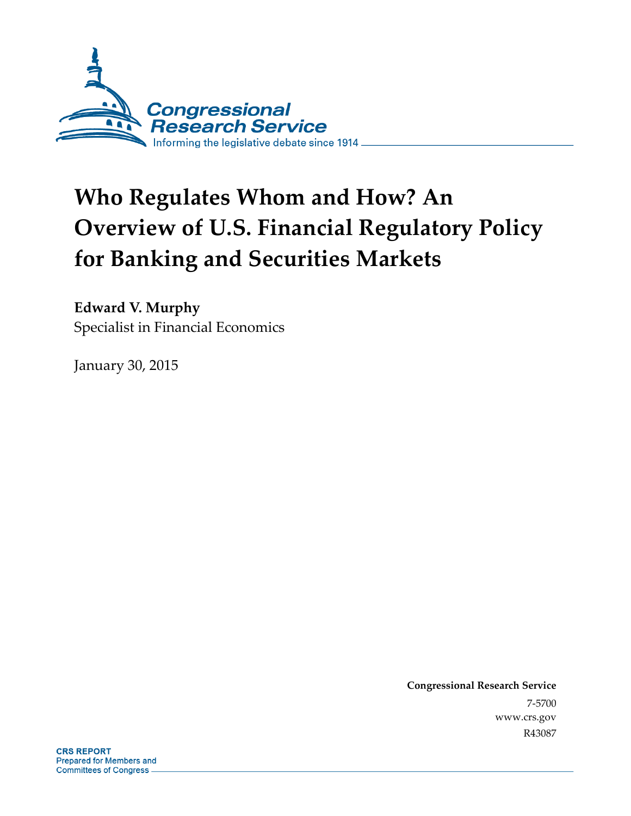

# **Who Regulates Whom and How? An Overview of U.S. Financial Regulatory Policy for Banking and Securities Markets**

# **Edward V. Murphy**

Specialist in Financial Economics

January 30, 2015

**Congressional Research Service**  7-5700 www.crs.gov R43087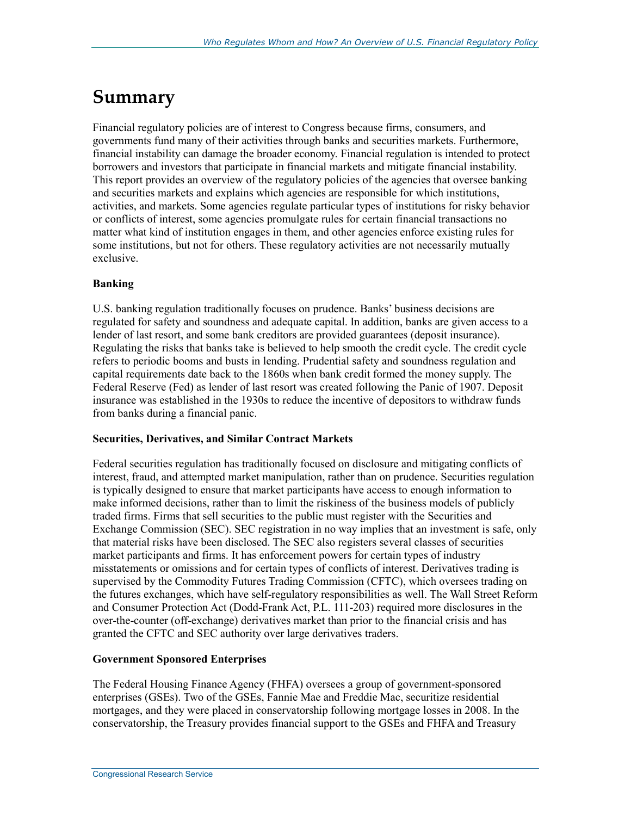## **Summary**

Financial regulatory policies are of interest to Congress because firms, consumers, and governments fund many of their activities through banks and securities markets. Furthermore, financial instability can damage the broader economy. Financial regulation is intended to protect borrowers and investors that participate in financial markets and mitigate financial instability. This report provides an overview of the regulatory policies of the agencies that oversee banking and securities markets and explains which agencies are responsible for which institutions, activities, and markets. Some agencies regulate particular types of institutions for risky behavior or conflicts of interest, some agencies promulgate rules for certain financial transactions no matter what kind of institution engages in them, and other agencies enforce existing rules for some institutions, but not for others. These regulatory activities are not necessarily mutually exclusive.

#### **Banking**

U.S. banking regulation traditionally focuses on prudence. Banks' business decisions are regulated for safety and soundness and adequate capital. In addition, banks are given access to a lender of last resort, and some bank creditors are provided guarantees (deposit insurance). Regulating the risks that banks take is believed to help smooth the credit cycle. The credit cycle refers to periodic booms and busts in lending. Prudential safety and soundness regulation and capital requirements date back to the 1860s when bank credit formed the money supply. The Federal Reserve (Fed) as lender of last resort was created following the Panic of 1907. Deposit insurance was established in the 1930s to reduce the incentive of depositors to withdraw funds from banks during a financial panic.

#### **Securities, Derivatives, and Similar Contract Markets**

Federal securities regulation has traditionally focused on disclosure and mitigating conflicts of interest, fraud, and attempted market manipulation, rather than on prudence. Securities regulation is typically designed to ensure that market participants have access to enough information to make informed decisions, rather than to limit the riskiness of the business models of publicly traded firms. Firms that sell securities to the public must register with the Securities and Exchange Commission (SEC). SEC registration in no way implies that an investment is safe, only that material risks have been disclosed. The SEC also registers several classes of securities market participants and firms. It has enforcement powers for certain types of industry misstatements or omissions and for certain types of conflicts of interest. Derivatives trading is supervised by the Commodity Futures Trading Commission (CFTC), which oversees trading on the futures exchanges, which have self-regulatory responsibilities as well. The Wall Street Reform and Consumer Protection Act (Dodd-Frank Act, P.L. 111-203) required more disclosures in the over-the-counter (off-exchange) derivatives market than prior to the financial crisis and has granted the CFTC and SEC authority over large derivatives traders.

#### **Government Sponsored Enterprises**

The Federal Housing Finance Agency (FHFA) oversees a group of government-sponsored enterprises (GSEs). Two of the GSEs, Fannie Mae and Freddie Mac, securitize residential mortgages, and they were placed in conservatorship following mortgage losses in 2008. In the conservatorship, the Treasury provides financial support to the GSEs and FHFA and Treasury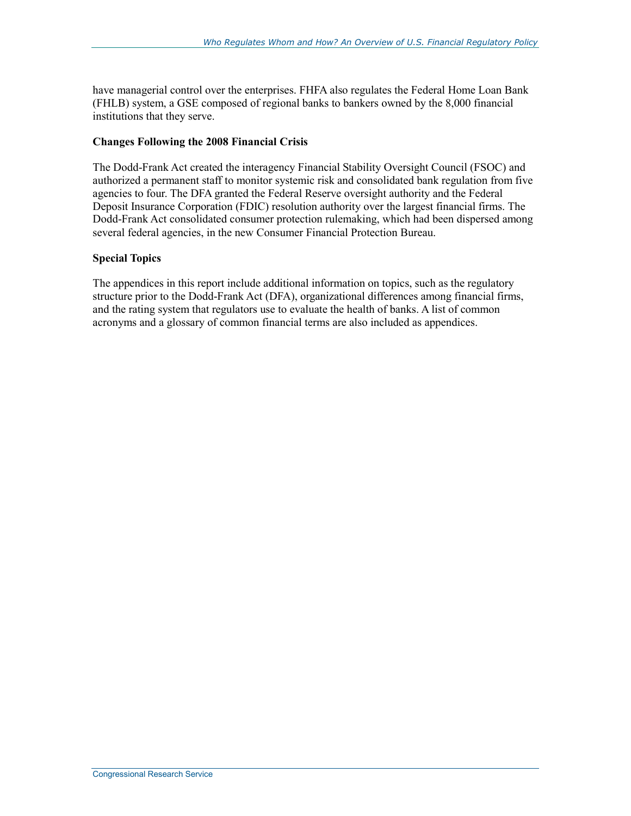have managerial control over the enterprises. FHFA also regulates the Federal Home Loan Bank (FHLB) system, a GSE composed of regional banks to bankers owned by the 8,000 financial institutions that they serve.

#### **Changes Following the 2008 Financial Crisis**

The Dodd-Frank Act created the interagency Financial Stability Oversight Council (FSOC) and authorized a permanent staff to monitor systemic risk and consolidated bank regulation from five agencies to four. The DFA granted the Federal Reserve oversight authority and the Federal Deposit Insurance Corporation (FDIC) resolution authority over the largest financial firms. The Dodd-Frank Act consolidated consumer protection rulemaking, which had been dispersed among several federal agencies, in the new Consumer Financial Protection Bureau.

#### **Special Topics**

The appendices in this report include additional information on topics, such as the regulatory structure prior to the Dodd-Frank Act (DFA), organizational differences among financial firms, and the rating system that regulators use to evaluate the health of banks. A list of common acronyms and a glossary of common financial terms are also included as appendices.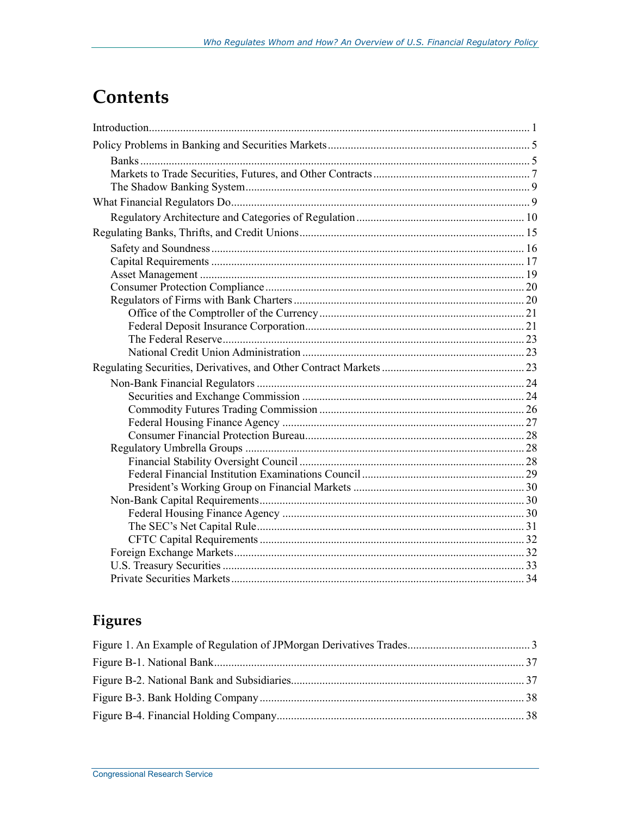# **Contents**

## **Figures**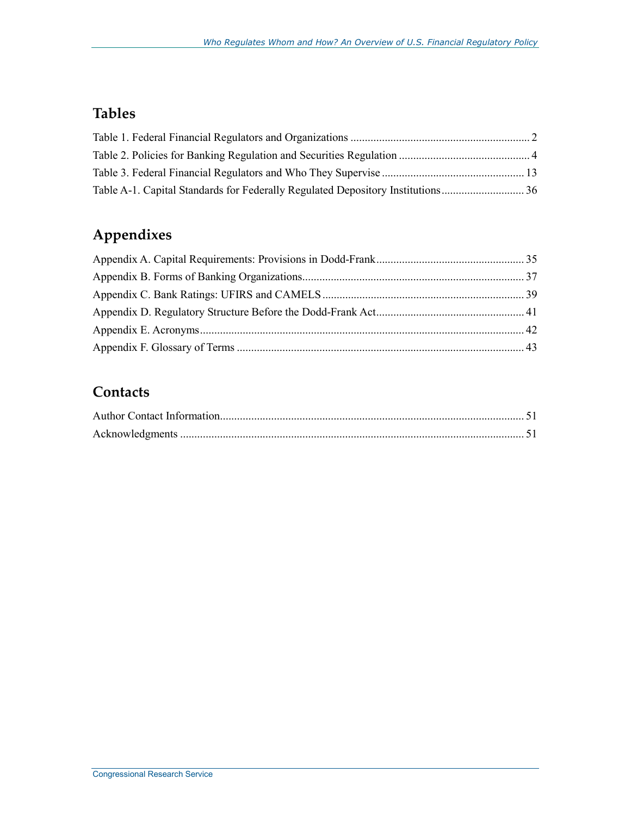## **Tables**

## **Appendixes**

## **Contacts**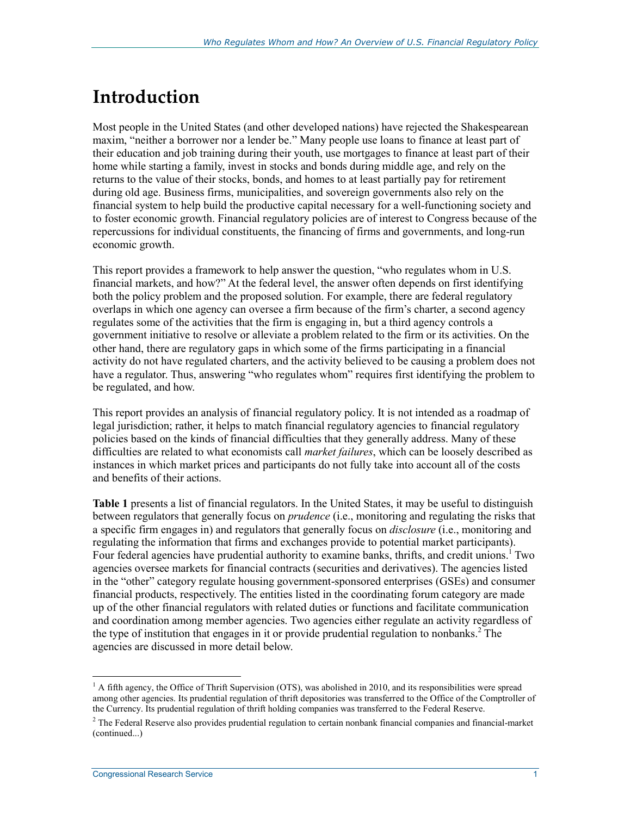# **Introduction**

Most people in the United States (and other developed nations) have rejected the Shakespearean maxim, "neither a borrower nor a lender be." Many people use loans to finance at least part of their education and job training during their youth, use mortgages to finance at least part of their home while starting a family, invest in stocks and bonds during middle age, and rely on the returns to the value of their stocks, bonds, and homes to at least partially pay for retirement during old age. Business firms, municipalities, and sovereign governments also rely on the financial system to help build the productive capital necessary for a well-functioning society and to foster economic growth. Financial regulatory policies are of interest to Congress because of the repercussions for individual constituents, the financing of firms and governments, and long-run economic growth.

This report provides a framework to help answer the question, "who regulates whom in U.S. financial markets, and how?" At the federal level, the answer often depends on first identifying both the policy problem and the proposed solution. For example, there are federal regulatory overlaps in which one agency can oversee a firm because of the firm's charter, a second agency regulates some of the activities that the firm is engaging in, but a third agency controls a government initiative to resolve or alleviate a problem related to the firm or its activities. On the other hand, there are regulatory gaps in which some of the firms participating in a financial activity do not have regulated charters, and the activity believed to be causing a problem does not have a regulator. Thus, answering "who regulates whom" requires first identifying the problem to be regulated, and how.

This report provides an analysis of financial regulatory policy. It is not intended as a roadmap of legal jurisdiction; rather, it helps to match financial regulatory agencies to financial regulatory policies based on the kinds of financial difficulties that they generally address. Many of these difficulties are related to what economists call *market failures*, which can be loosely described as instances in which market prices and participants do not fully take into account all of the costs and benefits of their actions.

**Table 1** presents a list of financial regulators. In the United States, it may be useful to distinguish between regulators that generally focus on *prudence* (i.e., monitoring and regulating the risks that a specific firm engages in) and regulators that generally focus on *disclosure* (i.e., monitoring and regulating the information that firms and exchanges provide to potential market participants). Four federal agencies have prudential authority to examine banks, thrifts, and credit unions.<sup>1</sup> Two agencies oversee markets for financial contracts (securities and derivatives). The agencies listed in the "other" category regulate housing government-sponsored enterprises (GSEs) and consumer financial products, respectively. The entities listed in the coordinating forum category are made up of the other financial regulators with related duties or functions and facilitate communication and coordination among member agencies. Two agencies either regulate an activity regardless of the type of institution that engages in it or provide prudential regulation to nonbanks.<sup>2</sup> The agencies are discussed in more detail below.

1

<sup>&</sup>lt;sup>1</sup> A fifth agency, the Office of Thrift Supervision (OTS), was abolished in 2010, and its responsibilities were spread among other agencies. Its prudential regulation of thrift depositories was transferred to the Office of the Comptroller of the Currency. Its prudential regulation of thrift holding companies was transferred to the Federal Reserve.

 $2$  The Federal Reserve also provides prudential regulation to certain nonbank financial companies and financial-market (continued...)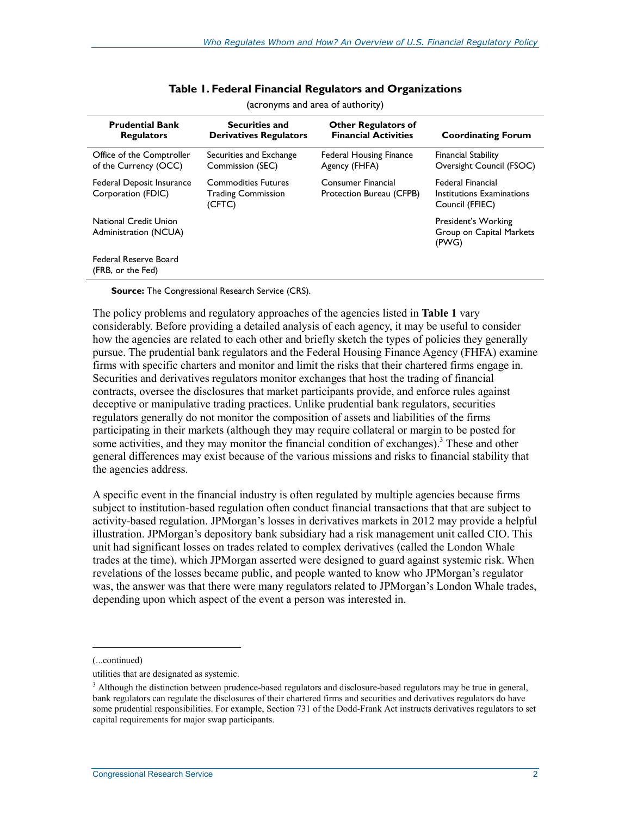| <b>Prudential Bank</b><br><b>Regulators</b>           | <b>Securities and</b><br><b>Derivatives Regulators</b>            | <b>Other Regulators of</b><br><b>Financial Activities</b> | <b>Coordinating Forum</b>                                                |
|-------------------------------------------------------|-------------------------------------------------------------------|-----------------------------------------------------------|--------------------------------------------------------------------------|
| Office of the Comptroller<br>of the Currency (OCC)    | Securities and Exchange<br>Commission (SEC)                       | <b>Federal Housing Finance</b><br>Agency (FHFA)           | <b>Financial Stability</b><br>Oversight Council (FSOC)                   |
| Federal Deposit Insurance<br>Corporation (FDIC)       | <b>Commodities Futures</b><br><b>Trading Commission</b><br>(CFTC) | Consumer Financial<br>Protection Bureau (CFPB)            | <b>Federal Financial</b><br>Institutions Examinations<br>Council (FFIEC) |
| <b>National Credit Union</b><br>Administration (NCUA) |                                                                   |                                                           | President's Working<br>Group on Capital Markets<br>(PWG)                 |
| Federal Reserve Board<br>(FRB, or the Fed)            |                                                                   |                                                           |                                                                          |

#### **Table 1. Federal Financial Regulators and Organizations**

(acronyms and area of authority)

**Source:** The Congressional Research Service (CRS).

The policy problems and regulatory approaches of the agencies listed in **Table 1** vary considerably. Before providing a detailed analysis of each agency, it may be useful to consider how the agencies are related to each other and briefly sketch the types of policies they generally pursue. The prudential bank regulators and the Federal Housing Finance Agency (FHFA) examine firms with specific charters and monitor and limit the risks that their chartered firms engage in. Securities and derivatives regulators monitor exchanges that host the trading of financial contracts, oversee the disclosures that market participants provide, and enforce rules against deceptive or manipulative trading practices. Unlike prudential bank regulators, securities regulators generally do not monitor the composition of assets and liabilities of the firms participating in their markets (although they may require collateral or margin to be posted for some activities, and they may monitor the financial condition of exchanges).<sup>3</sup> These and other general differences may exist because of the various missions and risks to financial stability that the agencies address.

A specific event in the financial industry is often regulated by multiple agencies because firms subject to institution-based regulation often conduct financial transactions that that are subject to activity-based regulation. JPMorgan's losses in derivatives markets in 2012 may provide a helpful illustration. JPMorgan's depository bank subsidiary had a risk management unit called CIO. This unit had significant losses on trades related to complex derivatives (called the London Whale trades at the time), which JPMorgan asserted were designed to guard against systemic risk. When revelations of the losses became public, and people wanted to know who JPMorgan's regulator was, the answer was that there were many regulators related to JPMorgan's London Whale trades, depending upon which aspect of the event a person was interested in.

 $\overline{a}$ 

<sup>(...</sup>continued)

utilities that are designated as systemic.

<sup>&</sup>lt;sup>3</sup> Although the distinction between prudence-based regulators and disclosure-based regulators may be true in general, bank regulators can regulate the disclosures of their chartered firms and securities and derivatives regulators do have some prudential responsibilities. For example, Section 731 of the Dodd-Frank Act instructs derivatives regulators to set capital requirements for major swap participants.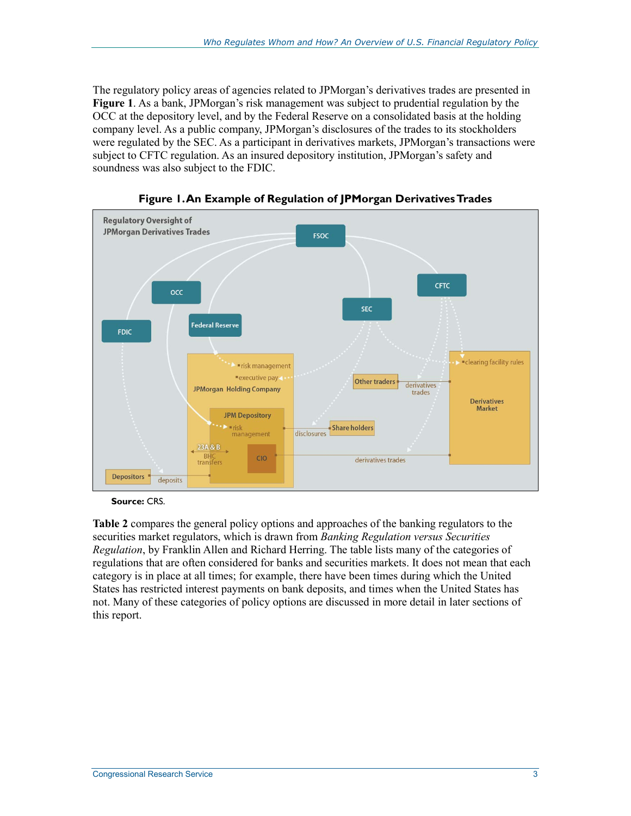The regulatory policy areas of agencies related to JPMorgan's derivatives trades are presented in **Figure 1**. As a bank, JPMorgan's risk management was subject to prudential regulation by the OCC at the depository level, and by the Federal Reserve on a consolidated basis at the holding company level. As a public company, JPMorgan's disclosures of the trades to its stockholders were regulated by the SEC. As a participant in derivatives markets, JPMorgan's transactions were subject to CFTC regulation. As an insured depository institution, JPMorgan's safety and soundness was also subject to the FDIC.



**Figure 1. An Example of Regulation of JPMorgan Derivatives Trades** 

**Source:** CRS.

**Table 2** compares the general policy options and approaches of the banking regulators to the securities market regulators, which is drawn from *Banking Regulation versus Securities Regulation*, by Franklin Allen and Richard Herring. The table lists many of the categories of regulations that are often considered for banks and securities markets. It does not mean that each category is in place at all times; for example, there have been times during which the United States has restricted interest payments on bank deposits, and times when the United States has not. Many of these categories of policy options are discussed in more detail in later sections of this report.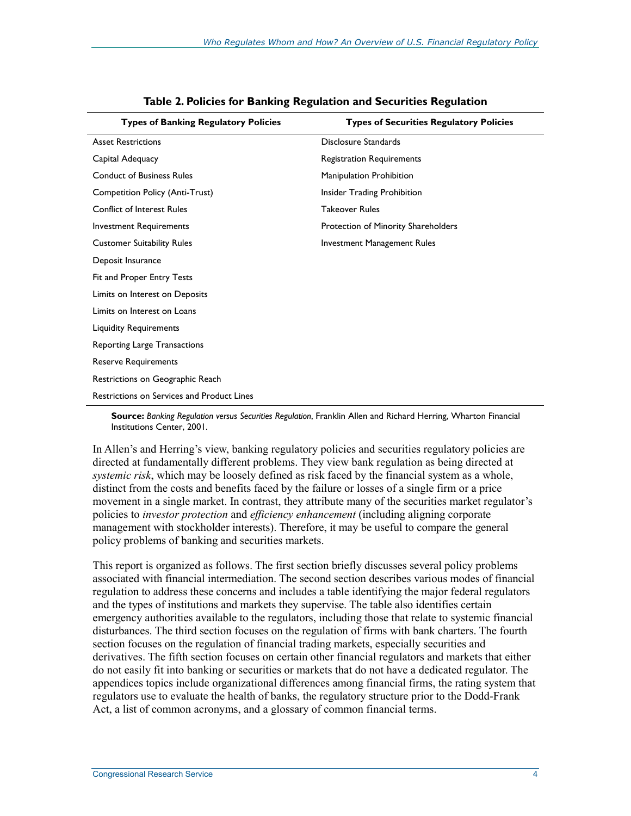| <b>Types of Banking Regulatory Policies</b> | <b>Types of Securities Regulatory Policies</b> |
|---------------------------------------------|------------------------------------------------|
| <b>Asset Restrictions</b>                   | Disclosure Standards                           |
| Capital Adequacy                            | <b>Registration Requirements</b>               |
| <b>Conduct of Business Rules</b>            | Manipulation Prohibition                       |
| Competition Policy (Anti-Trust)             | Insider Trading Prohibition                    |
| <b>Conflict of Interest Rules</b>           | <b>Takeover Rules</b>                          |
| Investment Requirements                     | Protection of Minority Shareholders            |
| <b>Customer Suitability Rules</b>           | Investment Management Rules                    |
| Deposit Insurance                           |                                                |
| Fit and Proper Entry Tests                  |                                                |
| Limits on Interest on Deposits              |                                                |
| Limits on Interest on Loans                 |                                                |
| <b>Liquidity Requirements</b>               |                                                |
| Reporting Large Transactions                |                                                |
| <b>Reserve Requirements</b>                 |                                                |
| Restrictions on Geographic Reach            |                                                |
| Restrictions on Services and Product Lines  |                                                |

**Table 2. Policies for Banking Regulation and Securities Regulation** 

**Source:** *Banking Regulation versus Securities Regulation*, Franklin Allen and Richard Herring, Wharton Financial Institutions Center, 2001.

In Allen's and Herring's view, banking regulatory policies and securities regulatory policies are directed at fundamentally different problems. They view bank regulation as being directed at *systemic risk*, which may be loosely defined as risk faced by the financial system as a whole, distinct from the costs and benefits faced by the failure or losses of a single firm or a price movement in a single market. In contrast, they attribute many of the securities market regulator's policies to *investor protection* and *efficiency enhancement* (including aligning corporate management with stockholder interests). Therefore, it may be useful to compare the general policy problems of banking and securities markets.

This report is organized as follows. The first section briefly discusses several policy problems associated with financial intermediation. The second section describes various modes of financial regulation to address these concerns and includes a table identifying the major federal regulators and the types of institutions and markets they supervise. The table also identifies certain emergency authorities available to the regulators, including those that relate to systemic financial disturbances. The third section focuses on the regulation of firms with bank charters. The fourth section focuses on the regulation of financial trading markets, especially securities and derivatives. The fifth section focuses on certain other financial regulators and markets that either do not easily fit into banking or securities or markets that do not have a dedicated regulator. The appendices topics include organizational differences among financial firms, the rating system that regulators use to evaluate the health of banks, the regulatory structure prior to the Dodd-Frank Act, a list of common acronyms, and a glossary of common financial terms.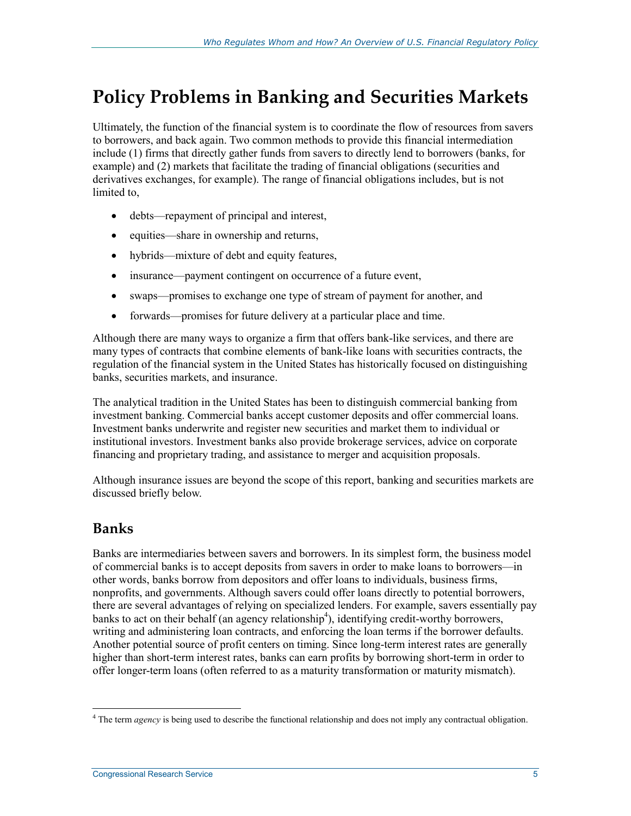# **Policy Problems in Banking and Securities Markets**

Ultimately, the function of the financial system is to coordinate the flow of resources from savers to borrowers, and back again. Two common methods to provide this financial intermediation include (1) firms that directly gather funds from savers to directly lend to borrowers (banks, for example) and (2) markets that facilitate the trading of financial obligations (securities and derivatives exchanges, for example). The range of financial obligations includes, but is not limited to,

- debts—repayment of principal and interest,
- equities—share in ownership and returns,
- hybrids—mixture of debt and equity features,
- insurance—payment contingent on occurrence of a future event,
- swaps—promises to exchange one type of stream of payment for another, and
- forwards—promises for future delivery at a particular place and time.

Although there are many ways to organize a firm that offers bank-like services, and there are many types of contracts that combine elements of bank-like loans with securities contracts, the regulation of the financial system in the United States has historically focused on distinguishing banks, securities markets, and insurance.

The analytical tradition in the United States has been to distinguish commercial banking from investment banking. Commercial banks accept customer deposits and offer commercial loans. Investment banks underwrite and register new securities and market them to individual or institutional investors. Investment banks also provide brokerage services, advice on corporate financing and proprietary trading, and assistance to merger and acquisition proposals.

Although insurance issues are beyond the scope of this report, banking and securities markets are discussed briefly below.

## **Banks**

Banks are intermediaries between savers and borrowers. In its simplest form, the business model of commercial banks is to accept deposits from savers in order to make loans to borrowers—in other words, banks borrow from depositors and offer loans to individuals, business firms, nonprofits, and governments. Although savers could offer loans directly to potential borrowers, there are several advantages of relying on specialized lenders. For example, savers essentially pay banks to act on their behalf (an agency relationship<sup>4</sup>), identifying credit-worthy borrowers, writing and administering loan contracts, and enforcing the loan terms if the borrower defaults. Another potential source of profit centers on timing. Since long-term interest rates are generally higher than short-term interest rates, banks can earn profits by borrowing short-term in order to offer longer-term loans (often referred to as a maturity transformation or maturity mismatch).

The term *agency* is being used to describe the functional relationship and does not imply any contractual obligation.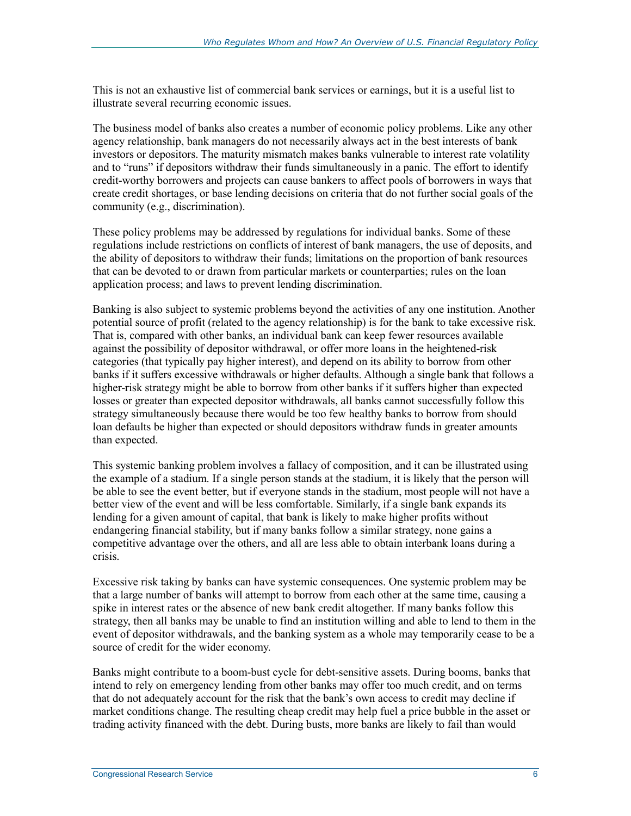This is not an exhaustive list of commercial bank services or earnings, but it is a useful list to illustrate several recurring economic issues.

The business model of banks also creates a number of economic policy problems. Like any other agency relationship, bank managers do not necessarily always act in the best interests of bank investors or depositors. The maturity mismatch makes banks vulnerable to interest rate volatility and to "runs" if depositors withdraw their funds simultaneously in a panic. The effort to identify credit-worthy borrowers and projects can cause bankers to affect pools of borrowers in ways that create credit shortages, or base lending decisions on criteria that do not further social goals of the community (e.g., discrimination).

These policy problems may be addressed by regulations for individual banks. Some of these regulations include restrictions on conflicts of interest of bank managers, the use of deposits, and the ability of depositors to withdraw their funds; limitations on the proportion of bank resources that can be devoted to or drawn from particular markets or counterparties; rules on the loan application process; and laws to prevent lending discrimination.

Banking is also subject to systemic problems beyond the activities of any one institution. Another potential source of profit (related to the agency relationship) is for the bank to take excessive risk. That is, compared with other banks, an individual bank can keep fewer resources available against the possibility of depositor withdrawal, or offer more loans in the heightened-risk categories (that typically pay higher interest), and depend on its ability to borrow from other banks if it suffers excessive withdrawals or higher defaults. Although a single bank that follows a higher-risk strategy might be able to borrow from other banks if it suffers higher than expected losses or greater than expected depositor withdrawals, all banks cannot successfully follow this strategy simultaneously because there would be too few healthy banks to borrow from should loan defaults be higher than expected or should depositors withdraw funds in greater amounts than expected.

This systemic banking problem involves a fallacy of composition, and it can be illustrated using the example of a stadium. If a single person stands at the stadium, it is likely that the person will be able to see the event better, but if everyone stands in the stadium, most people will not have a better view of the event and will be less comfortable. Similarly, if a single bank expands its lending for a given amount of capital, that bank is likely to make higher profits without endangering financial stability, but if many banks follow a similar strategy, none gains a competitive advantage over the others, and all are less able to obtain interbank loans during a crisis.

Excessive risk taking by banks can have systemic consequences. One systemic problem may be that a large number of banks will attempt to borrow from each other at the same time, causing a spike in interest rates or the absence of new bank credit altogether. If many banks follow this strategy, then all banks may be unable to find an institution willing and able to lend to them in the event of depositor withdrawals, and the banking system as a whole may temporarily cease to be a source of credit for the wider economy.

Banks might contribute to a boom-bust cycle for debt-sensitive assets. During booms, banks that intend to rely on emergency lending from other banks may offer too much credit, and on terms that do not adequately account for the risk that the bank's own access to credit may decline if market conditions change. The resulting cheap credit may help fuel a price bubble in the asset or trading activity financed with the debt. During busts, more banks are likely to fail than would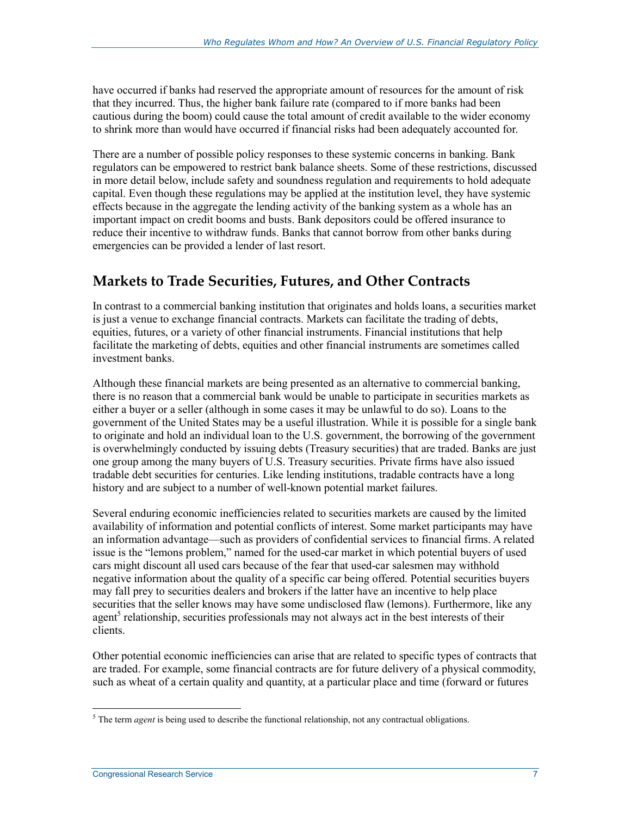have occurred if banks had reserved the appropriate amount of resources for the amount of risk that they incurred. Thus, the higher bank failure rate (compared to if more banks had been cautious during the boom) could cause the total amount of credit available to the wider economy to shrink more than would have occurred if financial risks had been adequately accounted for.

There are a number of possible policy responses to these systemic concerns in banking. Bank regulators can be empowered to restrict bank balance sheets. Some of these restrictions, discussed in more detail below, include safety and soundness regulation and requirements to hold adequate capital. Even though these regulations may be applied at the institution level, they have systemic effects because in the aggregate the lending activity of the banking system as a whole has an important impact on credit booms and busts. Bank depositors could be offered insurance to reduce their incentive to withdraw funds. Banks that cannot borrow from other banks during emergencies can be provided a lender of last resort.

### **Markets to Trade Securities, Futures, and Other Contracts**

In contrast to a commercial banking institution that originates and holds loans, a securities market is just a venue to exchange financial contracts. Markets can facilitate the trading of debts, equities, futures, or a variety of other financial instruments. Financial institutions that help facilitate the marketing of debts, equities and other financial instruments are sometimes called investment banks.

Although these financial markets are being presented as an alternative to commercial banking, there is no reason that a commercial bank would be unable to participate in securities markets as either a buyer or a seller (although in some cases it may be unlawful to do so). Loans to the government of the United States may be a useful illustration. While it is possible for a single bank to originate and hold an individual loan to the U.S. government, the borrowing of the government is overwhelmingly conducted by issuing debts (Treasury securities) that are traded. Banks are just one group among the many buyers of U.S. Treasury securities. Private firms have also issued tradable debt securities for centuries. Like lending institutions, tradable contracts have a long history and are subject to a number of well-known potential market failures.

Several enduring economic inefficiencies related to securities markets are caused by the limited availability of information and potential conflicts of interest. Some market participants may have an information advantage—such as providers of confidential services to financial firms. A related issue is the "lemons problem," named for the used-car market in which potential buyers of used cars might discount all used cars because of the fear that used-car salesmen may withhold negative information about the quality of a specific car being offered. Potential securities buyers may fall prey to securities dealers and brokers if the latter have an incentive to help place securities that the seller knows may have some undisclosed flaw (lemons). Furthermore, like any agent<sup>5</sup> relationship, securities professionals may not always act in the best interests of their clients.

Other potential economic inefficiencies can arise that are related to specific types of contracts that are traded. For example, some financial contracts are for future delivery of a physical commodity, such as wheat of a certain quality and quantity, at a particular place and time (forward or futures

<sup>&</sup>lt;sup>5</sup> The term *agent* is being used to describe the functional relationship, not any contractual obligations.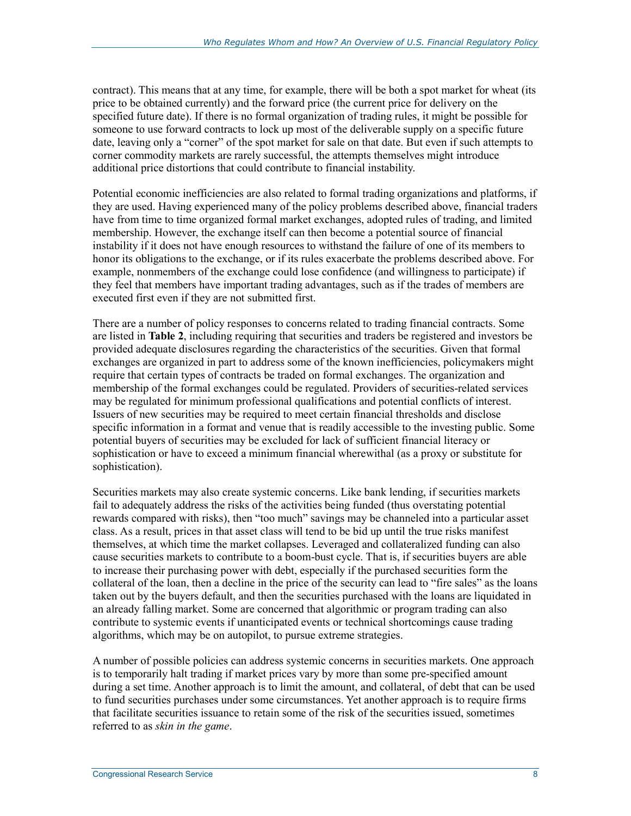contract). This means that at any time, for example, there will be both a spot market for wheat (its price to be obtained currently) and the forward price (the current price for delivery on the specified future date). If there is no formal organization of trading rules, it might be possible for someone to use forward contracts to lock up most of the deliverable supply on a specific future date, leaving only a "corner" of the spot market for sale on that date. But even if such attempts to corner commodity markets are rarely successful, the attempts themselves might introduce additional price distortions that could contribute to financial instability.

Potential economic inefficiencies are also related to formal trading organizations and platforms, if they are used. Having experienced many of the policy problems described above, financial traders have from time to time organized formal market exchanges, adopted rules of trading, and limited membership. However, the exchange itself can then become a potential source of financial instability if it does not have enough resources to withstand the failure of one of its members to honor its obligations to the exchange, or if its rules exacerbate the problems described above. For example, nonmembers of the exchange could lose confidence (and willingness to participate) if they feel that members have important trading advantages, such as if the trades of members are executed first even if they are not submitted first.

There are a number of policy responses to concerns related to trading financial contracts. Some are listed in **Table 2**, including requiring that securities and traders be registered and investors be provided adequate disclosures regarding the characteristics of the securities. Given that formal exchanges are organized in part to address some of the known inefficiencies, policymakers might require that certain types of contracts be traded on formal exchanges. The organization and membership of the formal exchanges could be regulated. Providers of securities-related services may be regulated for minimum professional qualifications and potential conflicts of interest. Issuers of new securities may be required to meet certain financial thresholds and disclose specific information in a format and venue that is readily accessible to the investing public. Some potential buyers of securities may be excluded for lack of sufficient financial literacy or sophistication or have to exceed a minimum financial wherewithal (as a proxy or substitute for sophistication).

Securities markets may also create systemic concerns. Like bank lending, if securities markets fail to adequately address the risks of the activities being funded (thus overstating potential rewards compared with risks), then "too much" savings may be channeled into a particular asset class. As a result, prices in that asset class will tend to be bid up until the true risks manifest themselves, at which time the market collapses. Leveraged and collateralized funding can also cause securities markets to contribute to a boom-bust cycle. That is, if securities buyers are able to increase their purchasing power with debt, especially if the purchased securities form the collateral of the loan, then a decline in the price of the security can lead to "fire sales" as the loans taken out by the buyers default, and then the securities purchased with the loans are liquidated in an already falling market. Some are concerned that algorithmic or program trading can also contribute to systemic events if unanticipated events or technical shortcomings cause trading algorithms, which may be on autopilot, to pursue extreme strategies.

A number of possible policies can address systemic concerns in securities markets. One approach is to temporarily halt trading if market prices vary by more than some pre-specified amount during a set time. Another approach is to limit the amount, and collateral, of debt that can be used to fund securities purchases under some circumstances. Yet another approach is to require firms that facilitate securities issuance to retain some of the risk of the securities issued, sometimes referred to as *skin in the game*.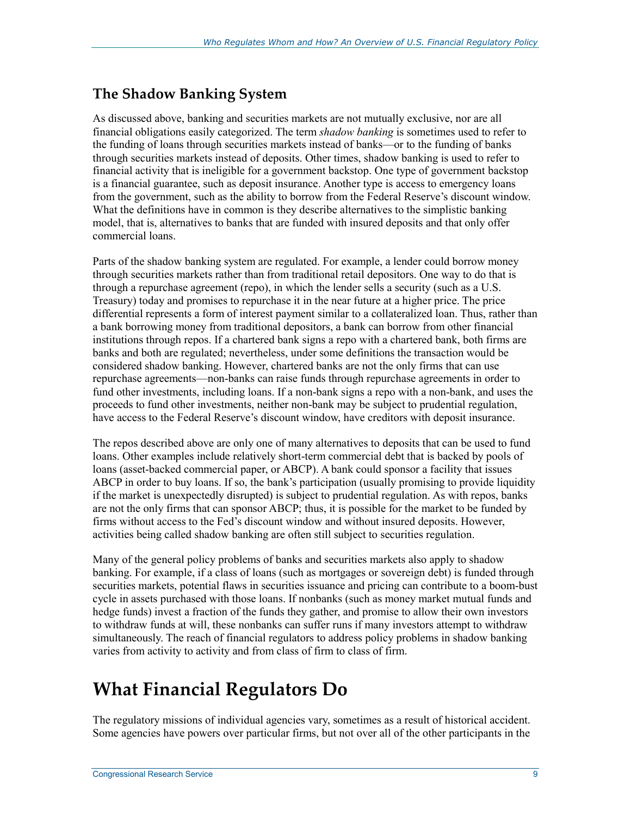## **The Shadow Banking System**

As discussed above, banking and securities markets are not mutually exclusive, nor are all financial obligations easily categorized. The term *shadow banking* is sometimes used to refer to the funding of loans through securities markets instead of banks—or to the funding of banks through securities markets instead of deposits. Other times, shadow banking is used to refer to financial activity that is ineligible for a government backstop. One type of government backstop is a financial guarantee, such as deposit insurance. Another type is access to emergency loans from the government, such as the ability to borrow from the Federal Reserve's discount window. What the definitions have in common is they describe alternatives to the simplistic banking model, that is, alternatives to banks that are funded with insured deposits and that only offer commercial loans.

Parts of the shadow banking system are regulated. For example, a lender could borrow money through securities markets rather than from traditional retail depositors. One way to do that is through a repurchase agreement (repo), in which the lender sells a security (such as a U.S. Treasury) today and promises to repurchase it in the near future at a higher price. The price differential represents a form of interest payment similar to a collateralized loan. Thus, rather than a bank borrowing money from traditional depositors, a bank can borrow from other financial institutions through repos. If a chartered bank signs a repo with a chartered bank, both firms are banks and both are regulated; nevertheless, under some definitions the transaction would be considered shadow banking. However, chartered banks are not the only firms that can use repurchase agreements—non-banks can raise funds through repurchase agreements in order to fund other investments, including loans. If a non-bank signs a repo with a non-bank, and uses the proceeds to fund other investments, neither non-bank may be subject to prudential regulation, have access to the Federal Reserve's discount window, have creditors with deposit insurance.

The repos described above are only one of many alternatives to deposits that can be used to fund loans. Other examples include relatively short-term commercial debt that is backed by pools of loans (asset-backed commercial paper, or ABCP). A bank could sponsor a facility that issues ABCP in order to buy loans. If so, the bank's participation (usually promising to provide liquidity if the market is unexpectedly disrupted) is subject to prudential regulation. As with repos, banks are not the only firms that can sponsor ABCP; thus, it is possible for the market to be funded by firms without access to the Fed's discount window and without insured deposits. However, activities being called shadow banking are often still subject to securities regulation.

Many of the general policy problems of banks and securities markets also apply to shadow banking. For example, if a class of loans (such as mortgages or sovereign debt) is funded through securities markets, potential flaws in securities issuance and pricing can contribute to a boom-bust cycle in assets purchased with those loans. If nonbanks (such as money market mutual funds and hedge funds) invest a fraction of the funds they gather, and promise to allow their own investors to withdraw funds at will, these nonbanks can suffer runs if many investors attempt to withdraw simultaneously. The reach of financial regulators to address policy problems in shadow banking varies from activity to activity and from class of firm to class of firm.

## **What Financial Regulators Do**

The regulatory missions of individual agencies vary, sometimes as a result of historical accident. Some agencies have powers over particular firms, but not over all of the other participants in the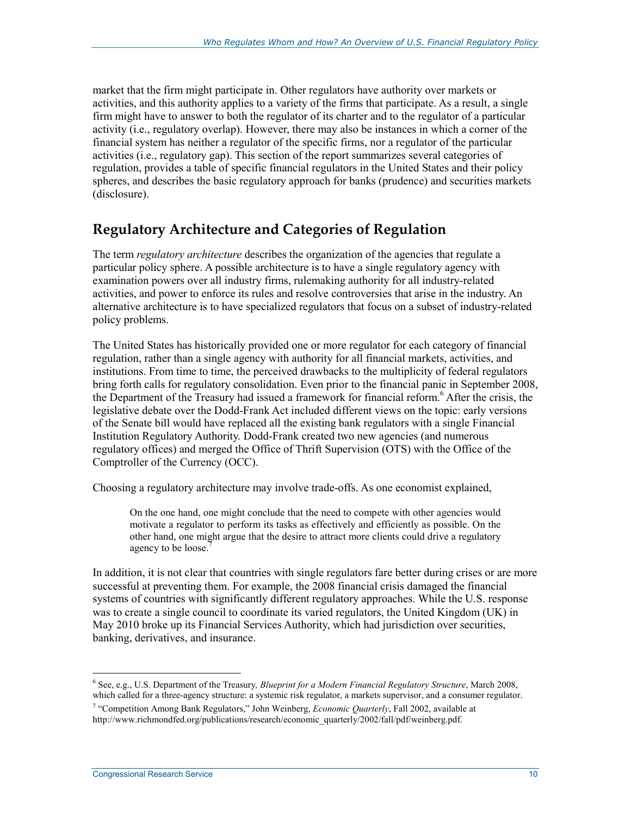market that the firm might participate in. Other regulators have authority over markets or activities, and this authority applies to a variety of the firms that participate. As a result, a single firm might have to answer to both the regulator of its charter and to the regulator of a particular activity (i.e., regulatory overlap). However, there may also be instances in which a corner of the financial system has neither a regulator of the specific firms, nor a regulator of the particular activities (i.e., regulatory gap). This section of the report summarizes several categories of regulation, provides a table of specific financial regulators in the United States and their policy spheres, and describes the basic regulatory approach for banks (prudence) and securities markets (disclosure).

## **Regulatory Architecture and Categories of Regulation**

The term *regulatory architecture* describes the organization of the agencies that regulate a particular policy sphere. A possible architecture is to have a single regulatory agency with examination powers over all industry firms, rulemaking authority for all industry-related activities, and power to enforce its rules and resolve controversies that arise in the industry. An alternative architecture is to have specialized regulators that focus on a subset of industry-related policy problems.

The United States has historically provided one or more regulator for each category of financial regulation, rather than a single agency with authority for all financial markets, activities, and institutions. From time to time, the perceived drawbacks to the multiplicity of federal regulators bring forth calls for regulatory consolidation. Even prior to the financial panic in September 2008, the Department of the Treasury had issued a framework for financial reform.<sup>6</sup> After the crisis, the legislative debate over the Dodd-Frank Act included different views on the topic: early versions of the Senate bill would have replaced all the existing bank regulators with a single Financial Institution Regulatory Authority. Dodd-Frank created two new agencies (and numerous regulatory offices) and merged the Office of Thrift Supervision (OTS) with the Office of the Comptroller of the Currency (OCC).

Choosing a regulatory architecture may involve trade-offs. As one economist explained,

On the one hand, one might conclude that the need to compete with other agencies would motivate a regulator to perform its tasks as effectively and efficiently as possible. On the other hand, one might argue that the desire to attract more clients could drive a regulatory agency to be loose.<sup>7</sup>

In addition, it is not clear that countries with single regulators fare better during crises or are more successful at preventing them. For example, the 2008 financial crisis damaged the financial systems of countries with significantly different regulatory approaches. While the U.S. response was to create a single council to coordinate its varied regulators, the United Kingdom (UK) in May 2010 broke up its Financial Services Authority, which had jurisdiction over securities, banking, derivatives, and insurance.

1

<sup>6</sup> See, e.g., U.S. Department of the Treasury*, Blueprint for a Modern Financial Regulatory Structure*, March 2008, which called for a three-agency structure: a systemic risk regulator, a markets supervisor, and a consumer regulator.

<sup>&</sup>lt;sup>7</sup> "Competition Among Bank Regulators," John Weinberg, *Economic Quarterly*, Fall 2002, available at

http://www.richmondfed.org/publications/research/economic\_quarterly/2002/fall/pdf/weinberg.pdf.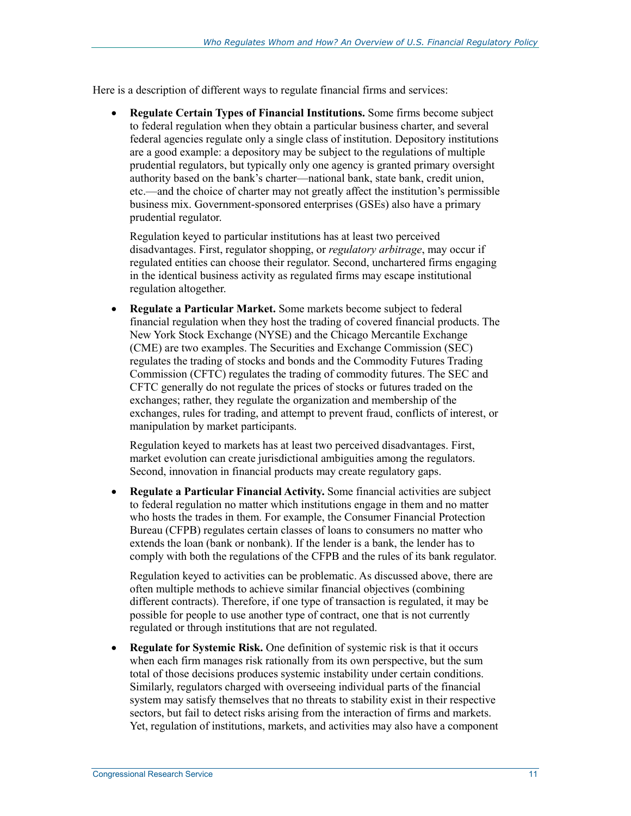Here is a description of different ways to regulate financial firms and services:

• **Regulate Certain Types of Financial Institutions.** Some firms become subject to federal regulation when they obtain a particular business charter, and several federal agencies regulate only a single class of institution. Depository institutions are a good example: a depository may be subject to the regulations of multiple prudential regulators, but typically only one agency is granted primary oversight authority based on the bank's charter—national bank, state bank, credit union, etc.—and the choice of charter may not greatly affect the institution's permissible business mix. Government-sponsored enterprises (GSEs) also have a primary prudential regulator.

Regulation keyed to particular institutions has at least two perceived disadvantages. First, regulator shopping, or *regulatory arbitrage*, may occur if regulated entities can choose their regulator. Second, unchartered firms engaging in the identical business activity as regulated firms may escape institutional regulation altogether.

• **Regulate a Particular Market.** Some markets become subject to federal financial regulation when they host the trading of covered financial products. The New York Stock Exchange (NYSE) and the Chicago Mercantile Exchange (CME) are two examples. The Securities and Exchange Commission (SEC) regulates the trading of stocks and bonds and the Commodity Futures Trading Commission (CFTC) regulates the trading of commodity futures. The SEC and CFTC generally do not regulate the prices of stocks or futures traded on the exchanges; rather, they regulate the organization and membership of the exchanges, rules for trading, and attempt to prevent fraud, conflicts of interest, or manipulation by market participants.

Regulation keyed to markets has at least two perceived disadvantages. First, market evolution can create jurisdictional ambiguities among the regulators. Second, innovation in financial products may create regulatory gaps.

• **Regulate a Particular Financial Activity.** Some financial activities are subject to federal regulation no matter which institutions engage in them and no matter who hosts the trades in them. For example, the Consumer Financial Protection Bureau (CFPB) regulates certain classes of loans to consumers no matter who extends the loan (bank or nonbank). If the lender is a bank, the lender has to comply with both the regulations of the CFPB and the rules of its bank regulator.

Regulation keyed to activities can be problematic. As discussed above, there are often multiple methods to achieve similar financial objectives (combining different contracts). Therefore, if one type of transaction is regulated, it may be possible for people to use another type of contract, one that is not currently regulated or through institutions that are not regulated.

• **Regulate for Systemic Risk.** One definition of systemic risk is that it occurs when each firm manages risk rationally from its own perspective, but the sum total of those decisions produces systemic instability under certain conditions. Similarly, regulators charged with overseeing individual parts of the financial system may satisfy themselves that no threats to stability exist in their respective sectors, but fail to detect risks arising from the interaction of firms and markets. Yet, regulation of institutions, markets, and activities may also have a component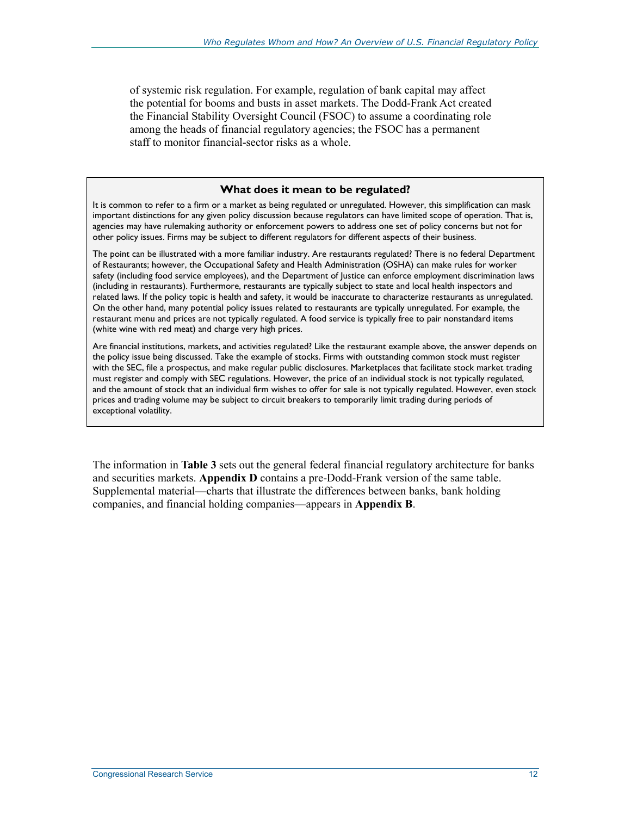of systemic risk regulation. For example, regulation of bank capital may affect the potential for booms and busts in asset markets. The Dodd-Frank Act created the Financial Stability Oversight Council (FSOC) to assume a coordinating role among the heads of financial regulatory agencies; the FSOC has a permanent staff to monitor financial-sector risks as a whole.

#### **What does it mean to be regulated?**

It is common to refer to a firm or a market as being regulated or unregulated. However, this simplification can mask important distinctions for any given policy discussion because regulators can have limited scope of operation. That is, agencies may have rulemaking authority or enforcement powers to address one set of policy concerns but not for other policy issues. Firms may be subject to different regulators for different aspects of their business.

The point can be illustrated with a more familiar industry. Are restaurants regulated? There is no federal Department of Restaurants; however, the Occupational Safety and Health Administration (OSHA) can make rules for worker safety (including food service employees), and the Department of Justice can enforce employment discrimination laws (including in restaurants). Furthermore, restaurants are typically subject to state and local health inspectors and related laws. If the policy topic is health and safety, it would be inaccurate to characterize restaurants as unregulated. On the other hand, many potential policy issues related to restaurants are typically unregulated. For example, the restaurant menu and prices are not typically regulated. A food service is typically free to pair nonstandard items (white wine with red meat) and charge very high prices.

Are financial institutions, markets, and activities regulated? Like the restaurant example above, the answer depends on the policy issue being discussed. Take the example of stocks. Firms with outstanding common stock must register with the SEC, file a prospectus, and make regular public disclosures. Marketplaces that facilitate stock market trading must register and comply with SEC regulations. However, the price of an individual stock is not typically regulated, and the amount of stock that an individual firm wishes to offer for sale is not typically regulated. However, even stock prices and trading volume may be subject to circuit breakers to temporarily limit trading during periods of exceptional volatility.

The information in **Table 3** sets out the general federal financial regulatory architecture for banks and securities markets. **Appendix D** contains a pre-Dodd-Frank version of the same table. Supplemental material—charts that illustrate the differences between banks, bank holding companies, and financial holding companies—appears in **Appendix B**.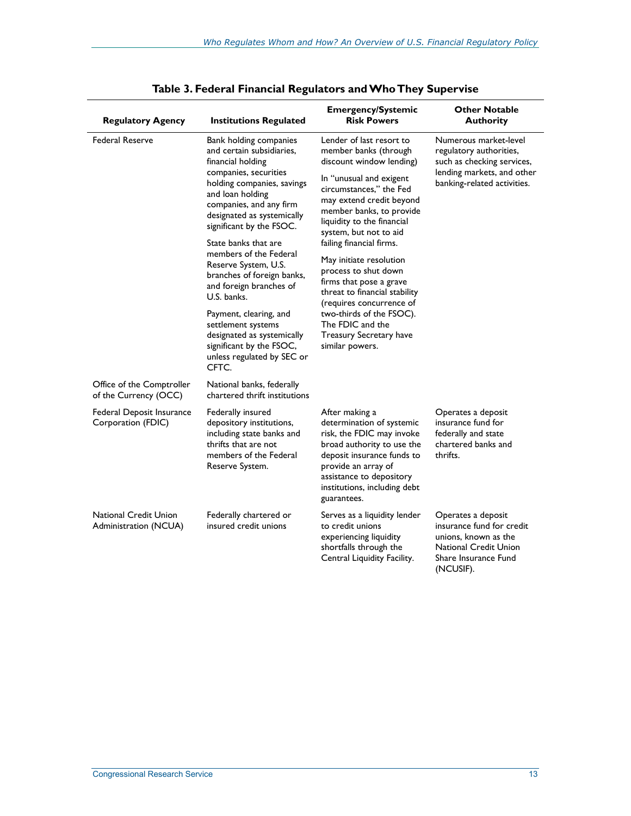| <b>Regulatory Agency</b>                              | <b>Institutions Regulated</b>                                                                                                                                                                                                                                                                                                                                                                                                                                                                                                               | <b>Emergency/Systemic</b><br><b>Risk Powers</b>                                                                                                                                                                                                                                                                                                                                                                                                                                                                          | <b>Other Notable</b><br><b>Authority</b>                                                                                                    |
|-------------------------------------------------------|---------------------------------------------------------------------------------------------------------------------------------------------------------------------------------------------------------------------------------------------------------------------------------------------------------------------------------------------------------------------------------------------------------------------------------------------------------------------------------------------------------------------------------------------|--------------------------------------------------------------------------------------------------------------------------------------------------------------------------------------------------------------------------------------------------------------------------------------------------------------------------------------------------------------------------------------------------------------------------------------------------------------------------------------------------------------------------|---------------------------------------------------------------------------------------------------------------------------------------------|
| <b>Federal Reserve</b>                                | Bank holding companies<br>and certain subsidiaries,<br>financial holding<br>companies, securities<br>holding companies, savings<br>and loan holding<br>companies, and any firm<br>designated as systemically<br>significant by the FSOC.<br>State banks that are<br>members of the Federal<br>Reserve System, U.S.<br>branches of foreign banks,<br>and foreign branches of<br>U.S. banks.<br>Payment, clearing, and<br>settlement systems<br>designated as systemically<br>significant by the FSOC,<br>unless regulated by SEC or<br>CFTC. | Lender of last resort to<br>member banks (through<br>discount window lending)<br>In "unusual and exigent<br>circumstances," the Fed<br>may extend credit beyond<br>member banks, to provide<br>liquidity to the financial<br>system, but not to aid<br>failing financial firms.<br>May initiate resolution<br>process to shut down<br>firms that pose a grave<br>threat to financial stability<br>(requires concurrence of<br>two-thirds of the FSOC).<br>The FDIC and the<br>Treasury Secretary have<br>similar powers. | Numerous market-level<br>regulatory authorities,<br>such as checking services,<br>lending markets, and other<br>banking-related activities. |
| Office of the Comptroller<br>of the Currency (OCC)    | National banks, federally<br>chartered thrift institutions                                                                                                                                                                                                                                                                                                                                                                                                                                                                                  |                                                                                                                                                                                                                                                                                                                                                                                                                                                                                                                          |                                                                                                                                             |
| Federal Deposit Insurance<br>Corporation (FDIC)       | Federally insured<br>depository institutions,<br>including state banks and<br>thrifts that are not<br>members of the Federal<br>Reserve System.                                                                                                                                                                                                                                                                                                                                                                                             | After making a<br>determination of systemic<br>risk, the FDIC may invoke<br>broad authority to use the<br>deposit insurance funds to<br>provide an array of<br>assistance to depository<br>institutions, including debt<br>guarantees.                                                                                                                                                                                                                                                                                   | Operates a deposit<br>insurance fund for<br>federally and state<br>chartered banks and<br>thrifts.                                          |
| <b>National Credit Union</b><br>Administration (NCUA) | Federally chartered or<br>insured credit unions                                                                                                                                                                                                                                                                                                                                                                                                                                                                                             | Serves as a liquidity lender<br>to credit unions<br>experiencing liquidity<br>shortfalls through the<br>Central Liquidity Facility.                                                                                                                                                                                                                                                                                                                                                                                      | Operates a deposit<br>insurance fund for credit<br>unions, known as the<br>National Credit Union<br>Share Insurance Fund                    |

### **Table 3. Federal Financial Regulators and Who They Supervise**

(NCUSIF).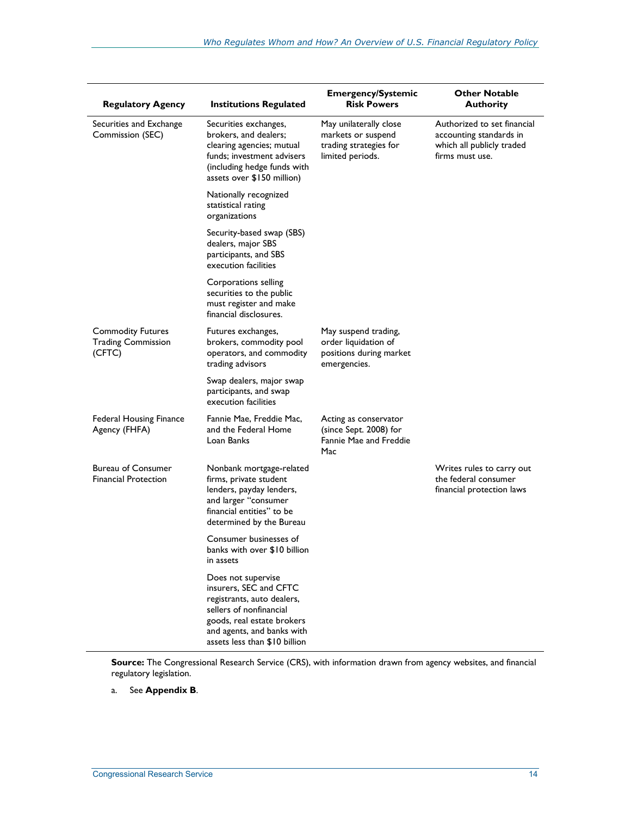| <b>Regulatory Agency</b>                                        | <b>Institutions Regulated</b>                                                                                                                                                                      | <b>Emergency/Systemic</b><br><b>Risk Powers</b>                                            | <b>Other Notable</b><br><b>Authority</b>                                                               |
|-----------------------------------------------------------------|----------------------------------------------------------------------------------------------------------------------------------------------------------------------------------------------------|--------------------------------------------------------------------------------------------|--------------------------------------------------------------------------------------------------------|
| Securities and Exchange<br>Commission (SEC)                     | Securities exchanges,<br>brokers, and dealers;<br>clearing agencies; mutual<br>funds; investment advisers<br>(including hedge funds with<br>assets over \$150 million)                             | May unilaterally close<br>markets or suspend<br>trading strategies for<br>limited periods. | Authorized to set financial<br>accounting standards in<br>which all publicly traded<br>firms must use. |
|                                                                 | Nationally recognized<br>statistical rating<br>organizations                                                                                                                                       |                                                                                            |                                                                                                        |
|                                                                 | Security-based swap (SBS)<br>dealers, major SBS<br>participants, and SBS<br>execution facilities                                                                                                   |                                                                                            |                                                                                                        |
|                                                                 | Corporations selling<br>securities to the public<br>must register and make<br>financial disclosures.                                                                                               |                                                                                            |                                                                                                        |
| <b>Commodity Futures</b><br><b>Trading Commission</b><br>(CFTC) | Futures exchanges,<br>brokers, commodity pool<br>operators, and commodity<br>trading advisors                                                                                                      | May suspend trading,<br>order liquidation of<br>positions during market<br>emergencies.    |                                                                                                        |
|                                                                 | Swap dealers, major swap<br>participants, and swap<br>execution facilities                                                                                                                         |                                                                                            |                                                                                                        |
| <b>Federal Housing Finance</b><br>Agency (FHFA)                 | Fannie Mae, Freddie Mac,<br>and the Federal Home<br>Loan Banks                                                                                                                                     | Acting as conservator<br>(since Sept. 2008) for<br><b>Fannie Mae and Freddie</b><br>Mac    |                                                                                                        |
| <b>Bureau of Consumer</b><br><b>Financial Protection</b>        | Nonbank mortgage-related<br>firms, private student<br>lenders, payday lenders,<br>and larger "consumer<br>financial entities" to be<br>determined by the Bureau                                    |                                                                                            | Writes rules to carry out<br>the federal consumer<br>financial protection laws                         |
|                                                                 | Consumer businesses of<br>banks with over \$10 billion<br>in assets                                                                                                                                |                                                                                            |                                                                                                        |
|                                                                 | Does not supervise<br>insurers, SEC and CFTC<br>registrants, auto dealers,<br>sellers of nonfinancial<br>goods, real estate brokers<br>and agents, and banks with<br>assets less than \$10 billion |                                                                                            |                                                                                                        |

**Source:** The Congressional Research Service (CRS), with information drawn from agency websites, and financial regulatory legislation.

a. See **Appendix B**.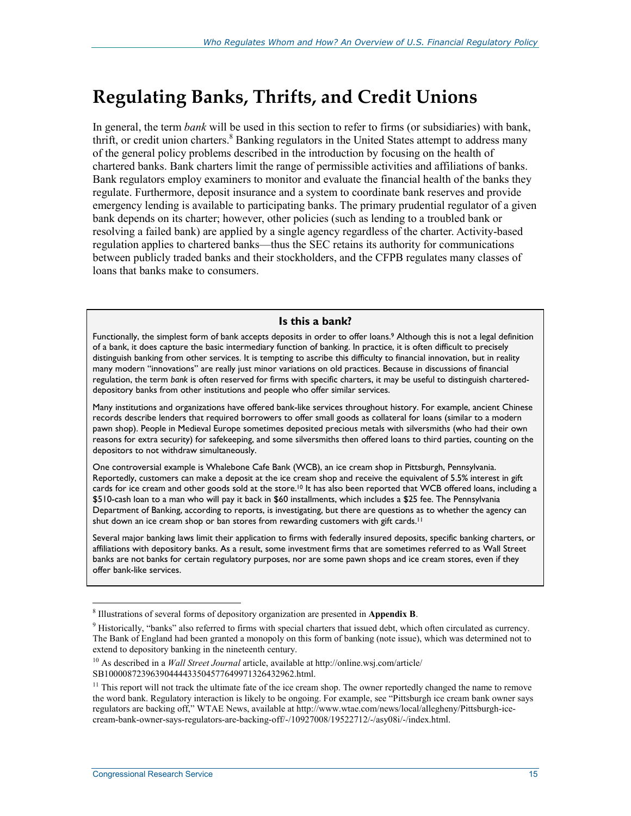## **Regulating Banks, Thrifts, and Credit Unions**

In general, the term *bank* will be used in this section to refer to firms (or subsidiaries) with bank, thrift, or credit union charters.<sup>8</sup> Banking regulators in the United States attempt to address many of the general policy problems described in the introduction by focusing on the health of chartered banks. Bank charters limit the range of permissible activities and affiliations of banks. Bank regulators employ examiners to monitor and evaluate the financial health of the banks they regulate. Furthermore, deposit insurance and a system to coordinate bank reserves and provide emergency lending is available to participating banks. The primary prudential regulator of a given bank depends on its charter; however, other policies (such as lending to a troubled bank or resolving a failed bank) are applied by a single agency regardless of the charter. Activity-based regulation applies to chartered banks—thus the SEC retains its authority for communications between publicly traded banks and their stockholders, and the CFPB regulates many classes of loans that banks make to consumers.

#### **Is this a bank?**

Functionally, the simplest form of bank accepts deposits in order to offer loans.9 Although this is not a legal definition of a bank, it does capture the basic intermediary function of banking. In practice, it is often difficult to precisely distinguish banking from other services. It is tempting to ascribe this difficulty to financial innovation, but in reality many modern "innovations" are really just minor variations on old practices. Because in discussions of financial regulation, the term *bank* is often reserved for firms with specific charters, it may be useful to distinguish chartereddepository banks from other institutions and people who offer similar services.

Many institutions and organizations have offered bank-like services throughout history. For example, ancient Chinese records describe lenders that required borrowers to offer small goods as collateral for loans (similar to a modern pawn shop). People in Medieval Europe sometimes deposited precious metals with silversmiths (who had their own reasons for extra security) for safekeeping, and some silversmiths then offered loans to third parties, counting on the depositors to not withdraw simultaneously.

One controversial example is Whalebone Cafe Bank (WCB), an ice cream shop in Pittsburgh, Pennsylvania. Reportedly, customers can make a deposit at the ice cream shop and receive the equivalent of 5.5% interest in gift cards for ice cream and other goods sold at the store.<sup>10</sup> It has also been reported that WCB offered loans, including a \$510-cash loan to a man who will pay it back in \$60 installments, which includes a \$25 fee. The Pennsylvania Department of Banking, according to reports, is investigating, but there are questions as to whether the agency can shut down an ice cream shop or ban stores from rewarding customers with gift cards.<sup>11</sup>

Several major banking laws limit their application to firms with federally insured deposits, specific banking charters, or affiliations with depository banks. As a result, some investment firms that are sometimes referred to as Wall Street banks are not banks for certain regulatory purposes, nor are some pawn shops and ice cream stores, even if they offer bank-like services.

1

<sup>8</sup> Illustrations of several forms of depository organization are presented in **Appendix B**.

<sup>&</sup>lt;sup>9</sup> Historically, "banks" also referred to firms with special charters that issued debt, which often circulated as currency. The Bank of England had been granted a monopoly on this form of banking (note issue), which was determined not to extend to depository banking in the nineteenth century.

<sup>10</sup> As described in a *Wall Street Journal* article, available at http://online.wsj.com/article/ SB10000872396390444433504577649971326432962.html.

 $11$  This report will not track the ultimate fate of the ice cream shop. The owner reportedly changed the name to remove the word bank. Regulatory interaction is likely to be ongoing. For example, see "Pittsburgh ice cream bank owner says regulators are backing off," WTAE News, available at http://www.wtae.com/news/local/allegheny/Pittsburgh-icecream-bank-owner-says-regulators-are-backing-off/-/10927008/19522712/-/asy08i/-/index.html.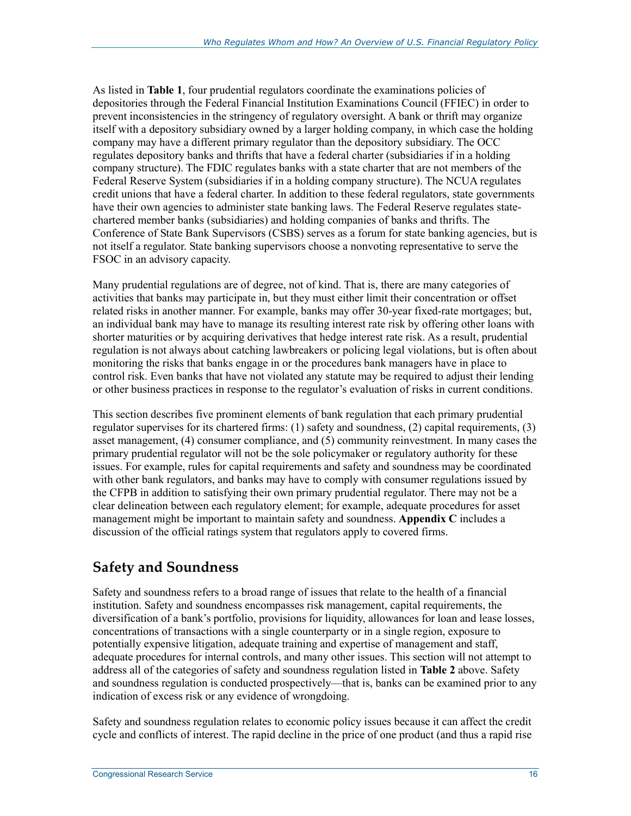As listed in **Table 1**, four prudential regulators coordinate the examinations policies of depositories through the Federal Financial Institution Examinations Council (FFIEC) in order to prevent inconsistencies in the stringency of regulatory oversight. A bank or thrift may organize itself with a depository subsidiary owned by a larger holding company, in which case the holding company may have a different primary regulator than the depository subsidiary. The OCC regulates depository banks and thrifts that have a federal charter (subsidiaries if in a holding company structure). The FDIC regulates banks with a state charter that are not members of the Federal Reserve System (subsidiaries if in a holding company structure). The NCUA regulates credit unions that have a federal charter. In addition to these federal regulators, state governments have their own agencies to administer state banking laws. The Federal Reserve regulates statechartered member banks (subsidiaries) and holding companies of banks and thrifts. The Conference of State Bank Supervisors (CSBS) serves as a forum for state banking agencies, but is not itself a regulator. State banking supervisors choose a nonvoting representative to serve the FSOC in an advisory capacity.

Many prudential regulations are of degree, not of kind. That is, there are many categories of activities that banks may participate in, but they must either limit their concentration or offset related risks in another manner. For example, banks may offer 30-year fixed-rate mortgages; but, an individual bank may have to manage its resulting interest rate risk by offering other loans with shorter maturities or by acquiring derivatives that hedge interest rate risk. As a result, prudential regulation is not always about catching lawbreakers or policing legal violations, but is often about monitoring the risks that banks engage in or the procedures bank managers have in place to control risk. Even banks that have not violated any statute may be required to adjust their lending or other business practices in response to the regulator's evaluation of risks in current conditions.

This section describes five prominent elements of bank regulation that each primary prudential regulator supervises for its chartered firms: (1) safety and soundness, (2) capital requirements, (3) asset management, (4) consumer compliance, and (5) community reinvestment. In many cases the primary prudential regulator will not be the sole policymaker or regulatory authority for these issues. For example, rules for capital requirements and safety and soundness may be coordinated with other bank regulators, and banks may have to comply with consumer regulations issued by the CFPB in addition to satisfying their own primary prudential regulator. There may not be a clear delineation between each regulatory element; for example, adequate procedures for asset management might be important to maintain safety and soundness. **Appendix C** includes a discussion of the official ratings system that regulators apply to covered firms.

## **Safety and Soundness**

Safety and soundness refers to a broad range of issues that relate to the health of a financial institution. Safety and soundness encompasses risk management, capital requirements, the diversification of a bank's portfolio, provisions for liquidity, allowances for loan and lease losses, concentrations of transactions with a single counterparty or in a single region, exposure to potentially expensive litigation, adequate training and expertise of management and staff, adequate procedures for internal controls, and many other issues. This section will not attempt to address all of the categories of safety and soundness regulation listed in **Table 2** above. Safety and soundness regulation is conducted prospectively—that is, banks can be examined prior to any indication of excess risk or any evidence of wrongdoing.

Safety and soundness regulation relates to economic policy issues because it can affect the credit cycle and conflicts of interest. The rapid decline in the price of one product (and thus a rapid rise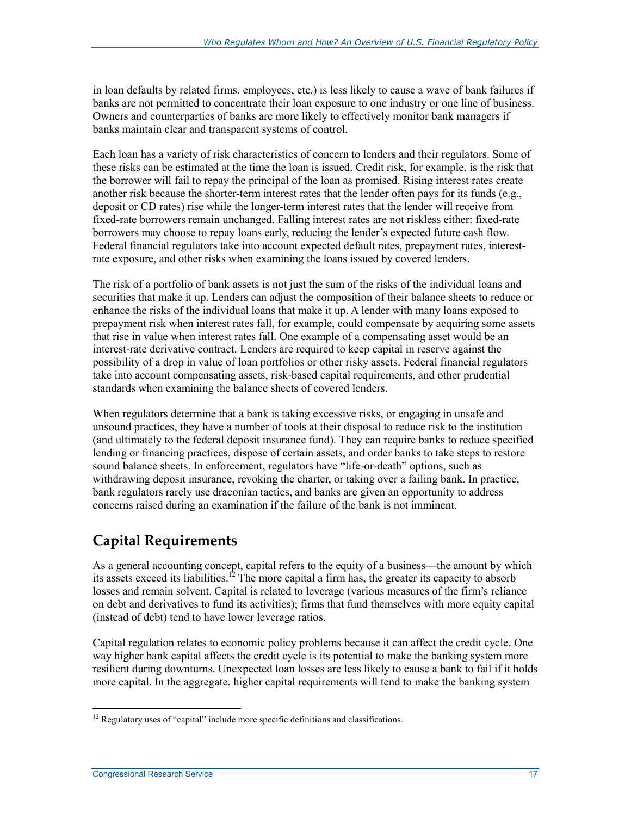in loan defaults by related firms, employees, etc.) is less likely to cause a wave of bank failures if banks are not permitted to concentrate their loan exposure to one industry or one line of business. Owners and counterparties of banks are more likely to effectively monitor bank managers if banks maintain clear and transparent systems of control.

Each loan has a variety of risk characteristics of concern to lenders and their regulators. Some of these risks can be estimated at the time the loan is issued. Credit risk, for example, is the risk that the borrower will fail to repay the principal of the loan as promised. Rising interest rates create another risk because the shorter-term interest rates that the lender often pays for its funds (e.g., deposit or CD rates) rise while the longer-term interest rates that the lender will receive from fixed-rate borrowers remain unchanged. Falling interest rates are not riskless either: fixed-rate borrowers may choose to repay loans early, reducing the lender's expected future cash flow. Federal financial regulators take into account expected default rates, prepayment rates, interestrate exposure, and other risks when examining the loans issued by covered lenders.

The risk of a portfolio of bank assets is not just the sum of the risks of the individual loans and securities that make it up. Lenders can adjust the composition of their balance sheets to reduce or enhance the risks of the individual loans that make it up. A lender with many loans exposed to prepayment risk when interest rates fall, for example, could compensate by acquiring some assets that rise in value when interest rates fall. One example of a compensating asset would be an interest-rate derivative contract. Lenders are required to keep capital in reserve against the possibility of a drop in value of loan portfolios or other risky assets. Federal financial regulators take into account compensating assets, risk-based capital requirements, and other prudential standards when examining the balance sheets of covered lenders.

When regulators determine that a bank is taking excessive risks, or engaging in unsafe and unsound practices, they have a number of tools at their disposal to reduce risk to the institution (and ultimately to the federal deposit insurance fund). They can require banks to reduce specified lending or financing practices, dispose of certain assets, and order banks to take steps to restore sound balance sheets. In enforcement, regulators have "life-or-death" options, such as withdrawing deposit insurance, revoking the charter, or taking over a failing bank. In practice, bank regulators rarely use draconian tactics, and banks are given an opportunity to address concerns raised during an examination if the failure of the bank is not imminent.

## **Capital Requirements**

As a general accounting concept, capital refers to the equity of a business—the amount by which its assets exceed its liabilities.<sup>12</sup> The more capital a firm has, the greater its capacity to absorb losses and remain solvent. Capital is related to leverage (various measures of the firm's reliance on debt and derivatives to fund its activities); firms that fund themselves with more equity capital (instead of debt) tend to have lower leverage ratios.

Capital regulation relates to economic policy problems because it can affect the credit cycle. One way higher bank capital affects the credit cycle is its potential to make the banking system more resilient during downturns. Unexpected loan losses are less likely to cause a bank to fail if it holds more capital. In the aggregate, higher capital requirements will tend to make the banking system

<sup>&</sup>lt;u>.</u>  $12$  Regulatory uses of "capital" include more specific definitions and classifications.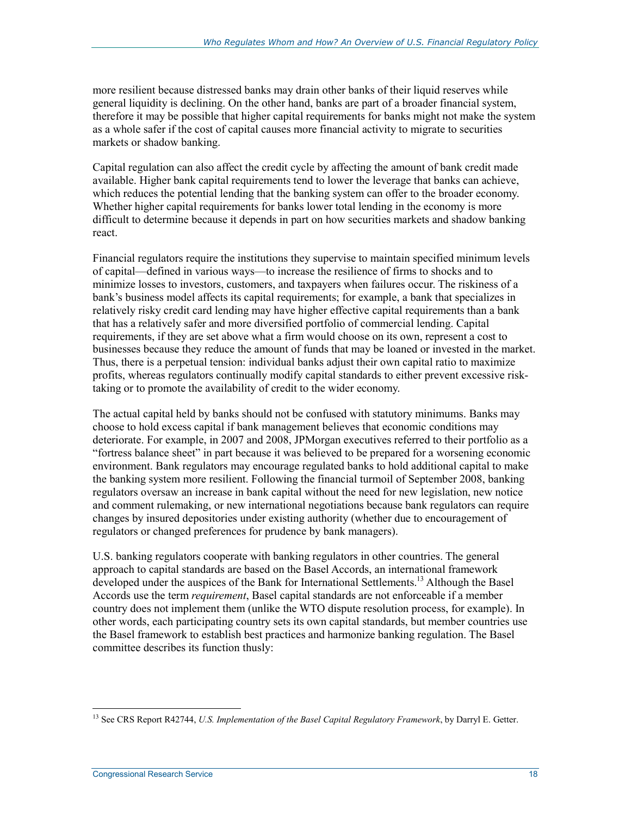more resilient because distressed banks may drain other banks of their liquid reserves while general liquidity is declining. On the other hand, banks are part of a broader financial system, therefore it may be possible that higher capital requirements for banks might not make the system as a whole safer if the cost of capital causes more financial activity to migrate to securities markets or shadow banking.

Capital regulation can also affect the credit cycle by affecting the amount of bank credit made available. Higher bank capital requirements tend to lower the leverage that banks can achieve, which reduces the potential lending that the banking system can offer to the broader economy. Whether higher capital requirements for banks lower total lending in the economy is more difficult to determine because it depends in part on how securities markets and shadow banking react.

Financial regulators require the institutions they supervise to maintain specified minimum levels of capital—defined in various ways—to increase the resilience of firms to shocks and to minimize losses to investors, customers, and taxpayers when failures occur. The riskiness of a bank's business model affects its capital requirements; for example, a bank that specializes in relatively risky credit card lending may have higher effective capital requirements than a bank that has a relatively safer and more diversified portfolio of commercial lending. Capital requirements, if they are set above what a firm would choose on its own, represent a cost to businesses because they reduce the amount of funds that may be loaned or invested in the market. Thus, there is a perpetual tension: individual banks adjust their own capital ratio to maximize profits, whereas regulators continually modify capital standards to either prevent excessive risktaking or to promote the availability of credit to the wider economy.

The actual capital held by banks should not be confused with statutory minimums. Banks may choose to hold excess capital if bank management believes that economic conditions may deteriorate. For example, in 2007 and 2008, JPMorgan executives referred to their portfolio as a "fortress balance sheet" in part because it was believed to be prepared for a worsening economic environment. Bank regulators may encourage regulated banks to hold additional capital to make the banking system more resilient. Following the financial turmoil of September 2008, banking regulators oversaw an increase in bank capital without the need for new legislation, new notice and comment rulemaking, or new international negotiations because bank regulators can require changes by insured depositories under existing authority (whether due to encouragement of regulators or changed preferences for prudence by bank managers).

U.S. banking regulators cooperate with banking regulators in other countries. The general approach to capital standards are based on the Basel Accords, an international framework developed under the auspices of the Bank for International Settlements.<sup>13</sup> Although the Basel Accords use the term *requirement*, Basel capital standards are not enforceable if a member country does not implement them (unlike the WTO dispute resolution process, for example). In other words, each participating country sets its own capital standards, but member countries use the Basel framework to establish best practices and harmonize banking regulation. The Basel committee describes its function thusly:

<u>.</u>

<sup>13</sup> See CRS Report R42744, *U.S. Implementation of the Basel Capital Regulatory Framework*, by Darryl E. Getter.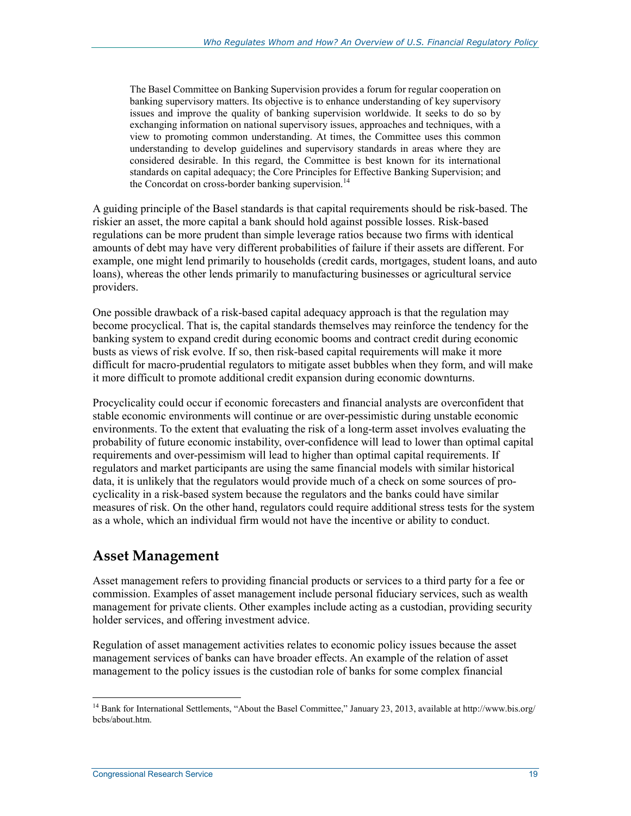The Basel Committee on Banking Supervision provides a forum for regular cooperation on banking supervisory matters. Its objective is to enhance understanding of key supervisory issues and improve the quality of banking supervision worldwide. It seeks to do so by exchanging information on national supervisory issues, approaches and techniques, with a view to promoting common understanding. At times, the Committee uses this common understanding to develop guidelines and supervisory standards in areas where they are considered desirable. In this regard, the Committee is best known for its international standards on capital adequacy; the Core Principles for Effective Banking Supervision; and the Concordat on cross-border banking supervision.<sup>14</sup>

A guiding principle of the Basel standards is that capital requirements should be risk-based. The riskier an asset, the more capital a bank should hold against possible losses. Risk-based regulations can be more prudent than simple leverage ratios because two firms with identical amounts of debt may have very different probabilities of failure if their assets are different. For example, one might lend primarily to households (credit cards, mortgages, student loans, and auto loans), whereas the other lends primarily to manufacturing businesses or agricultural service providers.

One possible drawback of a risk-based capital adequacy approach is that the regulation may become procyclical. That is, the capital standards themselves may reinforce the tendency for the banking system to expand credit during economic booms and contract credit during economic busts as views of risk evolve. If so, then risk-based capital requirements will make it more difficult for macro-prudential regulators to mitigate asset bubbles when they form, and will make it more difficult to promote additional credit expansion during economic downturns.

Procyclicality could occur if economic forecasters and financial analysts are overconfident that stable economic environments will continue or are over-pessimistic during unstable economic environments. To the extent that evaluating the risk of a long-term asset involves evaluating the probability of future economic instability, over-confidence will lead to lower than optimal capital requirements and over-pessimism will lead to higher than optimal capital requirements. If regulators and market participants are using the same financial models with similar historical data, it is unlikely that the regulators would provide much of a check on some sources of procyclicality in a risk-based system because the regulators and the banks could have similar measures of risk. On the other hand, regulators could require additional stress tests for the system as a whole, which an individual firm would not have the incentive or ability to conduct.

### **Asset Management**

Asset management refers to providing financial products or services to a third party for a fee or commission. Examples of asset management include personal fiduciary services, such as wealth management for private clients. Other examples include acting as a custodian, providing security holder services, and offering investment advice.

Regulation of asset management activities relates to economic policy issues because the asset management services of banks can have broader effects. An example of the relation of asset management to the policy issues is the custodian role of banks for some complex financial

1

<sup>&</sup>lt;sup>14</sup> Bank for International Settlements, "About the Basel Committee," January 23, 2013, available at http://www.bis.org/ bcbs/about.htm.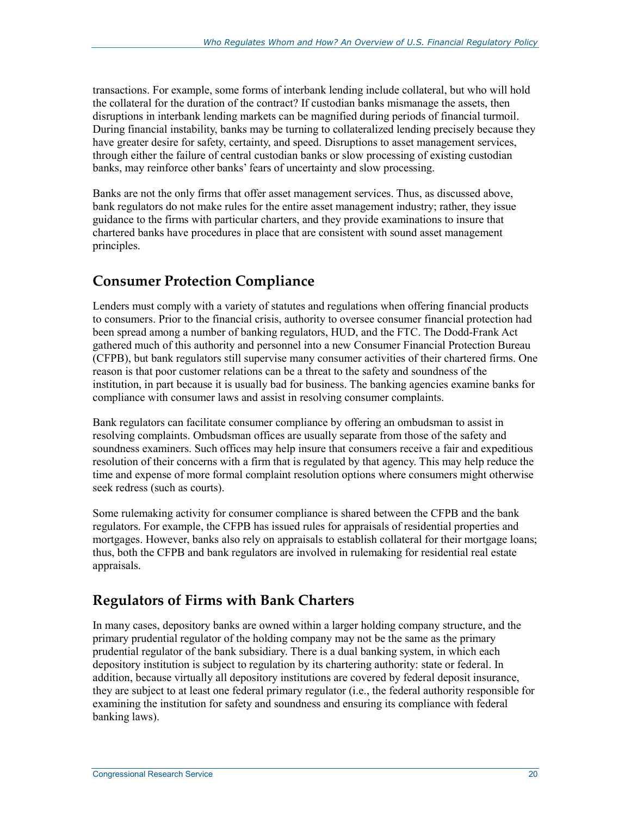transactions. For example, some forms of interbank lending include collateral, but who will hold the collateral for the duration of the contract? If custodian banks mismanage the assets, then disruptions in interbank lending markets can be magnified during periods of financial turmoil. During financial instability, banks may be turning to collateralized lending precisely because they have greater desire for safety, certainty, and speed. Disruptions to asset management services, through either the failure of central custodian banks or slow processing of existing custodian banks, may reinforce other banks' fears of uncertainty and slow processing.

Banks are not the only firms that offer asset management services. Thus, as discussed above, bank regulators do not make rules for the entire asset management industry; rather, they issue guidance to the firms with particular charters, and they provide examinations to insure that chartered banks have procedures in place that are consistent with sound asset management principles.

## **Consumer Protection Compliance**

Lenders must comply with a variety of statutes and regulations when offering financial products to consumers. Prior to the financial crisis, authority to oversee consumer financial protection had been spread among a number of banking regulators, HUD, and the FTC. The Dodd-Frank Act gathered much of this authority and personnel into a new Consumer Financial Protection Bureau (CFPB), but bank regulators still supervise many consumer activities of their chartered firms. One reason is that poor customer relations can be a threat to the safety and soundness of the institution, in part because it is usually bad for business. The banking agencies examine banks for compliance with consumer laws and assist in resolving consumer complaints.

Bank regulators can facilitate consumer compliance by offering an ombudsman to assist in resolving complaints. Ombudsman offices are usually separate from those of the safety and soundness examiners. Such offices may help insure that consumers receive a fair and expeditious resolution of their concerns with a firm that is regulated by that agency. This may help reduce the time and expense of more formal complaint resolution options where consumers might otherwise seek redress (such as courts).

Some rulemaking activity for consumer compliance is shared between the CFPB and the bank regulators. For example, the CFPB has issued rules for appraisals of residential properties and mortgages. However, banks also rely on appraisals to establish collateral for their mortgage loans; thus, both the CFPB and bank regulators are involved in rulemaking for residential real estate appraisals.

### **Regulators of Firms with Bank Charters**

In many cases, depository banks are owned within a larger holding company structure, and the primary prudential regulator of the holding company may not be the same as the primary prudential regulator of the bank subsidiary. There is a dual banking system, in which each depository institution is subject to regulation by its chartering authority: state or federal. In addition, because virtually all depository institutions are covered by federal deposit insurance, they are subject to at least one federal primary regulator (i.e., the federal authority responsible for examining the institution for safety and soundness and ensuring its compliance with federal banking laws).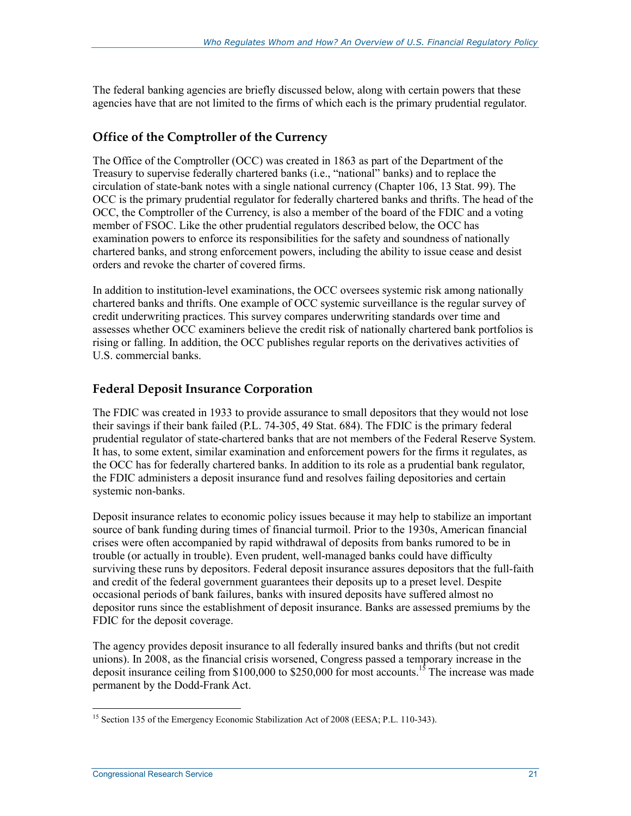The federal banking agencies are briefly discussed below, along with certain powers that these agencies have that are not limited to the firms of which each is the primary prudential regulator.

### **Office of the Comptroller of the Currency**

The Office of the Comptroller (OCC) was created in 1863 as part of the Department of the Treasury to supervise federally chartered banks (i.e., "national" banks) and to replace the circulation of state-bank notes with a single national currency (Chapter 106, 13 Stat. 99). The OCC is the primary prudential regulator for federally chartered banks and thrifts. The head of the OCC, the Comptroller of the Currency, is also a member of the board of the FDIC and a voting member of FSOC. Like the other prudential regulators described below, the OCC has examination powers to enforce its responsibilities for the safety and soundness of nationally chartered banks, and strong enforcement powers, including the ability to issue cease and desist orders and revoke the charter of covered firms.

In addition to institution-level examinations, the OCC oversees systemic risk among nationally chartered banks and thrifts. One example of OCC systemic surveillance is the regular survey of credit underwriting practices. This survey compares underwriting standards over time and assesses whether OCC examiners believe the credit risk of nationally chartered bank portfolios is rising or falling. In addition, the OCC publishes regular reports on the derivatives activities of U.S. commercial banks.

### **Federal Deposit Insurance Corporation**

The FDIC was created in 1933 to provide assurance to small depositors that they would not lose their savings if their bank failed (P.L. 74-305, 49 Stat. 684). The FDIC is the primary federal prudential regulator of state-chartered banks that are not members of the Federal Reserve System. It has, to some extent, similar examination and enforcement powers for the firms it regulates, as the OCC has for federally chartered banks. In addition to its role as a prudential bank regulator, the FDIC administers a deposit insurance fund and resolves failing depositories and certain systemic non-banks.

Deposit insurance relates to economic policy issues because it may help to stabilize an important source of bank funding during times of financial turmoil. Prior to the 1930s, American financial crises were often accompanied by rapid withdrawal of deposits from banks rumored to be in trouble (or actually in trouble). Even prudent, well-managed banks could have difficulty surviving these runs by depositors. Federal deposit insurance assures depositors that the full-faith and credit of the federal government guarantees their deposits up to a preset level. Despite occasional periods of bank failures, banks with insured deposits have suffered almost no depositor runs since the establishment of deposit insurance. Banks are assessed premiums by the FDIC for the deposit coverage.

The agency provides deposit insurance to all federally insured banks and thrifts (but not credit unions). In 2008, as the financial crisis worsened, Congress passed a temporary increase in the deposit insurance ceiling from \$100,000 to \$250,000 for most accounts.<sup>15</sup> The increase was made permanent by the Dodd-Frank Act.

<sup>&</sup>lt;u>.</u> <sup>15</sup> Section 135 of the Emergency Economic Stabilization Act of 2008 (EESA; P.L. 110-343).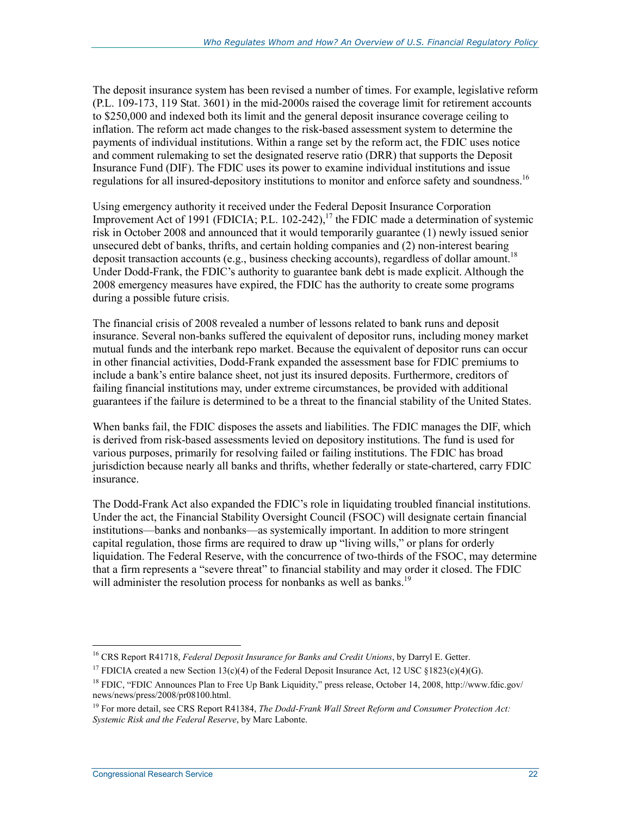The deposit insurance system has been revised a number of times. For example, legislative reform (P.L. 109-173, 119 Stat. 3601) in the mid-2000s raised the coverage limit for retirement accounts to \$250,000 and indexed both its limit and the general deposit insurance coverage ceiling to inflation. The reform act made changes to the risk-based assessment system to determine the payments of individual institutions. Within a range set by the reform act, the FDIC uses notice and comment rulemaking to set the designated reserve ratio (DRR) that supports the Deposit Insurance Fund (DIF). The FDIC uses its power to examine individual institutions and issue regulations for all insured-depository institutions to monitor and enforce safety and soundness.<sup>16</sup>

Using emergency authority it received under the Federal Deposit Insurance Corporation Improvement Act of 1991 (FDICIA; P.L. 102-242),<sup>17</sup> the FDIC made a determination of systemic risk in October 2008 and announced that it would temporarily guarantee (1) newly issued senior unsecured debt of banks, thrifts, and certain holding companies and (2) non-interest bearing deposit transaction accounts (e.g., business checking accounts), regardless of dollar amount.<sup>18</sup> Under Dodd-Frank, the FDIC's authority to guarantee bank debt is made explicit. Although the 2008 emergency measures have expired, the FDIC has the authority to create some programs during a possible future crisis.

The financial crisis of 2008 revealed a number of lessons related to bank runs and deposit insurance. Several non-banks suffered the equivalent of depositor runs, including money market mutual funds and the interbank repo market. Because the equivalent of depositor runs can occur in other financial activities, Dodd-Frank expanded the assessment base for FDIC premiums to include a bank's entire balance sheet, not just its insured deposits. Furthermore, creditors of failing financial institutions may, under extreme circumstances, be provided with additional guarantees if the failure is determined to be a threat to the financial stability of the United States.

When banks fail, the FDIC disposes the assets and liabilities. The FDIC manages the DIF, which is derived from risk-based assessments levied on depository institutions. The fund is used for various purposes, primarily for resolving failed or failing institutions. The FDIC has broad jurisdiction because nearly all banks and thrifts, whether federally or state-chartered, carry FDIC insurance.

The Dodd-Frank Act also expanded the FDIC's role in liquidating troubled financial institutions. Under the act, the Financial Stability Oversight Council (FSOC) will designate certain financial institutions—banks and nonbanks—as systemically important. In addition to more stringent capital regulation, those firms are required to draw up "living wills," or plans for orderly liquidation. The Federal Reserve, with the concurrence of two-thirds of the FSOC, may determine that a firm represents a "severe threat" to financial stability and may order it closed. The FDIC will administer the resolution process for nonbanks as well as banks.<sup>19</sup>

1

<sup>16</sup> CRS Report R41718, *Federal Deposit Insurance for Banks and Credit Unions*, by Darryl E. Getter.

<sup>&</sup>lt;sup>17</sup> FDICIA created a new Section 13(c)(4) of the Federal Deposit Insurance Act, 12 USC §1823(c)(4)(G).

<sup>18</sup> FDIC, "FDIC Announces Plan to Free Up Bank Liquidity," press release, October 14, 2008, http://www.fdic.gov/ news/news/press/2008/pr08100.html.

<sup>19</sup> For more detail, see CRS Report R41384, *The Dodd-Frank Wall Street Reform and Consumer Protection Act: Systemic Risk and the Federal Reserve*, by Marc Labonte.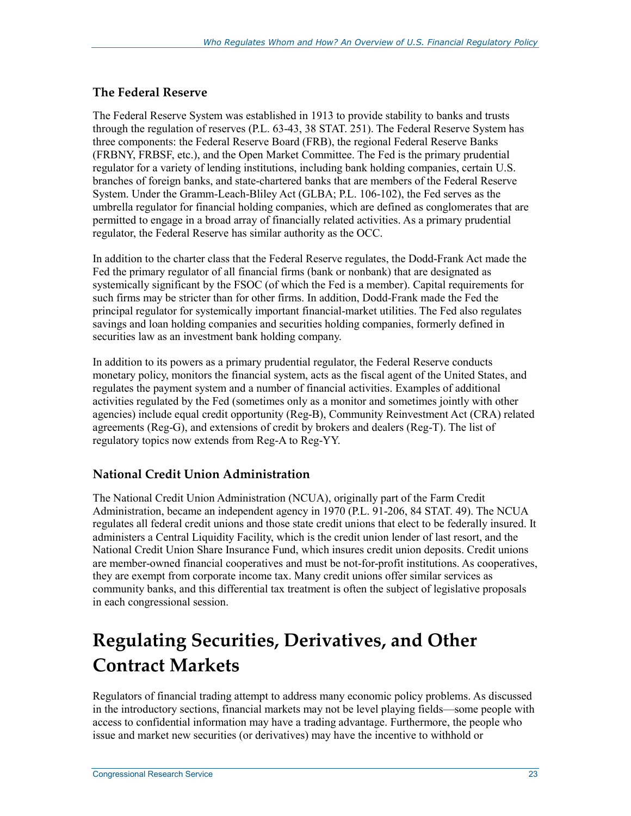#### **The Federal Reserve**

The Federal Reserve System was established in 1913 to provide stability to banks and trusts through the regulation of reserves (P.L. 63-43, 38 STAT. 251). The Federal Reserve System has three components: the Federal Reserve Board (FRB), the regional Federal Reserve Banks (FRBNY, FRBSF, etc.), and the Open Market Committee. The Fed is the primary prudential regulator for a variety of lending institutions, including bank holding companies, certain U.S. branches of foreign banks, and state-chartered banks that are members of the Federal Reserve System. Under the Gramm-Leach-Bliley Act (GLBA; P.L. 106-102), the Fed serves as the umbrella regulator for financial holding companies, which are defined as conglomerates that are permitted to engage in a broad array of financially related activities. As a primary prudential regulator, the Federal Reserve has similar authority as the OCC.

In addition to the charter class that the Federal Reserve regulates, the Dodd-Frank Act made the Fed the primary regulator of all financial firms (bank or nonbank) that are designated as systemically significant by the FSOC (of which the Fed is a member). Capital requirements for such firms may be stricter than for other firms. In addition, Dodd-Frank made the Fed the principal regulator for systemically important financial-market utilities. The Fed also regulates savings and loan holding companies and securities holding companies, formerly defined in securities law as an investment bank holding company.

In addition to its powers as a primary prudential regulator, the Federal Reserve conducts monetary policy, monitors the financial system, acts as the fiscal agent of the United States, and regulates the payment system and a number of financial activities. Examples of additional activities regulated by the Fed (sometimes only as a monitor and sometimes jointly with other agencies) include equal credit opportunity (Reg-B), Community Reinvestment Act (CRA) related agreements (Reg-G), and extensions of credit by brokers and dealers (Reg-T). The list of regulatory topics now extends from Reg-A to Reg-YY.

### **National Credit Union Administration**

The National Credit Union Administration (NCUA), originally part of the Farm Credit Administration, became an independent agency in 1970 (P.L. 91-206, 84 STAT. 49). The NCUA regulates all federal credit unions and those state credit unions that elect to be federally insured. It administers a Central Liquidity Facility, which is the credit union lender of last resort, and the National Credit Union Share Insurance Fund, which insures credit union deposits. Credit unions are member-owned financial cooperatives and must be not-for-profit institutions. As cooperatives, they are exempt from corporate income tax. Many credit unions offer similar services as community banks, and this differential tax treatment is often the subject of legislative proposals in each congressional session.

# **Regulating Securities, Derivatives, and Other Contract Markets**

Regulators of financial trading attempt to address many economic policy problems. As discussed in the introductory sections, financial markets may not be level playing fields—some people with access to confidential information may have a trading advantage. Furthermore, the people who issue and market new securities (or derivatives) may have the incentive to withhold or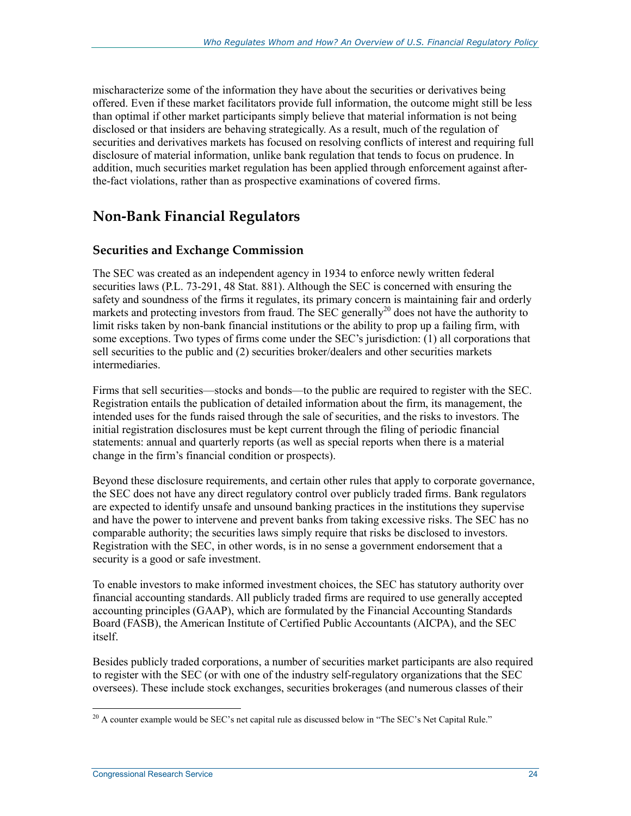mischaracterize some of the information they have about the securities or derivatives being offered. Even if these market facilitators provide full information, the outcome might still be less than optimal if other market participants simply believe that material information is not being disclosed or that insiders are behaving strategically. As a result, much of the regulation of securities and derivatives markets has focused on resolving conflicts of interest and requiring full disclosure of material information, unlike bank regulation that tends to focus on prudence. In addition, much securities market regulation has been applied through enforcement against afterthe-fact violations, rather than as prospective examinations of covered firms.

## **Non-Bank Financial Regulators**

#### **Securities and Exchange Commission**

The SEC was created as an independent agency in 1934 to enforce newly written federal securities laws (P.L. 73-291, 48 Stat. 881). Although the SEC is concerned with ensuring the safety and soundness of the firms it regulates, its primary concern is maintaining fair and orderly markets and protecting investors from fraud. The SEC generally<sup>20</sup> does not have the authority to limit risks taken by non-bank financial institutions or the ability to prop up a failing firm, with some exceptions. Two types of firms come under the SEC's jurisdiction: (1) all corporations that sell securities to the public and (2) securities broker/dealers and other securities markets intermediaries.

Firms that sell securities—stocks and bonds—to the public are required to register with the SEC. Registration entails the publication of detailed information about the firm, its management, the intended uses for the funds raised through the sale of securities, and the risks to investors. The initial registration disclosures must be kept current through the filing of periodic financial statements: annual and quarterly reports (as well as special reports when there is a material change in the firm's financial condition or prospects).

Beyond these disclosure requirements, and certain other rules that apply to corporate governance, the SEC does not have any direct regulatory control over publicly traded firms. Bank regulators are expected to identify unsafe and unsound banking practices in the institutions they supervise and have the power to intervene and prevent banks from taking excessive risks. The SEC has no comparable authority; the securities laws simply require that risks be disclosed to investors. Registration with the SEC, in other words, is in no sense a government endorsement that a security is a good or safe investment.

To enable investors to make informed investment choices, the SEC has statutory authority over financial accounting standards. All publicly traded firms are required to use generally accepted accounting principles (GAAP), which are formulated by the Financial Accounting Standards Board (FASB), the American Institute of Certified Public Accountants (AICPA), and the SEC itself.

Besides publicly traded corporations, a number of securities market participants are also required to register with the SEC (or with one of the industry self-regulatory organizations that the SEC oversees). These include stock exchanges, securities brokerages (and numerous classes of their

<sup>&</sup>lt;u>.</u> <sup>20</sup> A counter example would be SEC's net capital rule as discussed below in "The SEC's Net Capital Rule."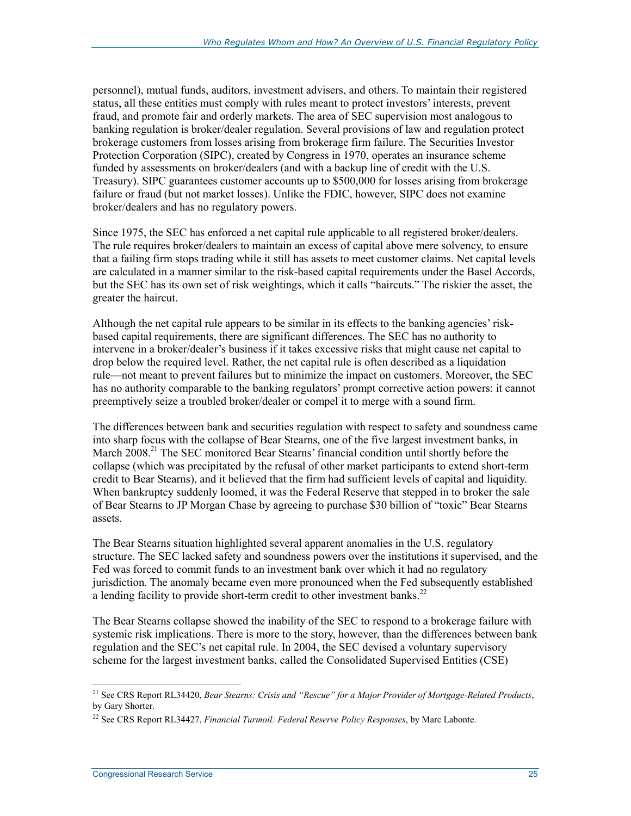personnel), mutual funds, auditors, investment advisers, and others. To maintain their registered status, all these entities must comply with rules meant to protect investors' interests, prevent fraud, and promote fair and orderly markets. The area of SEC supervision most analogous to banking regulation is broker/dealer regulation. Several provisions of law and regulation protect brokerage customers from losses arising from brokerage firm failure. The Securities Investor Protection Corporation (SIPC), created by Congress in 1970, operates an insurance scheme funded by assessments on broker/dealers (and with a backup line of credit with the U.S. Treasury). SIPC guarantees customer accounts up to \$500,000 for losses arising from brokerage failure or fraud (but not market losses). Unlike the FDIC, however, SIPC does not examine broker/dealers and has no regulatory powers.

Since 1975, the SEC has enforced a net capital rule applicable to all registered broker/dealers. The rule requires broker/dealers to maintain an excess of capital above mere solvency, to ensure that a failing firm stops trading while it still has assets to meet customer claims. Net capital levels are calculated in a manner similar to the risk-based capital requirements under the Basel Accords, but the SEC has its own set of risk weightings, which it calls "haircuts." The riskier the asset, the greater the haircut.

Although the net capital rule appears to be similar in its effects to the banking agencies' riskbased capital requirements, there are significant differences. The SEC has no authority to intervene in a broker/dealer's business if it takes excessive risks that might cause net capital to drop below the required level. Rather, the net capital rule is often described as a liquidation rule—not meant to prevent failures but to minimize the impact on customers. Moreover, the SEC has no authority comparable to the banking regulators' prompt corrective action powers: it cannot preemptively seize a troubled broker/dealer or compel it to merge with a sound firm.

The differences between bank and securities regulation with respect to safety and soundness came into sharp focus with the collapse of Bear Stearns, one of the five largest investment banks, in March 2008.<sup>21</sup> The SEC monitored Bear Stearns' financial condition until shortly before the collapse (which was precipitated by the refusal of other market participants to extend short-term credit to Bear Stearns), and it believed that the firm had sufficient levels of capital and liquidity. When bankruptcy suddenly loomed, it was the Federal Reserve that stepped in to broker the sale of Bear Stearns to JP Morgan Chase by agreeing to purchase \$30 billion of "toxic" Bear Stearns assets.

The Bear Stearns situation highlighted several apparent anomalies in the U.S. regulatory structure. The SEC lacked safety and soundness powers over the institutions it supervised, and the Fed was forced to commit funds to an investment bank over which it had no regulatory jurisdiction. The anomaly became even more pronounced when the Fed subsequently established a lending facility to provide short-term credit to other investment banks.<sup>22</sup>

The Bear Stearns collapse showed the inability of the SEC to respond to a brokerage failure with systemic risk implications. There is more to the story, however, than the differences between bank regulation and the SEC's net capital rule. In 2004, the SEC devised a voluntary supervisory scheme for the largest investment banks, called the Consolidated Supervised Entities (CSE)

1

<sup>21</sup> See CRS Report RL34420, *Bear Stearns: Crisis and "Rescue" for a Major Provider of Mortgage-Related Products*, by Gary Shorter.

<sup>22</sup> See CRS Report RL34427, *Financial Turmoil: Federal Reserve Policy Responses*, by Marc Labonte.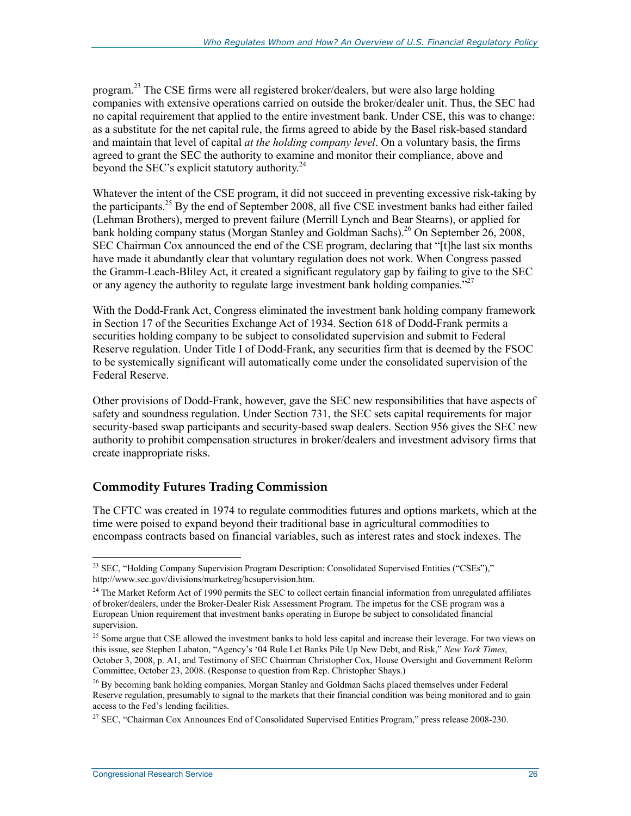program.<sup>23</sup> The CSE firms were all registered broker/dealers, but were also large holding companies with extensive operations carried on outside the broker/dealer unit. Thus, the SEC had no capital requirement that applied to the entire investment bank. Under CSE, this was to change: as a substitute for the net capital rule, the firms agreed to abide by the Basel risk-based standard and maintain that level of capital *at the holding company level*. On a voluntary basis, the firms agreed to grant the SEC the authority to examine and monitor their compliance, above and beyond the SEC's explicit statutory authority. $^{24}$ 

Whatever the intent of the CSE program, it did not succeed in preventing excessive risk-taking by the participants.<sup>25</sup> By the end of September 2008, all five CSE investment banks had either failed (Lehman Brothers), merged to prevent failure (Merrill Lynch and Bear Stearns), or applied for bank holding company status (Morgan Stanley and Goldman Sachs).<sup>26</sup> On September 26, 2008, SEC Chairman Cox announced the end of the CSE program, declaring that "[t]he last six months have made it abundantly clear that voluntary regulation does not work. When Congress passed the Gramm-Leach-Bliley Act, it created a significant regulatory gap by failing to give to the SEC or any agency the authority to regulate large investment bank holding companies.<sup>"27</sup>

With the Dodd-Frank Act, Congress eliminated the investment bank holding company framework in Section 17 of the Securities Exchange Act of 1934. Section 618 of Dodd-Frank permits a securities holding company to be subject to consolidated supervision and submit to Federal Reserve regulation. Under Title I of Dodd-Frank, any securities firm that is deemed by the FSOC to be systemically significant will automatically come under the consolidated supervision of the Federal Reserve.

Other provisions of Dodd-Frank, however, gave the SEC new responsibilities that have aspects of safety and soundness regulation. Under Section 731, the SEC sets capital requirements for major security-based swap participants and security-based swap dealers. Section 956 gives the SEC new authority to prohibit compensation structures in broker/dealers and investment advisory firms that create inappropriate risks.

### **Commodity Futures Trading Commission**

The CFTC was created in 1974 to regulate commodities futures and options markets, which at the time were poised to expand beyond their traditional base in agricultural commodities to encompass contracts based on financial variables, such as interest rates and stock indexes. The

<sup>&</sup>lt;u>.</u> <sup>23</sup> SEC, "Holding Company Supervision Program Description: Consolidated Supervised Entities ("CSEs")," http://www.sec.gov/divisions/marketreg/hcsupervision.htm.

 $24$  The Market Reform Act of 1990 permits the SEC to collect certain financial information from unregulated affiliates of broker/dealers, under the Broker-Dealer Risk Assessment Program. The impetus for the CSE program was a European Union requirement that investment banks operating in Europe be subject to consolidated financial supervision.

<sup>&</sup>lt;sup>25</sup> Some argue that CSE allowed the investment banks to hold less capital and increase their leverage. For two views on this issue, see Stephen Labaton, "Agency's '04 Rule Let Banks Pile Up New Debt, and Risk," *New York Times*, October 3, 2008, p. A1, and Testimony of SEC Chairman Christopher Cox, House Oversight and Government Reform Committee, October 23, 2008. (Response to question from Rep. Christopher Shays.)

<sup>&</sup>lt;sup>26</sup> By becoming bank holding companies, Morgan Stanley and Goldman Sachs placed themselves under Federal Reserve regulation, presumably to signal to the markets that their financial condition was being monitored and to gain access to the Fed's lending facilities.

<sup>&</sup>lt;sup>27</sup> SEC. "Chairman Cox Announces End of Consolidated Supervised Entities Program," press release 2008-230.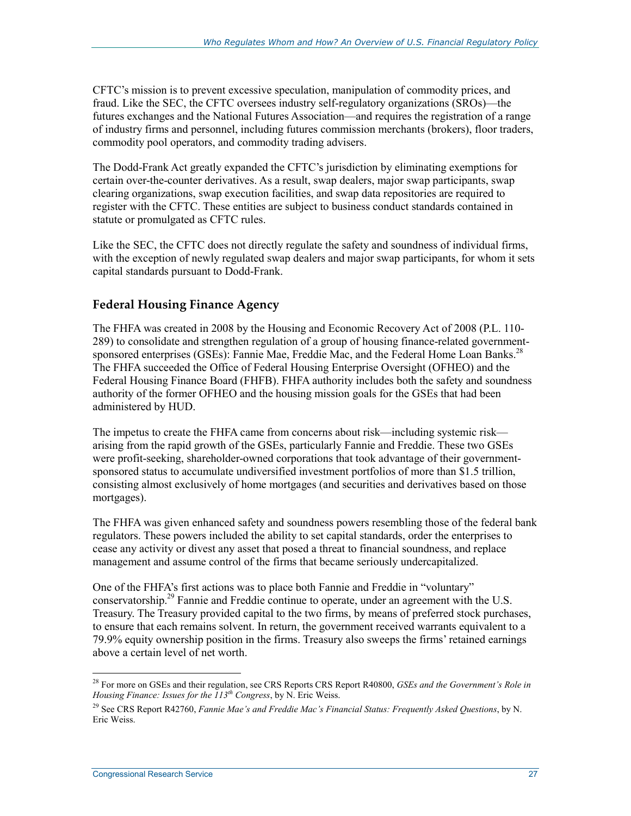CFTC's mission is to prevent excessive speculation, manipulation of commodity prices, and fraud. Like the SEC, the CFTC oversees industry self-regulatory organizations (SROs)—the futures exchanges and the National Futures Association—and requires the registration of a range of industry firms and personnel, including futures commission merchants (brokers), floor traders, commodity pool operators, and commodity trading advisers.

The Dodd-Frank Act greatly expanded the CFTC's jurisdiction by eliminating exemptions for certain over-the-counter derivatives. As a result, swap dealers, major swap participants, swap clearing organizations, swap execution facilities, and swap data repositories are required to register with the CFTC. These entities are subject to business conduct standards contained in statute or promulgated as CFTC rules.

Like the SEC, the CFTC does not directly regulate the safety and soundness of individual firms, with the exception of newly regulated swap dealers and major swap participants, for whom it sets capital standards pursuant to Dodd-Frank.

#### **Federal Housing Finance Agency**

The FHFA was created in 2008 by the Housing and Economic Recovery Act of 2008 (P.L. 110- 289) to consolidate and strengthen regulation of a group of housing finance-related governmentsponsored enterprises (GSEs): Fannie Mae, Freddie Mac, and the Federal Home Loan Banks.<sup>28</sup> The FHFA succeeded the Office of Federal Housing Enterprise Oversight (OFHEO) and the Federal Housing Finance Board (FHFB). FHFA authority includes both the safety and soundness authority of the former OFHEO and the housing mission goals for the GSEs that had been administered by HUD.

The impetus to create the FHFA came from concerns about risk—including systemic risk arising from the rapid growth of the GSEs, particularly Fannie and Freddie. These two GSEs were profit-seeking, shareholder-owned corporations that took advantage of their governmentsponsored status to accumulate undiversified investment portfolios of more than \$1.5 trillion, consisting almost exclusively of home mortgages (and securities and derivatives based on those mortgages).

The FHFA was given enhanced safety and soundness powers resembling those of the federal bank regulators. These powers included the ability to set capital standards, order the enterprises to cease any activity or divest any asset that posed a threat to financial soundness, and replace management and assume control of the firms that became seriously undercapitalized.

One of the FHFA's first actions was to place both Fannie and Freddie in "voluntary" conservatorship.<sup>29</sup> Fannie and Freddie continue to operate, under an agreement with the U.S. Treasury. The Treasury provided capital to the two firms, by means of preferred stock purchases, to ensure that each remains solvent. In return, the government received warrants equivalent to a 79.9% equity ownership position in the firms. Treasury also sweeps the firms' retained earnings above a certain level of net worth.

<sup>1</sup> 28 For more on GSEs and their regulation, see CRS Reports CRS Report R40800, *GSEs and the Government's Role in Housing Finance: Issues for the 113th Congress*, by N. Eric Weiss.

<sup>29</sup> See CRS Report R42760, *Fannie Mae's and Freddie Mac's Financial Status: Frequently Asked Questions*, by N. Eric Weiss.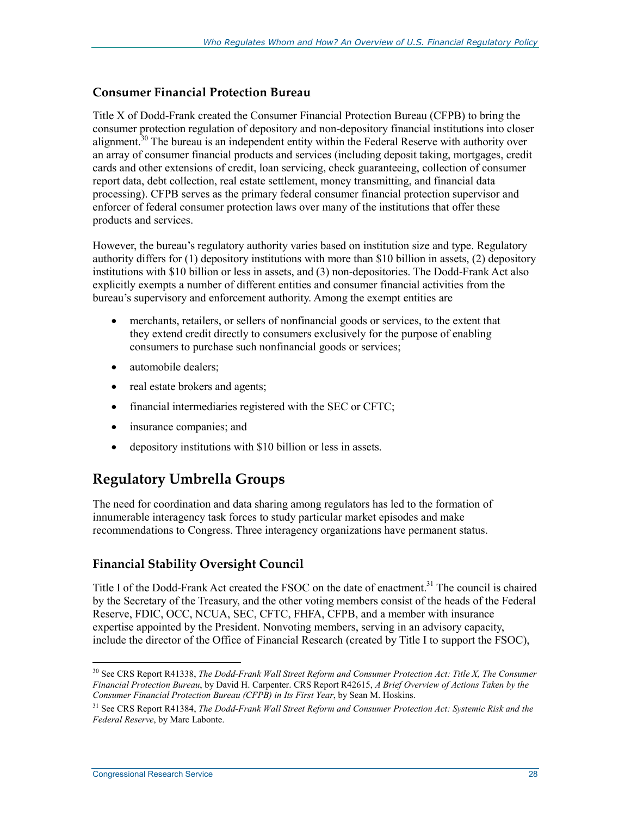#### **Consumer Financial Protection Bureau**

Title X of Dodd-Frank created the Consumer Financial Protection Bureau (CFPB) to bring the consumer protection regulation of depository and non-depository financial institutions into closer alignment.<sup>30</sup> The bureau is an independent entity within the Federal Reserve with authority over an array of consumer financial products and services (including deposit taking, mortgages, credit cards and other extensions of credit, loan servicing, check guaranteeing, collection of consumer report data, debt collection, real estate settlement, money transmitting, and financial data processing). CFPB serves as the primary federal consumer financial protection supervisor and enforcer of federal consumer protection laws over many of the institutions that offer these products and services.

However, the bureau's regulatory authority varies based on institution size and type. Regulatory authority differs for (1) depository institutions with more than \$10 billion in assets, (2) depository institutions with \$10 billion or less in assets, and (3) non-depositories. The Dodd-Frank Act also explicitly exempts a number of different entities and consumer financial activities from the bureau's supervisory and enforcement authority. Among the exempt entities are

- merchants, retailers, or sellers of nonfinancial goods or services, to the extent that they extend credit directly to consumers exclusively for the purpose of enabling consumers to purchase such nonfinancial goods or services;
- automobile dealers;
- real estate brokers and agents;
- financial intermediaries registered with the SEC or CFTC;
- insurance companies; and
- depository institutions with \$10 billion or less in assets.

### **Regulatory Umbrella Groups**

The need for coordination and data sharing among regulators has led to the formation of innumerable interagency task forces to study particular market episodes and make recommendations to Congress. Three interagency organizations have permanent status.

#### **Financial Stability Oversight Council**

Title I of the Dodd-Frank Act created the FSOC on the date of enactment.<sup>31</sup> The council is chaired by the Secretary of the Treasury, and the other voting members consist of the heads of the Federal Reserve, FDIC, OCC, NCUA, SEC, CFTC, FHFA, CFPB, and a member with insurance expertise appointed by the President. Nonvoting members, serving in an advisory capacity, include the director of the Office of Financial Research (created by Title I to support the FSOC),

<sup>1</sup> 30 See CRS Report R41338, *The Dodd-Frank Wall Street Reform and Consumer Protection Act: Title X, The Consumer Financial Protection Bureau*, by David H. Carpenter. CRS Report R42615, *A Brief Overview of Actions Taken by the Consumer Financial Protection Bureau (CFPB) in Its First Year*, by Sean M. Hoskins.

<sup>31</sup> See CRS Report R41384, *The Dodd-Frank Wall Street Reform and Consumer Protection Act: Systemic Risk and the Federal Reserve*, by Marc Labonte.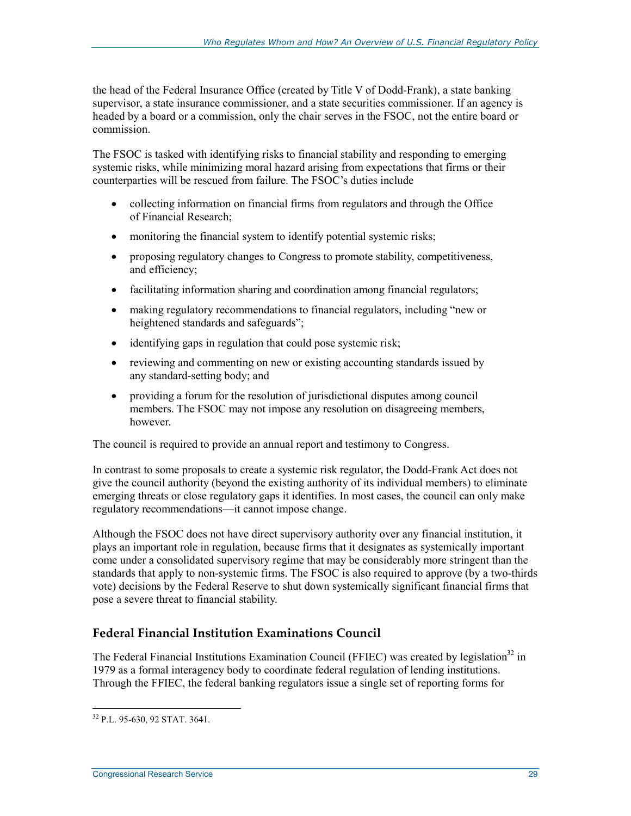the head of the Federal Insurance Office (created by Title V of Dodd-Frank), a state banking supervisor, a state insurance commissioner, and a state securities commissioner. If an agency is headed by a board or a commission, only the chair serves in the FSOC, not the entire board or commission.

The FSOC is tasked with identifying risks to financial stability and responding to emerging systemic risks, while minimizing moral hazard arising from expectations that firms or their counterparties will be rescued from failure. The FSOC's duties include

- collecting information on financial firms from regulators and through the Office of Financial Research;
- monitoring the financial system to identify potential systemic risks;
- proposing regulatory changes to Congress to promote stability, competitiveness, and efficiency;
- facilitating information sharing and coordination among financial regulators;
- making regulatory recommendations to financial regulators, including "new or heightened standards and safeguards";
- identifying gaps in regulation that could pose systemic risk;
- reviewing and commenting on new or existing accounting standards issued by any standard-setting body; and
- providing a forum for the resolution of jurisdictional disputes among council members. The FSOC may not impose any resolution on disagreeing members, however.

The council is required to provide an annual report and testimony to Congress.

In contrast to some proposals to create a systemic risk regulator, the Dodd-Frank Act does not give the council authority (beyond the existing authority of its individual members) to eliminate emerging threats or close regulatory gaps it identifies. In most cases, the council can only make regulatory recommendations—it cannot impose change.

Although the FSOC does not have direct supervisory authority over any financial institution, it plays an important role in regulation, because firms that it designates as systemically important come under a consolidated supervisory regime that may be considerably more stringent than the standards that apply to non-systemic firms. The FSOC is also required to approve (by a two-thirds vote) decisions by the Federal Reserve to shut down systemically significant financial firms that pose a severe threat to financial stability.

### **Federal Financial Institution Examinations Council**

The Federal Financial Institutions Examination Council (FFIEC) was created by legislation<sup>32</sup> in 1979 as a formal interagency body to coordinate federal regulation of lending institutions. Through the FFIEC, the federal banking regulators issue a single set of reporting forms for

<sup>&</sup>lt;u>.</u> 32 P.L. 95-630, 92 STAT. 3641.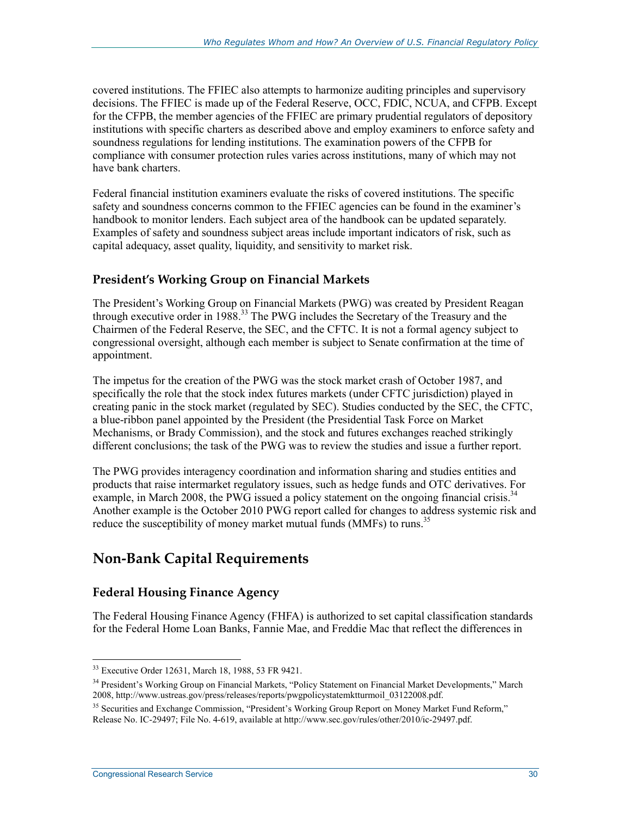covered institutions. The FFIEC also attempts to harmonize auditing principles and supervisory decisions. The FFIEC is made up of the Federal Reserve, OCC, FDIC, NCUA, and CFPB. Except for the CFPB, the member agencies of the FFIEC are primary prudential regulators of depository institutions with specific charters as described above and employ examiners to enforce safety and soundness regulations for lending institutions. The examination powers of the CFPB for compliance with consumer protection rules varies across institutions, many of which may not have bank charters.

Federal financial institution examiners evaluate the risks of covered institutions. The specific safety and soundness concerns common to the FFIEC agencies can be found in the examiner's handbook to monitor lenders. Each subject area of the handbook can be updated separately. Examples of safety and soundness subject areas include important indicators of risk, such as capital adequacy, asset quality, liquidity, and sensitivity to market risk.

### **President's Working Group on Financial Markets**

The President's Working Group on Financial Markets (PWG) was created by President Reagan through executive order in 1988.33 The PWG includes the Secretary of the Treasury and the Chairmen of the Federal Reserve, the SEC, and the CFTC. It is not a formal agency subject to congressional oversight, although each member is subject to Senate confirmation at the time of appointment.

The impetus for the creation of the PWG was the stock market crash of October 1987, and specifically the role that the stock index futures markets (under CFTC jurisdiction) played in creating panic in the stock market (regulated by SEC). Studies conducted by the SEC, the CFTC, a blue-ribbon panel appointed by the President (the Presidential Task Force on Market Mechanisms, or Brady Commission), and the stock and futures exchanges reached strikingly different conclusions; the task of the PWG was to review the studies and issue a further report.

The PWG provides interagency coordination and information sharing and studies entities and products that raise intermarket regulatory issues, such as hedge funds and OTC derivatives. For example, in March 2008, the PWG issued a policy statement on the ongoing financial crisis.<sup>34</sup> Another example is the October 2010 PWG report called for changes to address systemic risk and reduce the susceptibility of money market mutual funds (MMFs) to runs.<sup>35</sup>

## **Non-Bank Capital Requirements**

#### **Federal Housing Finance Agency**

The Federal Housing Finance Agency (FHFA) is authorized to set capital classification standards for the Federal Home Loan Banks, Fannie Mae, and Freddie Mac that reflect the differences in

1

<sup>33</sup> Executive Order 12631, March 18, 1988, 53 FR 9421.

<sup>34</sup> President's Working Group on Financial Markets, "Policy Statement on Financial Market Developments," March 2008, http://www.ustreas.gov/press/releases/reports/pwgpolicystatemktturmoil\_03122008.pdf.

<sup>&</sup>lt;sup>35</sup> Securities and Exchange Commission, "President's Working Group Report on Money Market Fund Reform," Release No. IC-29497; File No. 4-619, available at http://www.sec.gov/rules/other/2010/ic-29497.pdf.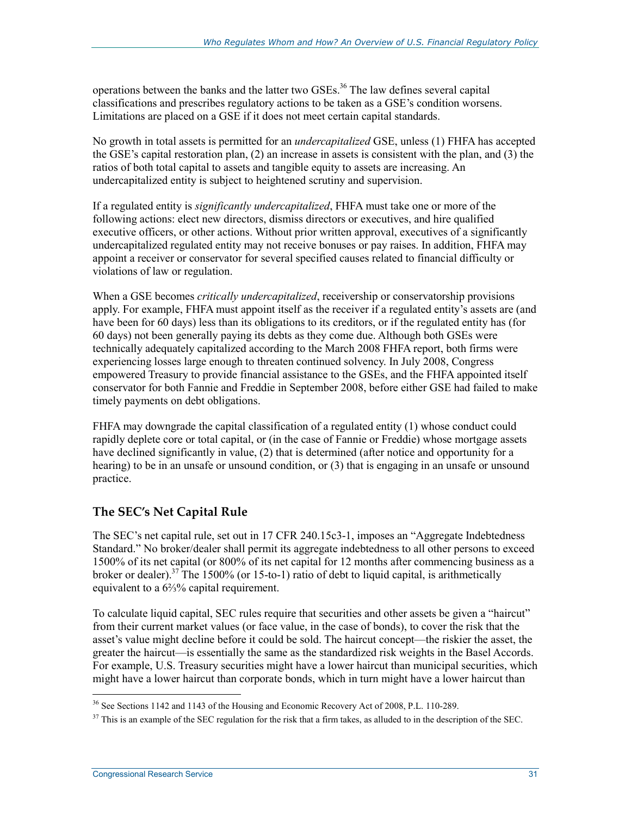operations between the banks and the latter two  $GSEs$ <sup>36</sup>. The law defines several capital classifications and prescribes regulatory actions to be taken as a GSE's condition worsens. Limitations are placed on a GSE if it does not meet certain capital standards.

No growth in total assets is permitted for an *undercapitalized* GSE, unless (1) FHFA has accepted the GSE's capital restoration plan, (2) an increase in assets is consistent with the plan, and (3) the ratios of both total capital to assets and tangible equity to assets are increasing. An undercapitalized entity is subject to heightened scrutiny and supervision.

If a regulated entity is *significantly undercapitalized*, FHFA must take one or more of the following actions: elect new directors, dismiss directors or executives, and hire qualified executive officers, or other actions. Without prior written approval, executives of a significantly undercapitalized regulated entity may not receive bonuses or pay raises. In addition, FHFA may appoint a receiver or conservator for several specified causes related to financial difficulty or violations of law or regulation.

When a GSE becomes *critically undercapitalized*, receivership or conservatorship provisions apply. For example, FHFA must appoint itself as the receiver if a regulated entity's assets are (and have been for 60 days) less than its obligations to its creditors, or if the regulated entity has (for 60 days) not been generally paying its debts as they come due. Although both GSEs were technically adequately capitalized according to the March 2008 FHFA report, both firms were experiencing losses large enough to threaten continued solvency. In July 2008, Congress empowered Treasury to provide financial assistance to the GSEs, and the FHFA appointed itself conservator for both Fannie and Freddie in September 2008, before either GSE had failed to make timely payments on debt obligations.

FHFA may downgrade the capital classification of a regulated entity (1) whose conduct could rapidly deplete core or total capital, or (in the case of Fannie or Freddie) whose mortgage assets have declined significantly in value, (2) that is determined (after notice and opportunity for a hearing) to be in an unsafe or unsound condition, or (3) that is engaging in an unsafe or unsound practice.

### **The SEC's Net Capital Rule**

The SEC's net capital rule, set out in 17 CFR 240.15c3-1, imposes an "Aggregate Indebtedness Standard." No broker/dealer shall permit its aggregate indebtedness to all other persons to exceed 1500% of its net capital (or 800% of its net capital for 12 months after commencing business as a broker or dealer).<sup>37</sup> The 1500% (or 15-to-1) ratio of debt to liquid capital, is arithmetically equivalent to a 6⅔% capital requirement.

To calculate liquid capital, SEC rules require that securities and other assets be given a "haircut" from their current market values (or face value, in the case of bonds), to cover the risk that the asset's value might decline before it could be sold. The haircut concept—the riskier the asset, the greater the haircut—is essentially the same as the standardized risk weights in the Basel Accords. For example, U.S. Treasury securities might have a lower haircut than municipal securities, which might have a lower haircut than corporate bonds, which in turn might have a lower haircut than

<sup>1</sup> <sup>36</sup> See Sections 1142 and 1143 of the Housing and Economic Recovery Act of 2008, P.L. 110-289.

 $37$  This is an example of the SEC regulation for the risk that a firm takes, as alluded to in the description of the SEC.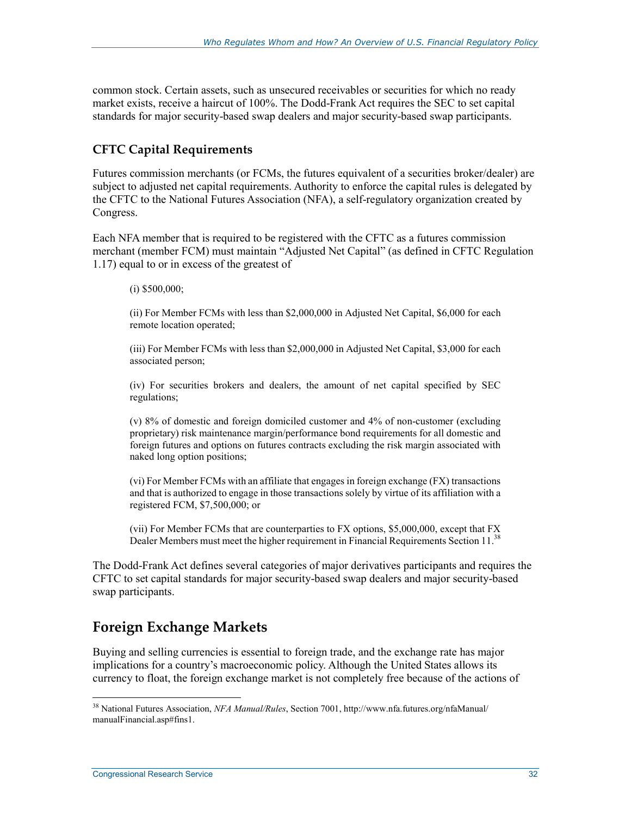common stock. Certain assets, such as unsecured receivables or securities for which no ready market exists, receive a haircut of 100%. The Dodd-Frank Act requires the SEC to set capital standards for major security-based swap dealers and major security-based swap participants.

### **CFTC Capital Requirements**

Futures commission merchants (or FCMs, the futures equivalent of a securities broker/dealer) are subject to adjusted net capital requirements. Authority to enforce the capital rules is delegated by the CFTC to the National Futures Association (NFA), a self-regulatory organization created by Congress.

Each NFA member that is required to be registered with the CFTC as a futures commission merchant (member FCM) must maintain "Adjusted Net Capital" (as defined in CFTC Regulation 1.17) equal to or in excess of the greatest of

(i) \$500,000;

(ii) For Member FCMs with less than \$2,000,000 in Adjusted Net Capital, \$6,000 for each remote location operated;

(iii) For Member FCMs with less than \$2,000,000 in Adjusted Net Capital, \$3,000 for each associated person;

(iv) For securities brokers and dealers, the amount of net capital specified by SEC regulations;

(v) 8% of domestic and foreign domiciled customer and 4% of non-customer (excluding proprietary) risk maintenance margin/performance bond requirements for all domestic and foreign futures and options on futures contracts excluding the risk margin associated with naked long option positions;

(vi) For Member FCMs with an affiliate that engages in foreign exchange (FX) transactions and that is authorized to engage in those transactions solely by virtue of its affiliation with a registered FCM, \$7,500,000; or

(vii) For Member FCMs that are counterparties to FX options, \$5,000,000, except that FX Dealer Members must meet the higher requirement in Financial Requirements Section 11.<sup>38</sup>

The Dodd-Frank Act defines several categories of major derivatives participants and requires the CFTC to set capital standards for major security-based swap dealers and major security-based swap participants.

## **Foreign Exchange Markets**

Buying and selling currencies is essential to foreign trade, and the exchange rate has major implications for a country's macroeconomic policy. Although the United States allows its currency to float, the foreign exchange market is not completely free because of the actions of

<sup>1</sup> 38 National Futures Association, *NFA Manual/Rules*, Section 7001, http://www.nfa.futures.org/nfaManual/ manualFinancial.asp#fins1.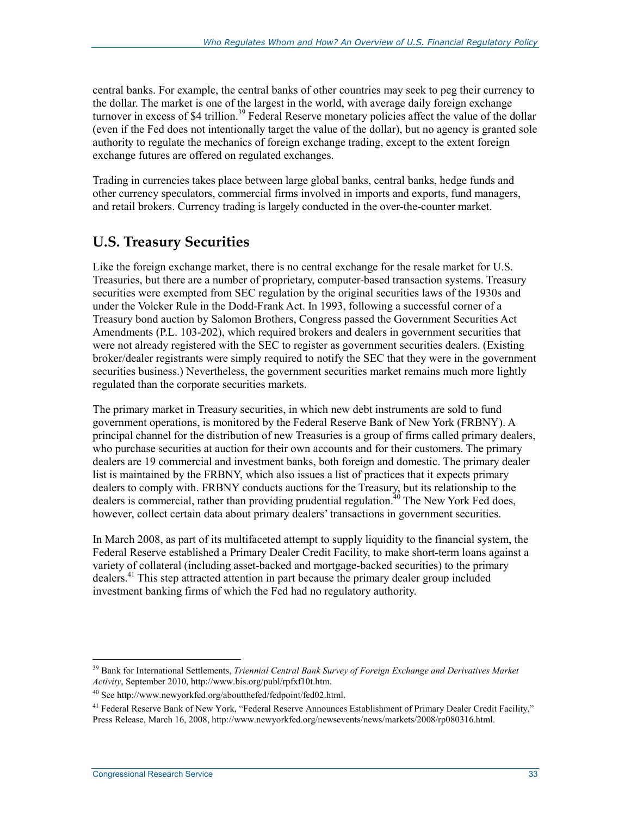central banks. For example, the central banks of other countries may seek to peg their currency to the dollar. The market is one of the largest in the world, with average daily foreign exchange turnover in excess of \$4 trillion.<sup>39</sup> Federal Reserve monetary policies affect the value of the dollar (even if the Fed does not intentionally target the value of the dollar), but no agency is granted sole authority to regulate the mechanics of foreign exchange trading, except to the extent foreign exchange futures are offered on regulated exchanges.

Trading in currencies takes place between large global banks, central banks, hedge funds and other currency speculators, commercial firms involved in imports and exports, fund managers, and retail brokers. Currency trading is largely conducted in the over-the-counter market.

## **U.S. Treasury Securities**

Like the foreign exchange market, there is no central exchange for the resale market for U.S. Treasuries, but there are a number of proprietary, computer-based transaction systems. Treasury securities were exempted from SEC regulation by the original securities laws of the 1930s and under the Volcker Rule in the Dodd-Frank Act. In 1993, following a successful corner of a Treasury bond auction by Salomon Brothers, Congress passed the Government Securities Act Amendments (P.L. 103-202), which required brokers and dealers in government securities that were not already registered with the SEC to register as government securities dealers. (Existing broker/dealer registrants were simply required to notify the SEC that they were in the government securities business.) Nevertheless, the government securities market remains much more lightly regulated than the corporate securities markets.

The primary market in Treasury securities, in which new debt instruments are sold to fund government operations, is monitored by the Federal Reserve Bank of New York (FRBNY). A principal channel for the distribution of new Treasuries is a group of firms called primary dealers, who purchase securities at auction for their own accounts and for their customers. The primary dealers are 19 commercial and investment banks, both foreign and domestic. The primary dealer list is maintained by the FRBNY, which also issues a list of practices that it expects primary dealers to comply with. FRBNY conducts auctions for the Treasury, but its relationship to the dealers is commercial, rather than providing prudential regulation.<sup> $40$ </sup> The New York Fed does, however, collect certain data about primary dealers' transactions in government securities.

In March 2008, as part of its multifaceted attempt to supply liquidity to the financial system, the Federal Reserve established a Primary Dealer Credit Facility, to make short-term loans against a variety of collateral (including asset-backed and mortgage-backed securities) to the primary dealers.41 This step attracted attention in part because the primary dealer group included investment banking firms of which the Fed had no regulatory authority.

1

<sup>39</sup> Bank for International Settlements, *Triennial Central Bank Survey of Foreign Exchange and Derivatives Market Activity*, September 2010, http://www.bis.org/publ/rpfxf10t.htm.

<sup>40</sup> See http://www.newyorkfed.org/aboutthefed/fedpoint/fed02.html.

<sup>&</sup>lt;sup>41</sup> Federal Reserve Bank of New York, "Federal Reserve Announces Establishment of Primary Dealer Credit Facility," Press Release, March 16, 2008, http://www.newyorkfed.org/newsevents/news/markets/2008/rp080316.html.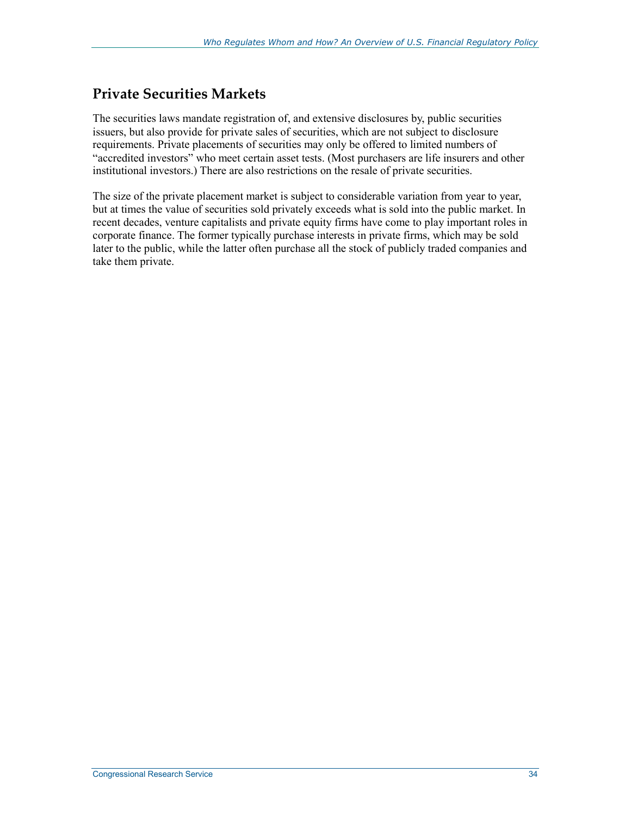## **Private Securities Markets**

The securities laws mandate registration of, and extensive disclosures by, public securities issuers, but also provide for private sales of securities, which are not subject to disclosure requirements. Private placements of securities may only be offered to limited numbers of "accredited investors" who meet certain asset tests. (Most purchasers are life insurers and other institutional investors.) There are also restrictions on the resale of private securities.

The size of the private placement market is subject to considerable variation from year to year, but at times the value of securities sold privately exceeds what is sold into the public market. In recent decades, venture capitalists and private equity firms have come to play important roles in corporate finance. The former typically purchase interests in private firms, which may be sold later to the public, while the latter often purchase all the stock of publicly traded companies and take them private.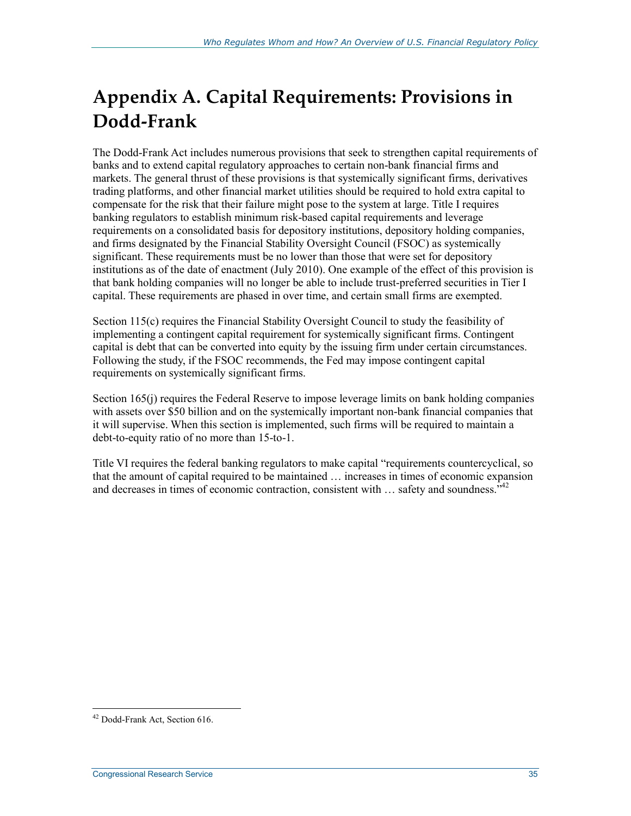# **Appendix A. Capital Requirements: Provisions in Dodd-Frank**

The Dodd-Frank Act includes numerous provisions that seek to strengthen capital requirements of banks and to extend capital regulatory approaches to certain non-bank financial firms and markets. The general thrust of these provisions is that systemically significant firms, derivatives trading platforms, and other financial market utilities should be required to hold extra capital to compensate for the risk that their failure might pose to the system at large. Title I requires banking regulators to establish minimum risk-based capital requirements and leverage requirements on a consolidated basis for depository institutions, depository holding companies, and firms designated by the Financial Stability Oversight Council (FSOC) as systemically significant. These requirements must be no lower than those that were set for depository institutions as of the date of enactment (July 2010). One example of the effect of this provision is that bank holding companies will no longer be able to include trust-preferred securities in Tier I capital. These requirements are phased in over time, and certain small firms are exempted.

Section 115(c) requires the Financial Stability Oversight Council to study the feasibility of implementing a contingent capital requirement for systemically significant firms. Contingent capital is debt that can be converted into equity by the issuing firm under certain circumstances. Following the study, if the FSOC recommends, the Fed may impose contingent capital requirements on systemically significant firms.

Section 165(j) requires the Federal Reserve to impose leverage limits on bank holding companies with assets over \$50 billion and on the systemically important non-bank financial companies that it will supervise. When this section is implemented, such firms will be required to maintain a debt-to-equity ratio of no more than 15-to-1.

Title VI requires the federal banking regulators to make capital "requirements countercyclical, so that the amount of capital required to be maintained … increases in times of economic expansion and decreases in times of economic contraction, consistent with ... safety and soundness.<sup>742</sup>

<u>.</u>

<sup>&</sup>lt;sup>42</sup> Dodd-Frank Act, Section 616.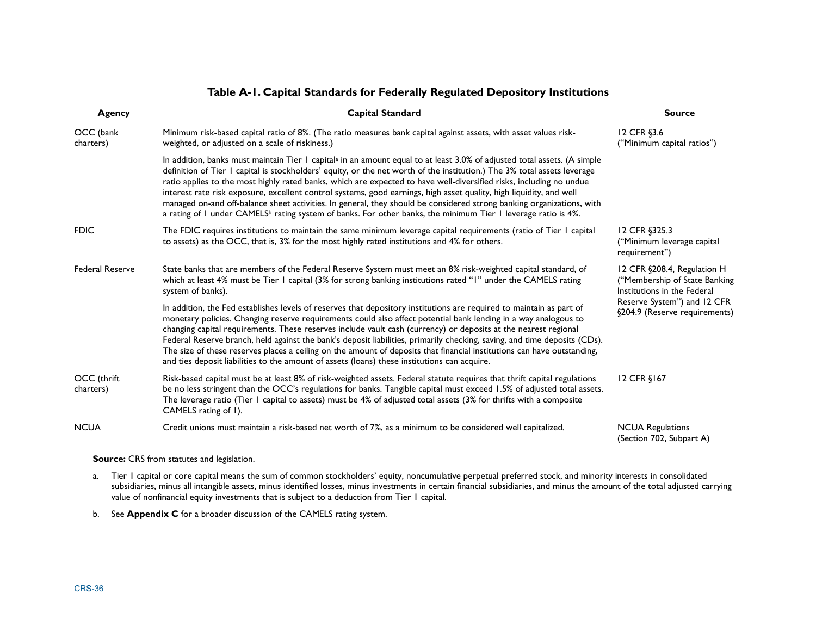| Agency                   | <b>Capital Standard</b>                                                                                                                                                                                                                                                                                                                                                                                                                                                                                                                                                                                                                                                                                                                                              | <b>Source</b>                                                                               |
|--------------------------|----------------------------------------------------------------------------------------------------------------------------------------------------------------------------------------------------------------------------------------------------------------------------------------------------------------------------------------------------------------------------------------------------------------------------------------------------------------------------------------------------------------------------------------------------------------------------------------------------------------------------------------------------------------------------------------------------------------------------------------------------------------------|---------------------------------------------------------------------------------------------|
| OCC (bank<br>charters)   | Minimum risk-based capital ratio of 8%. (The ratio measures bank capital against assets, with asset values risk-<br>weighted, or adjusted on a scale of riskiness.)                                                                                                                                                                                                                                                                                                                                                                                                                                                                                                                                                                                                  | 12 CFR §3.6<br>("Minimum capital ratios")                                                   |
|                          | In addition, banks must maintain Tier 1 capital <sup>a</sup> in an amount equal to at least 3.0% of adjusted total assets. (A simple<br>definition of Tier I capital is stockholders' equity, or the net worth of the institution.) The 3% total assets leverage<br>ratio applies to the most highly rated banks, which are expected to have well-diversified risks, including no undue<br>interest rate risk exposure, excellent control systems, good earnings, high asset quality, high liquidity, and well<br>managed on-and off-balance sheet activities. In general, they should be considered strong banking organizations, with<br>a rating of 1 under CAMELS <sup>b</sup> rating system of banks. For other banks, the minimum Tier 1 leverage ratio is 4%. |                                                                                             |
| <b>FDIC</b>              | The FDIC requires institutions to maintain the same minimum leverage capital requirements (ratio of Tier 1 capital<br>to assets) as the OCC, that is, 3% for the most highly rated institutions and 4% for others.                                                                                                                                                                                                                                                                                                                                                                                                                                                                                                                                                   | 12 CFR §325.3<br>("Minimum leverage capital<br>requirement")                                |
| <b>Federal Reserve</b>   | State banks that are members of the Federal Reserve System must meet an 8% risk-weighted capital standard, of<br>which at least 4% must be Tier 1 capital (3% for strong banking institutions rated "1" under the CAMELS rating<br>system of banks).                                                                                                                                                                                                                                                                                                                                                                                                                                                                                                                 | 12 CFR §208.4, Regulation H<br>("Membership of State Banking<br>Institutions in the Federal |
|                          | In addition, the Fed establishes levels of reserves that depository institutions are required to maintain as part of<br>monetary policies. Changing reserve requirements could also affect potential bank lending in a way analogous to<br>changing capital requirements. These reserves include vault cash (currency) or deposits at the nearest regional<br>Federal Reserve branch, held against the bank's deposit liabilities, primarily checking, saving, and time deposits (CDs).<br>The size of these reserves places a ceiling on the amount of deposits that financial institutions can have outstanding,<br>and ties deposit liabilities to the amount of assets (loans) these institutions can acquire.                                                   | Reserve System") and 12 CFR<br>§204.9 (Reserve requirements)                                |
| OCC (thrift<br>charters) | Risk-based capital must be at least 8% of risk-weighted assets. Federal statute requires that thrift capital regulations<br>be no less stringent than the OCC's regulations for banks. Tangible capital must exceed 1.5% of adjusted total assets.<br>The leverage ratio (Tier 1 capital to assets) must be 4% of adjusted total assets (3% for thrifts with a composite<br>CAMELS rating of 1).                                                                                                                                                                                                                                                                                                                                                                     | 12 CFR §167                                                                                 |
| <b>NCUA</b>              | Credit unions must maintain a risk-based net worth of 7%, as a minimum to be considered well capitalized.                                                                                                                                                                                                                                                                                                                                                                                                                                                                                                                                                                                                                                                            | <b>NCUA Regulations</b><br>(Section 702, Subpart A)                                         |

#### **Table A-1. Capital Standards for Federally Regulated Depository Institutions**

#### **Source:** CRS from statutes and legislation.

a. Tier 1 capital or core capital means the sum of common stockholders' equity, noncumulative perpetual preferred stock, and minority interests in consolidated subsidiaries, minus all intangible assets, minus identified losses, minus investments in certain financial subsidiaries, and minus the amount of the total adjusted carrying value of nonfinancial equity investments that is subject to a deduction from Tier 1 capital.

b. See **Appendix C** for a broader discussion of the CAMELS rating system.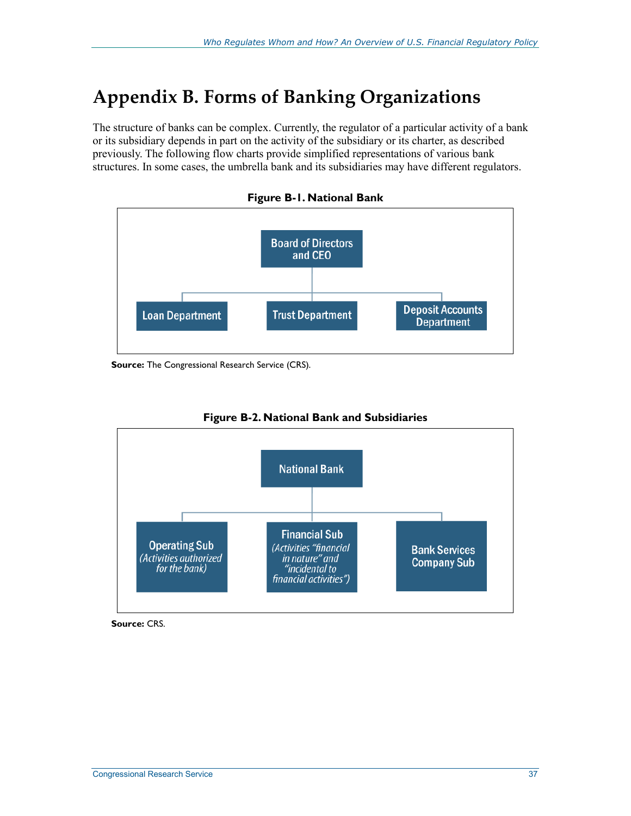# **Appendix B. Forms of Banking Organizations**

The structure of banks can be complex. Currently, the regulator of a particular activity of a bank or its subsidiary depends in part on the activity of the subsidiary or its charter, as described previously. The following flow charts provide simplified representations of various bank structures. In some cases, the umbrella bank and its subsidiaries may have different regulators.



**Source:** The Congressional Research Service (CRS).





**Source:** CRS.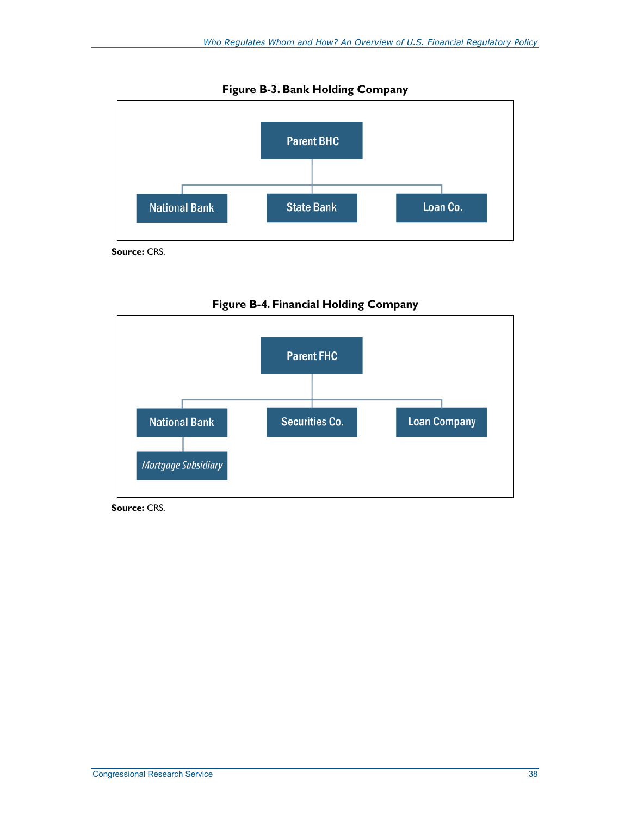**Figure B-3. Bank Holding Company Parent BHC National Bank State Bank** Loan Co.

**Source:** CRS.



**Figure B-4. Financial Holding Company** 

**Source:** CRS.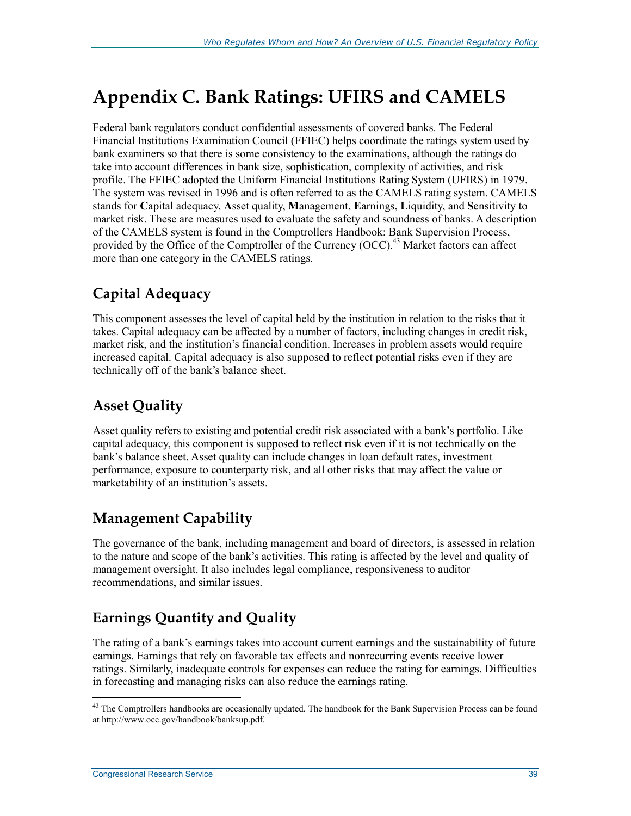# **Appendix C. Bank Ratings: UFIRS and CAMELS**

Federal bank regulators conduct confidential assessments of covered banks. The Federal Financial Institutions Examination Council (FFIEC) helps coordinate the ratings system used by bank examiners so that there is some consistency to the examinations, although the ratings do take into account differences in bank size, sophistication, complexity of activities, and risk profile. The FFIEC adopted the Uniform Financial Institutions Rating System (UFIRS) in 1979. The system was revised in 1996 and is often referred to as the CAMELS rating system. CAMELS stands for **C**apital adequacy, **A**sset quality, **M**anagement, **E**arnings, **L**iquidity, and **S**ensitivity to market risk. These are measures used to evaluate the safety and soundness of banks. A description of the CAMELS system is found in the Comptrollers Handbook: Bank Supervision Process, provided by the Office of the Comptroller of the Currency (OCC).<sup>43</sup> Market factors can affect more than one category in the CAMELS ratings.

## **Capital Adequacy**

This component assesses the level of capital held by the institution in relation to the risks that it takes. Capital adequacy can be affected by a number of factors, including changes in credit risk, market risk, and the institution's financial condition. Increases in problem assets would require increased capital. Capital adequacy is also supposed to reflect potential risks even if they are technically off of the bank's balance sheet.

## **Asset Quality**

Asset quality refers to existing and potential credit risk associated with a bank's portfolio. Like capital adequacy, this component is supposed to reflect risk even if it is not technically on the bank's balance sheet. Asset quality can include changes in loan default rates, investment performance, exposure to counterparty risk, and all other risks that may affect the value or marketability of an institution's assets.

## **Management Capability**

The governance of the bank, including management and board of directors, is assessed in relation to the nature and scope of the bank's activities. This rating is affected by the level and quality of management oversight. It also includes legal compliance, responsiveness to auditor recommendations, and similar issues.

## **Earnings Quantity and Quality**

The rating of a bank's earnings takes into account current earnings and the sustainability of future earnings. Earnings that rely on favorable tax effects and nonrecurring events receive lower ratings. Similarly, inadequate controls for expenses can reduce the rating for earnings. Difficulties in forecasting and managing risks can also reduce the earnings rating.

<sup>1</sup>  $43$  The Comptrollers handbooks are occasionally updated. The handbook for the Bank Supervision Process can be found at http://www.occ.gov/handbook/banksup.pdf.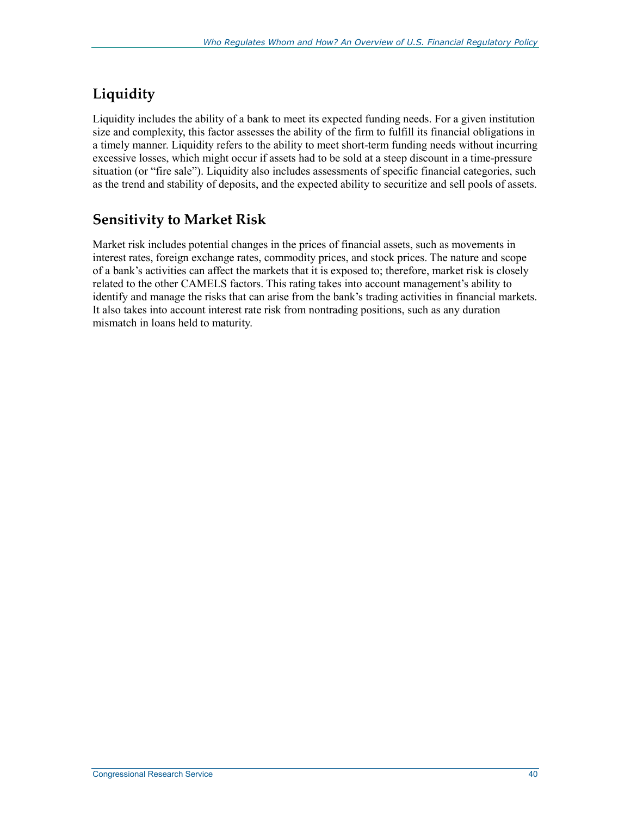## **Liquidity**

Liquidity includes the ability of a bank to meet its expected funding needs. For a given institution size and complexity, this factor assesses the ability of the firm to fulfill its financial obligations in a timely manner. Liquidity refers to the ability to meet short-term funding needs without incurring excessive losses, which might occur if assets had to be sold at a steep discount in a time-pressure situation (or "fire sale"). Liquidity also includes assessments of specific financial categories, such as the trend and stability of deposits, and the expected ability to securitize and sell pools of assets.

## **Sensitivity to Market Risk**

Market risk includes potential changes in the prices of financial assets, such as movements in interest rates, foreign exchange rates, commodity prices, and stock prices. The nature and scope of a bank's activities can affect the markets that it is exposed to; therefore, market risk is closely related to the other CAMELS factors. This rating takes into account management's ability to identify and manage the risks that can arise from the bank's trading activities in financial markets. It also takes into account interest rate risk from nontrading positions, such as any duration mismatch in loans held to maturity.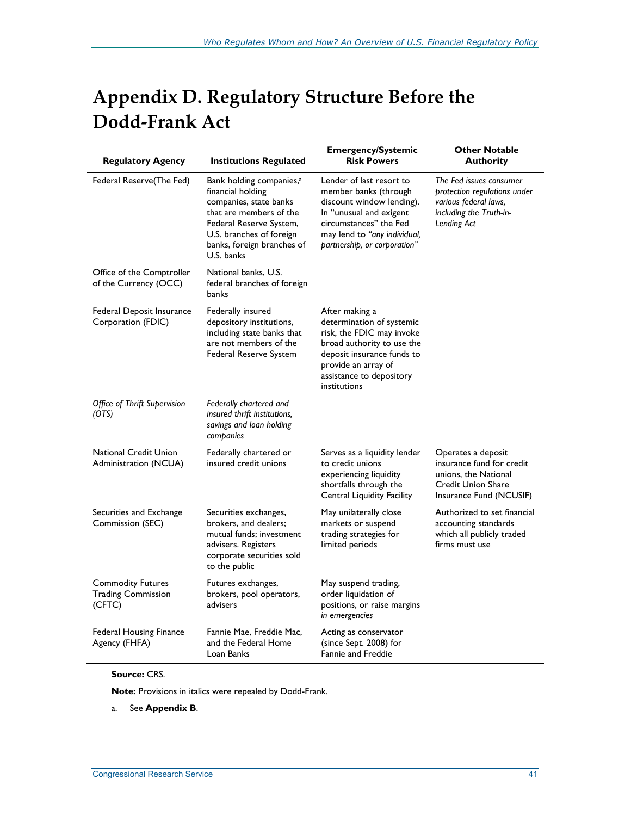# **Appendix D. Regulatory Structure Before the Dodd-Frank Act**

| <b>Regulatory Agency</b>                                        | <b>Institutions Regulated</b>                                                                                                                                                                                     | <b>Emergency/Systemic</b><br><b>Risk Powers</b>                                                                                                                                                         | <b>Other Notable</b><br><b>Authority</b>                                                                                        |
|-----------------------------------------------------------------|-------------------------------------------------------------------------------------------------------------------------------------------------------------------------------------------------------------------|---------------------------------------------------------------------------------------------------------------------------------------------------------------------------------------------------------|---------------------------------------------------------------------------------------------------------------------------------|
| Federal Reserve (The Fed)                                       | Bank holding companies, <sup>a</sup><br>financial holding<br>companies, state banks<br>that are members of the<br>Federal Reserve System,<br>U.S. branches of foreign<br>banks, foreign branches of<br>U.S. banks | Lender of last resort to<br>member banks (through<br>discount window lending).<br>In "unusual and exigent<br>circumstances" the Fed<br>may lend to "any individual,<br>partnership, or corporation"     | The Fed issues consumer<br>protection regulations under<br>various federal laws,<br>including the Truth-in-<br>Lending Act      |
| Office of the Comptroller<br>of the Currency (OCC)              | National banks, U.S.<br>federal branches of foreign<br>banks                                                                                                                                                      |                                                                                                                                                                                                         |                                                                                                                                 |
| Federal Deposit Insurance<br>Corporation (FDIC)                 | Federally insured<br>depository institutions,<br>including state banks that<br>are not members of the<br>Federal Reserve System                                                                                   | After making a<br>determination of systemic<br>risk, the FDIC may invoke<br>broad authority to use the<br>deposit insurance funds to<br>provide an array of<br>assistance to depository<br>institutions |                                                                                                                                 |
| <b>Office of Thrift Supervision</b><br>(OTS)                    | Federally chartered and<br>insured thrift institutions,<br>savings and loan holding<br>companies                                                                                                                  |                                                                                                                                                                                                         |                                                                                                                                 |
| <b>National Credit Union</b><br>Administration (NCUA)           | Federally chartered or<br>insured credit unions                                                                                                                                                                   | Serves as a liquidity lender<br>to credit unions<br>experiencing liquidity<br>shortfalls through the<br>Central Liquidity Facility                                                                      | Operates a deposit<br>insurance fund for credit<br>unions, the National<br><b>Credit Union Share</b><br>Insurance Fund (NCUSIF) |
| Securities and Exchange<br>Commission (SEC)                     | Securities exchanges,<br>brokers, and dealers;<br>mutual funds; investment<br>advisers. Registers<br>corporate securities sold<br>to the public                                                                   | May unilaterally close<br>markets or suspend<br>trading strategies for<br>limited periods                                                                                                               | Authorized to set financial<br>accounting standards<br>which all publicly traded<br>firms must use                              |
| <b>Commodity Futures</b><br><b>Trading Commission</b><br>(CFTC) | Futures exchanges,<br>brokers, pool operators,<br>advisers                                                                                                                                                        | May suspend trading,<br>order liquidation of<br>positions, or raise margins<br>in emergencies                                                                                                           |                                                                                                                                 |
| <b>Federal Housing Finance</b><br>Agency (FHFA)                 | Fannie Mae, Freddie Mac,<br>and the Federal Home<br>Loan Banks                                                                                                                                                    | Acting as conservator<br>(since Sept. 2008) for<br><b>Fannie and Freddie</b>                                                                                                                            |                                                                                                                                 |

#### **Source:** CRS.

**Note:** Provisions in italics were repealed by Dodd-Frank.

a. See **Appendix B**.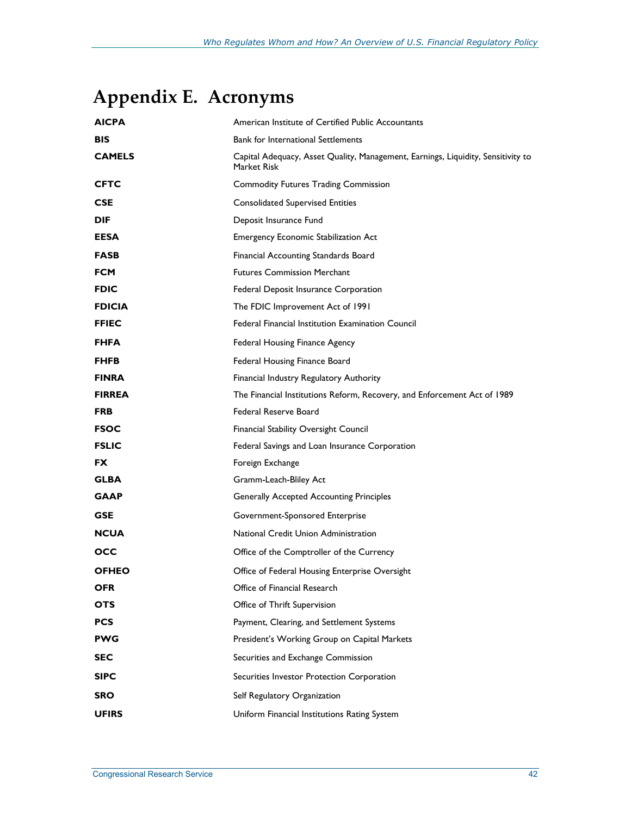# **Appendix E. Acronyms**

| <b>AICPA</b>  | American Institute of Certified Public Accountants                                              |
|---------------|-------------------------------------------------------------------------------------------------|
| <b>BIS</b>    | <b>Bank for International Settlements</b>                                                       |
| <b>CAMELS</b> | Capital Adequacy, Asset Quality, Management, Earnings, Liquidity, Sensitivity to<br>Market Risk |
| <b>CFTC</b>   | <b>Commodity Futures Trading Commission</b>                                                     |
| <b>CSE</b>    | <b>Consolidated Supervised Entities</b>                                                         |
| <b>DIF</b>    | Deposit Insurance Fund                                                                          |
| <b>EESA</b>   | Emergency Economic Stabilization Act                                                            |
| <b>FASB</b>   | Financial Accounting Standards Board                                                            |
| <b>FCM</b>    | <b>Futures Commission Merchant</b>                                                              |
| <b>FDIC</b>   | Federal Deposit Insurance Corporation                                                           |
| <b>FDICIA</b> | The FDIC Improvement Act of 1991                                                                |
| <b>FFIEC</b>  | <b>Federal Financial Institution Examination Council</b>                                        |
| <b>FHFA</b>   | <b>Federal Housing Finance Agency</b>                                                           |
| <b>FHFB</b>   | Federal Housing Finance Board                                                                   |
| <b>FINRA</b>  | Financial Industry Regulatory Authority                                                         |
| <b>FIRREA</b> | The Financial Institutions Reform, Recovery, and Enforcement Act of 1989                        |
| <b>FRB</b>    | Federal Reserve Board                                                                           |
| <b>FSOC</b>   | Financial Stability Oversight Council                                                           |
| <b>FSLIC</b>  | Federal Savings and Loan Insurance Corporation                                                  |
| FX.           | Foreign Exchange                                                                                |
| <b>GLBA</b>   | Gramm-Leach-Bliley Act                                                                          |
| <b>GAAP</b>   | <b>Generally Accepted Accounting Principles</b>                                                 |
| <b>GSE</b>    | Government-Sponsored Enterprise                                                                 |
| <b>NCUA</b>   | National Credit Union Administration                                                            |
| occ           | Office of the Comptroller of the Currency                                                       |
| <b>OFHEO</b>  | Office of Federal Housing Enterprise Oversight                                                  |
| <b>OFR</b>    | Office of Financial Research                                                                    |
| <b>OTS</b>    | Office of Thrift Supervision                                                                    |
| <b>PCS</b>    | Payment, Clearing, and Settlement Systems                                                       |
| <b>PWG</b>    | President's Working Group on Capital Markets                                                    |
| <b>SEC</b>    | Securities and Exchange Commission                                                              |
| <b>SIPC</b>   | Securities Investor Protection Corporation                                                      |
| <b>SRO</b>    | Self Regulatory Organization                                                                    |
| <b>UFIRS</b>  | Uniform Financial Institutions Rating System                                                    |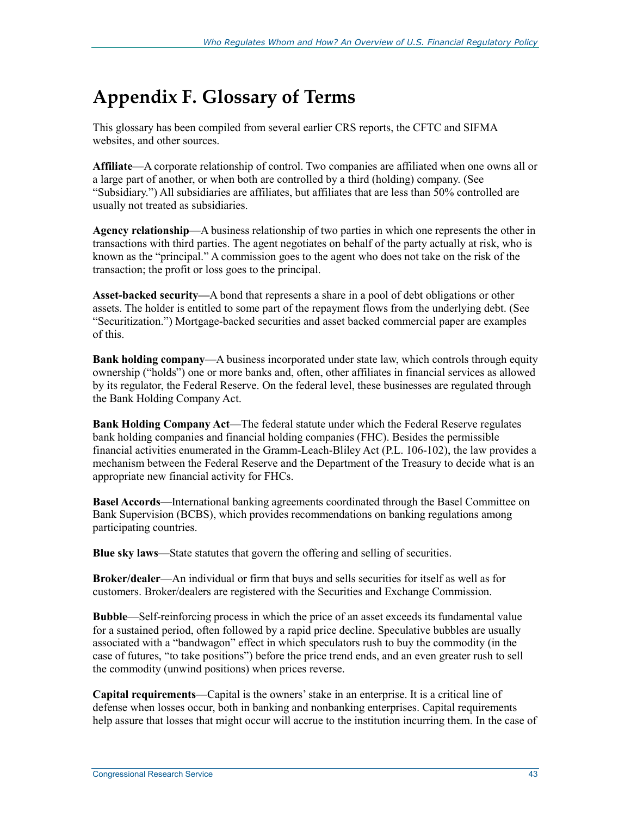# **Appendix F. Glossary of Terms**

This glossary has been compiled from several earlier CRS reports, the CFTC and SIFMA websites, and other sources.

**Affiliate**—A corporate relationship of control. Two companies are affiliated when one owns all or a large part of another, or when both are controlled by a third (holding) company. (See "Subsidiary.") All subsidiaries are affiliates, but affiliates that are less than 50% controlled are usually not treated as subsidiaries.

**Agency relationship**—A business relationship of two parties in which one represents the other in transactions with third parties. The agent negotiates on behalf of the party actually at risk, who is known as the "principal." A commission goes to the agent who does not take on the risk of the transaction; the profit or loss goes to the principal.

**Asset-backed security—**A bond that represents a share in a pool of debt obligations or other assets. The holder is entitled to some part of the repayment flows from the underlying debt. (See "Securitization.") Mortgage-backed securities and asset backed commercial paper are examples of this.

**Bank holding company**—A business incorporated under state law, which controls through equity ownership ("holds") one or more banks and, often, other affiliates in financial services as allowed by its regulator, the Federal Reserve. On the federal level, these businesses are regulated through the Bank Holding Company Act.

**Bank Holding Company Act**—The federal statute under which the Federal Reserve regulates bank holding companies and financial holding companies (FHC). Besides the permissible financial activities enumerated in the Gramm-Leach-Bliley Act (P.L. 106-102), the law provides a mechanism between the Federal Reserve and the Department of the Treasury to decide what is an appropriate new financial activity for FHCs.

**Basel Accords—**International banking agreements coordinated through the Basel Committee on Bank Supervision (BCBS), which provides recommendations on banking regulations among participating countries.

**Blue sky laws**—State statutes that govern the offering and selling of securities.

**Broker/dealer**—An individual or firm that buys and sells securities for itself as well as for customers. Broker/dealers are registered with the Securities and Exchange Commission.

**Bubble**—Self-reinforcing process in which the price of an asset exceeds its fundamental value for a sustained period, often followed by a rapid price decline. Speculative bubbles are usually associated with a "bandwagon" effect in which speculators rush to buy the commodity (in the case of futures, "to take positions") before the price trend ends, and an even greater rush to sell the commodity (unwind positions) when prices reverse.

**Capital requirements**—Capital is the owners' stake in an enterprise. It is a critical line of defense when losses occur, both in banking and nonbanking enterprises. Capital requirements help assure that losses that might occur will accrue to the institution incurring them. In the case of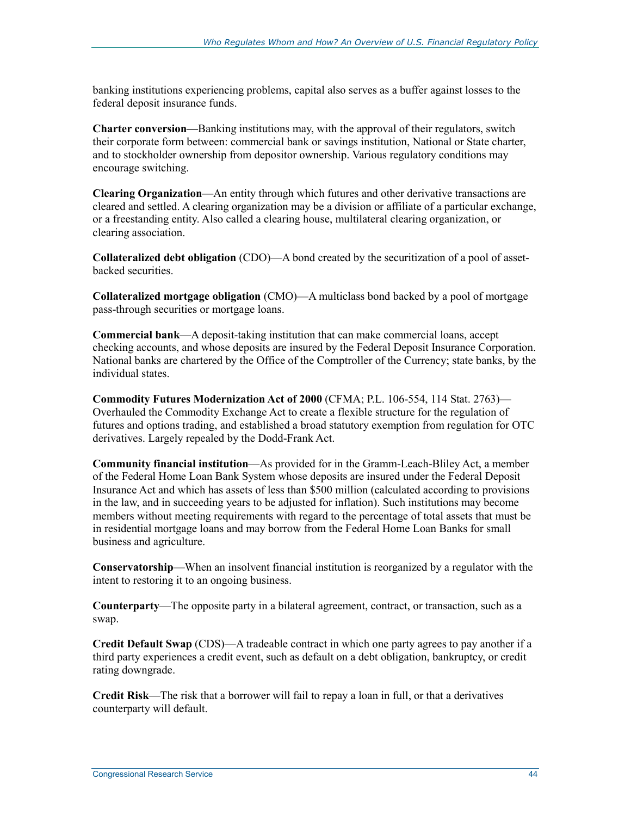banking institutions experiencing problems, capital also serves as a buffer against losses to the federal deposit insurance funds.

**Charter conversion—**Banking institutions may, with the approval of their regulators, switch their corporate form between: commercial bank or savings institution, National or State charter, and to stockholder ownership from depositor ownership. Various regulatory conditions may encourage switching.

**Clearing Organization**—An entity through which futures and other derivative transactions are cleared and settled. A clearing organization may be a division or affiliate of a particular exchange, or a freestanding entity. Also called a clearing house, multilateral clearing organization, or clearing association.

**Collateralized debt obligation** (CDO)—A bond created by the securitization of a pool of assetbacked securities.

**Collateralized mortgage obligation** (CMO)—A multiclass bond backed by a pool of mortgage pass-through securities or mortgage loans.

**Commercial bank**—A deposit-taking institution that can make commercial loans, accept checking accounts, and whose deposits are insured by the Federal Deposit Insurance Corporation. National banks are chartered by the Office of the Comptroller of the Currency; state banks, by the individual states.

**Commodity Futures Modernization Act of 2000** (CFMA; P.L. 106-554, 114 Stat. 2763)— Overhauled the Commodity Exchange Act to create a flexible structure for the regulation of futures and options trading, and established a broad statutory exemption from regulation for OTC derivatives. Largely repealed by the Dodd-Frank Act.

**Community financial institution**—As provided for in the Gramm-Leach-Bliley Act, a member of the Federal Home Loan Bank System whose deposits are insured under the Federal Deposit Insurance Act and which has assets of less than \$500 million (calculated according to provisions in the law, and in succeeding years to be adjusted for inflation). Such institutions may become members without meeting requirements with regard to the percentage of total assets that must be in residential mortgage loans and may borrow from the Federal Home Loan Banks for small business and agriculture.

**Conservatorship**—When an insolvent financial institution is reorganized by a regulator with the intent to restoring it to an ongoing business.

**Counterparty**—The opposite party in a bilateral agreement, contract, or transaction, such as a swap.

**Credit Default Swap** (CDS)—A tradeable contract in which one party agrees to pay another if a third party experiences a credit event, such as default on a debt obligation, bankruptcy, or credit rating downgrade.

**Credit Risk**—The risk that a borrower will fail to repay a loan in full, or that a derivatives counterparty will default.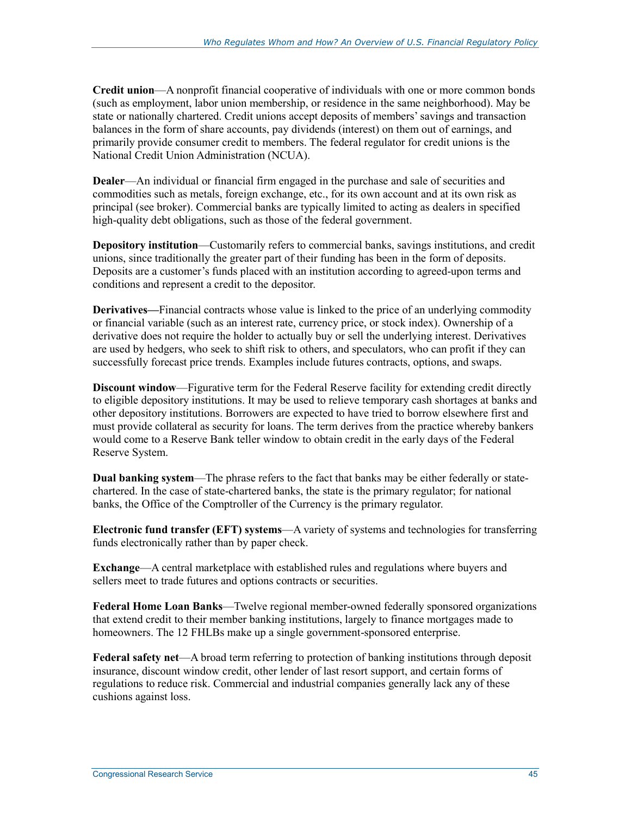**Credit union**—A nonprofit financial cooperative of individuals with one or more common bonds (such as employment, labor union membership, or residence in the same neighborhood). May be state or nationally chartered. Credit unions accept deposits of members' savings and transaction balances in the form of share accounts, pay dividends (interest) on them out of earnings, and primarily provide consumer credit to members. The federal regulator for credit unions is the National Credit Union Administration (NCUA).

**Dealer**—An individual or financial firm engaged in the purchase and sale of securities and commodities such as metals, foreign exchange, etc., for its own account and at its own risk as principal (see broker). Commercial banks are typically limited to acting as dealers in specified high-quality debt obligations, such as those of the federal government.

**Depository institution**—Customarily refers to commercial banks, savings institutions, and credit unions, since traditionally the greater part of their funding has been in the form of deposits. Deposits are a customer's funds placed with an institution according to agreed-upon terms and conditions and represent a credit to the depositor.

**Derivatives—**Financial contracts whose value is linked to the price of an underlying commodity or financial variable (such as an interest rate, currency price, or stock index). Ownership of a derivative does not require the holder to actually buy or sell the underlying interest. Derivatives are used by hedgers, who seek to shift risk to others, and speculators, who can profit if they can successfully forecast price trends. Examples include futures contracts, options, and swaps.

**Discount window**—Figurative term for the Federal Reserve facility for extending credit directly to eligible depository institutions. It may be used to relieve temporary cash shortages at banks and other depository institutions. Borrowers are expected to have tried to borrow elsewhere first and must provide collateral as security for loans. The term derives from the practice whereby bankers would come to a Reserve Bank teller window to obtain credit in the early days of the Federal Reserve System.

**Dual banking system**—The phrase refers to the fact that banks may be either federally or statechartered. In the case of state-chartered banks, the state is the primary regulator; for national banks, the Office of the Comptroller of the Currency is the primary regulator.

**Electronic fund transfer (EFT) systems**—A variety of systems and technologies for transferring funds electronically rather than by paper check.

**Exchange**—A central marketplace with established rules and regulations where buyers and sellers meet to trade futures and options contracts or securities.

**Federal Home Loan Banks**—Twelve regional member-owned federally sponsored organizations that extend credit to their member banking institutions, largely to finance mortgages made to homeowners. The 12 FHLBs make up a single government-sponsored enterprise.

**Federal safety net**—A broad term referring to protection of banking institutions through deposit insurance, discount window credit, other lender of last resort support, and certain forms of regulations to reduce risk. Commercial and industrial companies generally lack any of these cushions against loss.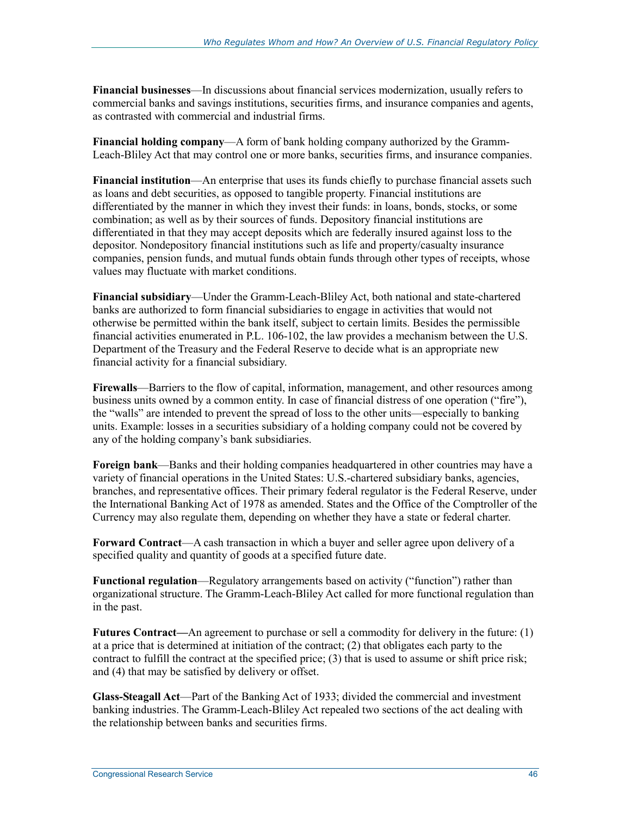**Financial businesses**—In discussions about financial services modernization, usually refers to commercial banks and savings institutions, securities firms, and insurance companies and agents, as contrasted with commercial and industrial firms.

**Financial holding company**—A form of bank holding company authorized by the Gramm-Leach-Bliley Act that may control one or more banks, securities firms, and insurance companies.

**Financial institution**—An enterprise that uses its funds chiefly to purchase financial assets such as loans and debt securities, as opposed to tangible property. Financial institutions are differentiated by the manner in which they invest their funds: in loans, bonds, stocks, or some combination; as well as by their sources of funds. Depository financial institutions are differentiated in that they may accept deposits which are federally insured against loss to the depositor. Nondepository financial institutions such as life and property/casualty insurance companies, pension funds, and mutual funds obtain funds through other types of receipts, whose values may fluctuate with market conditions.

**Financial subsidiary**—Under the Gramm-Leach-Bliley Act, both national and state-chartered banks are authorized to form financial subsidiaries to engage in activities that would not otherwise be permitted within the bank itself, subject to certain limits. Besides the permissible financial activities enumerated in P.L. 106-102, the law provides a mechanism between the U.S. Department of the Treasury and the Federal Reserve to decide what is an appropriate new financial activity for a financial subsidiary.

**Firewalls**—Barriers to the flow of capital, information, management, and other resources among business units owned by a common entity. In case of financial distress of one operation ("fire"), the "walls" are intended to prevent the spread of loss to the other units—especially to banking units. Example: losses in a securities subsidiary of a holding company could not be covered by any of the holding company's bank subsidiaries.

**Foreign bank**—Banks and their holding companies headquartered in other countries may have a variety of financial operations in the United States: U.S.-chartered subsidiary banks, agencies, branches, and representative offices. Their primary federal regulator is the Federal Reserve, under the International Banking Act of 1978 as amended. States and the Office of the Comptroller of the Currency may also regulate them, depending on whether they have a state or federal charter.

**Forward Contract**—A cash transaction in which a buyer and seller agree upon delivery of a specified quality and quantity of goods at a specified future date.

**Functional regulation—Regulatory arrangements based on activity ("function") rather than** organizational structure. The Gramm-Leach-Bliley Act called for more functional regulation than in the past.

**Futures Contract—**An agreement to purchase or sell a commodity for delivery in the future: (1) at a price that is determined at initiation of the contract; (2) that obligates each party to the contract to fulfill the contract at the specified price; (3) that is used to assume or shift price risk; and (4) that may be satisfied by delivery or offset.

**Glass-Steagall Act**—Part of the Banking Act of 1933; divided the commercial and investment banking industries. The Gramm-Leach-Bliley Act repealed two sections of the act dealing with the relationship between banks and securities firms.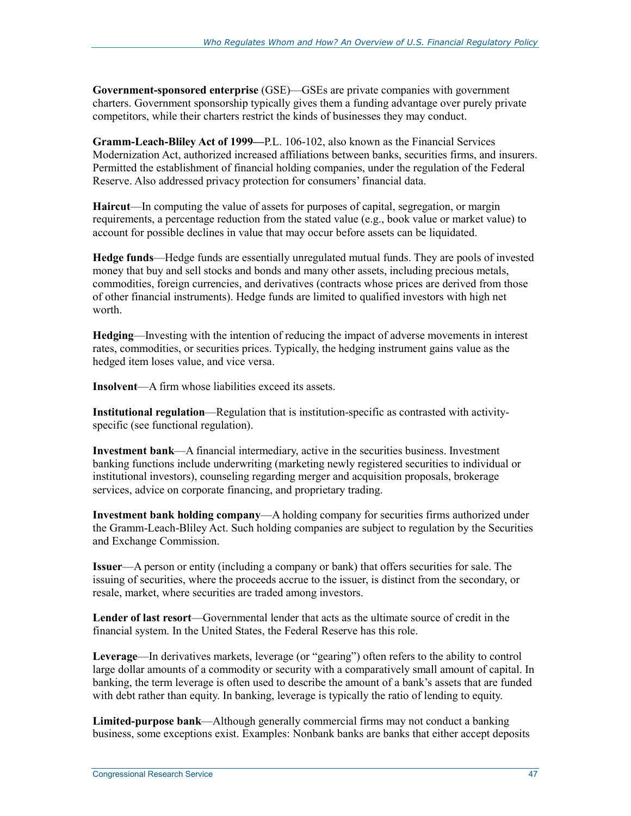**Government-sponsored enterprise** (GSE)—GSEs are private companies with government charters. Government sponsorship typically gives them a funding advantage over purely private competitors, while their charters restrict the kinds of businesses they may conduct.

**Gramm-Leach-Bliley Act of 1999—**P.L. 106-102, also known as the Financial Services Modernization Act, authorized increased affiliations between banks, securities firms, and insurers. Permitted the establishment of financial holding companies, under the regulation of the Federal Reserve. Also addressed privacy protection for consumers' financial data.

**Haircut**—In computing the value of assets for purposes of capital, segregation, or margin requirements, a percentage reduction from the stated value (e.g., book value or market value) to account for possible declines in value that may occur before assets can be liquidated.

**Hedge funds**—Hedge funds are essentially unregulated mutual funds. They are pools of invested money that buy and sell stocks and bonds and many other assets, including precious metals, commodities, foreign currencies, and derivatives (contracts whose prices are derived from those of other financial instruments). Hedge funds are limited to qualified investors with high net worth.

**Hedging**—Investing with the intention of reducing the impact of adverse movements in interest rates, commodities, or securities prices. Typically, the hedging instrument gains value as the hedged item loses value, and vice versa.

**Insolvent**—A firm whose liabilities exceed its assets.

**Institutional regulation**—Regulation that is institution-specific as contrasted with activityspecific (see functional regulation).

**Investment bank**—A financial intermediary, active in the securities business. Investment banking functions include underwriting (marketing newly registered securities to individual or institutional investors), counseling regarding merger and acquisition proposals, brokerage services, advice on corporate financing, and proprietary trading.

**Investment bank holding company**—A holding company for securities firms authorized under the Gramm-Leach-Bliley Act. Such holding companies are subject to regulation by the Securities and Exchange Commission.

**Issuer**—A person or entity (including a company or bank) that offers securities for sale. The issuing of securities, where the proceeds accrue to the issuer, is distinct from the secondary, or resale, market, where securities are traded among investors.

**Lender of last resort**—Governmental lender that acts as the ultimate source of credit in the financial system. In the United States, the Federal Reserve has this role.

**Leverage**—In derivatives markets, leverage (or "gearing") often refers to the ability to control large dollar amounts of a commodity or security with a comparatively small amount of capital. In banking, the term leverage is often used to describe the amount of a bank's assets that are funded with debt rather than equity. In banking, leverage is typically the ratio of lending to equity.

**Limited-purpose bank**—Although generally commercial firms may not conduct a banking business, some exceptions exist. Examples: Nonbank banks are banks that either accept deposits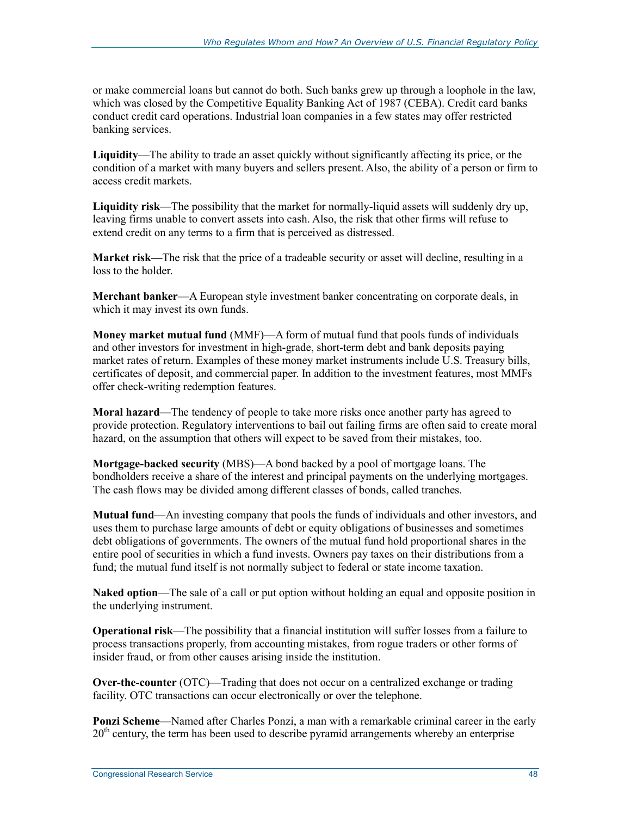or make commercial loans but cannot do both. Such banks grew up through a loophole in the law, which was closed by the Competitive Equality Banking Act of 1987 (CEBA). Credit card banks conduct credit card operations. Industrial loan companies in a few states may offer restricted banking services.

**Liquidity**—The ability to trade an asset quickly without significantly affecting its price, or the condition of a market with many buyers and sellers present. Also, the ability of a person or firm to access credit markets.

**Liquidity risk**—The possibility that the market for normally-liquid assets will suddenly dry up, leaving firms unable to convert assets into cash. Also, the risk that other firms will refuse to extend credit on any terms to a firm that is perceived as distressed.

**Market risk—**The risk that the price of a tradeable security or asset will decline, resulting in a loss to the holder.

**Merchant banker**—A European style investment banker concentrating on corporate deals, in which it may invest its own funds.

**Money market mutual fund** (MMF)—A form of mutual fund that pools funds of individuals and other investors for investment in high-grade, short-term debt and bank deposits paying market rates of return. Examples of these money market instruments include U.S. Treasury bills, certificates of deposit, and commercial paper. In addition to the investment features, most MMFs offer check-writing redemption features.

**Moral hazard**—The tendency of people to take more risks once another party has agreed to provide protection. Regulatory interventions to bail out failing firms are often said to create moral hazard, on the assumption that others will expect to be saved from their mistakes, too.

**Mortgage-backed security** (MBS)—A bond backed by a pool of mortgage loans. The bondholders receive a share of the interest and principal payments on the underlying mortgages. The cash flows may be divided among different classes of bonds, called tranches.

**Mutual fund**—An investing company that pools the funds of individuals and other investors, and uses them to purchase large amounts of debt or equity obligations of businesses and sometimes debt obligations of governments. The owners of the mutual fund hold proportional shares in the entire pool of securities in which a fund invests. Owners pay taxes on their distributions from a fund; the mutual fund itself is not normally subject to federal or state income taxation.

**Naked option**—The sale of a call or put option without holding an equal and opposite position in the underlying instrument.

**Operational risk**—The possibility that a financial institution will suffer losses from a failure to process transactions properly, from accounting mistakes, from rogue traders or other forms of insider fraud, or from other causes arising inside the institution.

**Over-the-counter** (OTC)—Trading that does not occur on a centralized exchange or trading facility. OTC transactions can occur electronically or over the telephone.

**Ponzi Scheme**—Named after Charles Ponzi, a man with a remarkable criminal career in the early  $20<sup>th</sup>$  century, the term has been used to describe pyramid arrangements whereby an enterprise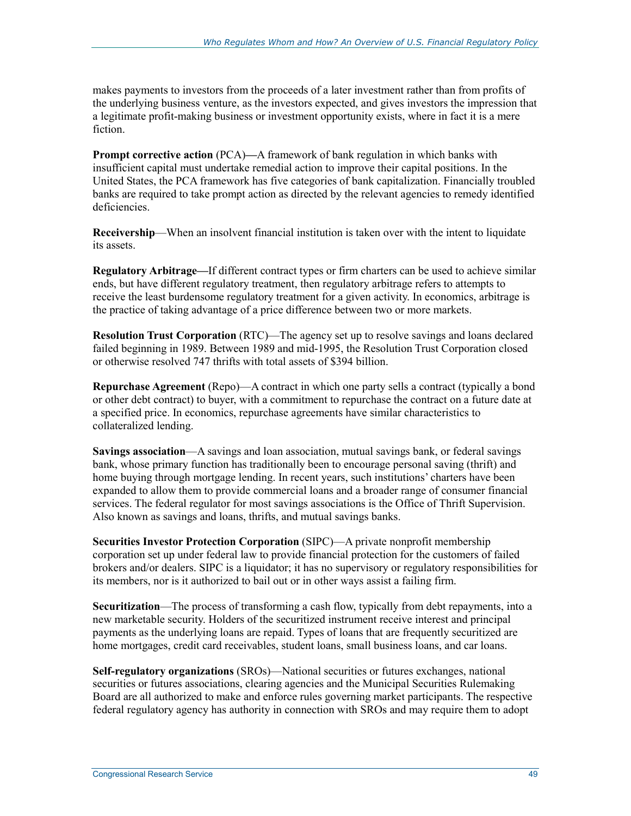makes payments to investors from the proceeds of a later investment rather than from profits of the underlying business venture, as the investors expected, and gives investors the impression that a legitimate profit-making business or investment opportunity exists, where in fact it is a mere fiction.

**Prompt corrective action** (PCA)**—**A framework of bank regulation in which banks with insufficient capital must undertake remedial action to improve their capital positions. In the United States, the PCA framework has five categories of bank capitalization. Financially troubled banks are required to take prompt action as directed by the relevant agencies to remedy identified deficiencies.

**Receivership**—When an insolvent financial institution is taken over with the intent to liquidate its assets.

**Regulatory Arbitrage—**If different contract types or firm charters can be used to achieve similar ends, but have different regulatory treatment, then regulatory arbitrage refers to attempts to receive the least burdensome regulatory treatment for a given activity. In economics, arbitrage is the practice of taking advantage of a price difference between two or more markets.

**Resolution Trust Corporation** (RTC)—The agency set up to resolve savings and loans declared failed beginning in 1989. Between 1989 and mid-1995, the Resolution Trust Corporation closed or otherwise resolved 747 thrifts with total assets of \$394 billion.

**Repurchase Agreement** (Repo)—A contract in which one party sells a contract (typically a bond or other debt contract) to buyer, with a commitment to repurchase the contract on a future date at a specified price. In economics, repurchase agreements have similar characteristics to collateralized lending.

**Savings association**—A savings and loan association, mutual savings bank, or federal savings bank, whose primary function has traditionally been to encourage personal saving (thrift) and home buying through mortgage lending. In recent years, such institutions' charters have been expanded to allow them to provide commercial loans and a broader range of consumer financial services. The federal regulator for most savings associations is the Office of Thrift Supervision. Also known as savings and loans, thrifts, and mutual savings banks.

**Securities Investor Protection Corporation** (SIPC)—A private nonprofit membership corporation set up under federal law to provide financial protection for the customers of failed brokers and/or dealers. SIPC is a liquidator; it has no supervisory or regulatory responsibilities for its members, nor is it authorized to bail out or in other ways assist a failing firm.

**Securitization**—The process of transforming a cash flow, typically from debt repayments, into a new marketable security. Holders of the securitized instrument receive interest and principal payments as the underlying loans are repaid. Types of loans that are frequently securitized are home mortgages, credit card receivables, student loans, small business loans, and car loans.

**Self-regulatory organizations** (SROs)—National securities or futures exchanges, national securities or futures associations, clearing agencies and the Municipal Securities Rulemaking Board are all authorized to make and enforce rules governing market participants. The respective federal regulatory agency has authority in connection with SROs and may require them to adopt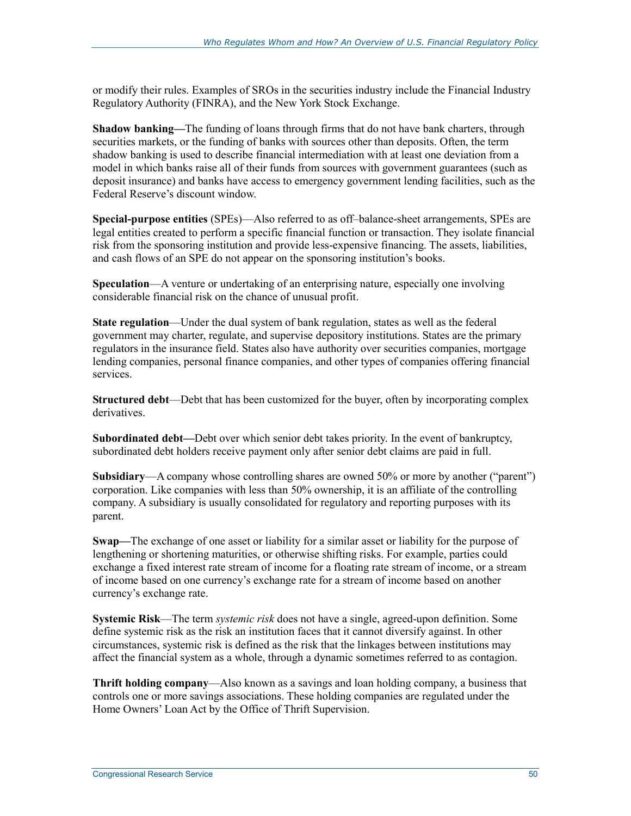or modify their rules. Examples of SROs in the securities industry include the Financial Industry Regulatory Authority (FINRA), and the New York Stock Exchange.

**Shadow banking—**The funding of loans through firms that do not have bank charters, through securities markets, or the funding of banks with sources other than deposits. Often, the term shadow banking is used to describe financial intermediation with at least one deviation from a model in which banks raise all of their funds from sources with government guarantees (such as deposit insurance) and banks have access to emergency government lending facilities, such as the Federal Reserve's discount window.

**Special-purpose entities** (SPEs)—Also referred to as off–balance-sheet arrangements, SPEs are legal entities created to perform a specific financial function or transaction. They isolate financial risk from the sponsoring institution and provide less-expensive financing. The assets, liabilities, and cash flows of an SPE do not appear on the sponsoring institution's books.

**Speculation**—A venture or undertaking of an enterprising nature, especially one involving considerable financial risk on the chance of unusual profit.

**State regulation**—Under the dual system of bank regulation, states as well as the federal government may charter, regulate, and supervise depository institutions. States are the primary regulators in the insurance field. States also have authority over securities companies, mortgage lending companies, personal finance companies, and other types of companies offering financial services.

**Structured debt**—Debt that has been customized for the buyer, often by incorporating complex derivatives.

**Subordinated debt—**Debt over which senior debt takes priority. In the event of bankruptcy, subordinated debt holders receive payment only after senior debt claims are paid in full.

**Subsidiary**—A company whose controlling shares are owned 50% or more by another ("parent") corporation. Like companies with less than 50% ownership, it is an affiliate of the controlling company. A subsidiary is usually consolidated for regulatory and reporting purposes with its parent.

**Swap—**The exchange of one asset or liability for a similar asset or liability for the purpose of lengthening or shortening maturities, or otherwise shifting risks. For example, parties could exchange a fixed interest rate stream of income for a floating rate stream of income, or a stream of income based on one currency's exchange rate for a stream of income based on another currency's exchange rate.

**Systemic Risk**—The term *systemic risk* does not have a single, agreed-upon definition. Some define systemic risk as the risk an institution faces that it cannot diversify against. In other circumstances, systemic risk is defined as the risk that the linkages between institutions may affect the financial system as a whole, through a dynamic sometimes referred to as contagion.

**Thrift holding company**—Also known as a savings and loan holding company, a business that controls one or more savings associations. These holding companies are regulated under the Home Owners' Loan Act by the Office of Thrift Supervision.